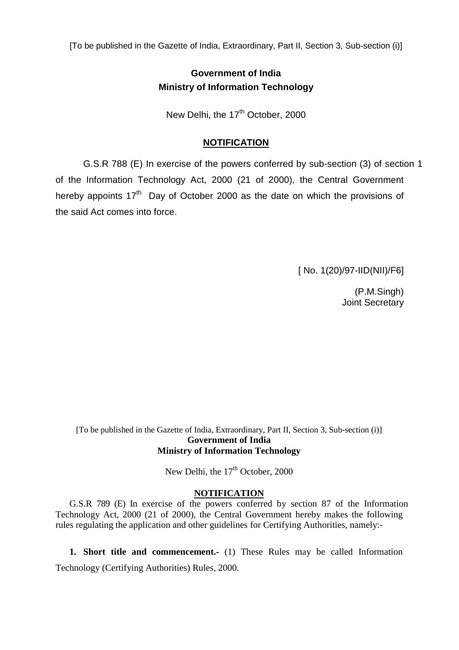[To be published in the Gazette of India, Extraordinary, Part II, Section 3, Sub-section (i)]

# **Government of India Ministry of Information Technology**

New Delhi, the 17<sup>th</sup> October, 2000

#### **NOTIFICATION**

G.S.R 788 (E) In exercise of the powers conferred by sub-section (3) of section 1 of the Information Technology Act, 2000 (21 of 2000), the Central Government hereby appoints  $17<sup>th</sup>$  Day of October 2000 as the date on which the provisions of the said Act comes into force.

[ No. 1(20)/97-IID(NII)/F6]

(P.M.Singh) Joint Secretary

[To be published in the Gazette of India, Extraordinary, Part II, Section 3, Sub-section (i)] **Government of India Ministry of Information Technology**

New Delhi, the  $17<sup>th</sup>$  October, 2000

#### **NOTIFICATION**

G.S.R 789 (E) In exercise of the powers conferred by section 87 of the Information Technology Act, 2000 (21 of 2000), the Central Government hereby makes the following rules regulating the application and other guidelines for Certifying Authorities, namely:-

**1. Short title and commencement.-** (1) These Rules may be called Information Technology (Certifying Authorities) Rules, 2000.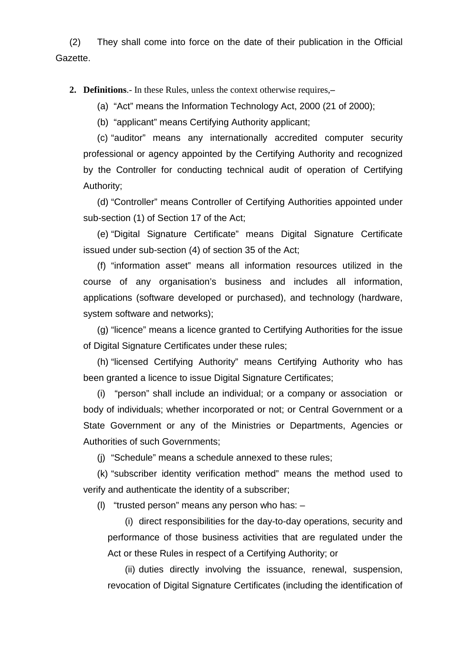(2) They shall come into force on the date of their publication in the Official Gazette.

**2. Definitions**.- In these Rules, unless the context otherwise requires,**–**

(a) "Act" means the Information Technology Act, 2000 (21 of 2000);

(b) "applicant" means Certifying Authority applicant;

(c) "auditor" means any internationally accredited computer security professional or agency appointed by the Certifying Authority and recognized by the Controller for conducting technical audit of operation of Certifying Authority;

(d) "Controller" means Controller of Certifying Authorities appointed under sub-section (1) of Section 17 of the Act;

(e) "Digital Signature Certificate" means Digital Signature Certificate issued under sub-section (4) of section 35 of the Act;

(f) "information asset" means all information resources utilized in the course of any organisation's business and includes all information, applications (software developed or purchased), and technology (hardware, system software and networks);

(g) "licence" means a licence granted to Certifying Authorities for the issue of Digital Signature Certificates under these rules;

(h) "licensed Certifying Authority" means Certifying Authority who has been granted a licence to issue Digital Signature Certificates;

(i) "person" shall include an individual; or a company or association or body of individuals; whether incorporated or not; or Central Government or a State Government or any of the Ministries or Departments, Agencies or Authorities of such Governments;

(j) "Schedule" means a schedule annexed to these rules;

(k) "subscriber identity verification method" means the method used to verify and authenticate the identity of a subscriber;

(l) "trusted person" means any person who has: –

(i) direct responsibilities for the day-to-day operations, security and performance of those business activities that are regulated under the Act or these Rules in respect of a Certifying Authority; or

(ii) duties directly involving the issuance, renewal, suspension, revocation of Digital Signature Certificates (including the identification of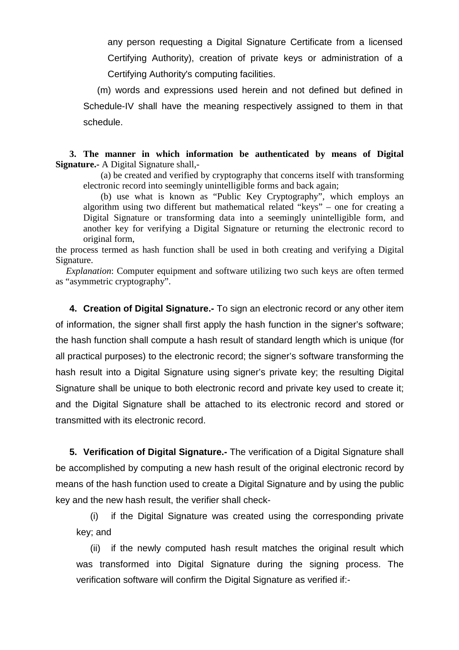any person requesting a Digital Signature Certificate from a licensed Certifying Authority), creation of private keys or administration of a Certifying Authority's computing facilities.

(m) words and expressions used herein and not defined but defined in Schedule-IV shall have the meaning respectively assigned to them in that schedule.

**3. The manner in which information be authenticated by means of Digital Signature.-** A Digital Signature shall,-

(a) be created and verified by cryptography that concerns itself with transforming electronic record into seemingly unintelligible forms and back again;

(b) use what is known as "Public Key Cryptography", which employs an algorithm using two different but mathematical related "keys" – one for creating a Digital Signature or transforming data into a seemingly unintelligible form, and another key for verifying a Digital Signature or returning the electronic record to original form,

the process termed as hash function shall be used in both creating and verifying a Digital Signature.

*Explanation*: Computer equipment and software utilizing two such keys are often termed as "asymmetric cryptography".

**4. Creation of Digital Signature.-** To sign an electronic record or any other item of information, the signer shall first apply the hash function in the signer's software; the hash function shall compute a hash result of standard length which is unique (for all practical purposes) to the electronic record; the signer's software transforming the hash result into a Digital Signature using signer's private key; the resulting Digital Signature shall be unique to both electronic record and private key used to create it; and the Digital Signature shall be attached to its electronic record and stored or transmitted with its electronic record.

**5. Verification of Digital Signature.-** The verification of a Digital Signature shall be accomplished by computing a new hash result of the original electronic record by means of the hash function used to create a Digital Signature and by using the public key and the new hash result, the verifier shall check-

(i) if the Digital Signature was created using the corresponding private key; and

(ii) if the newly computed hash result matches the original result which was transformed into Digital Signature during the signing process. The verification software will confirm the Digital Signature as verified if:-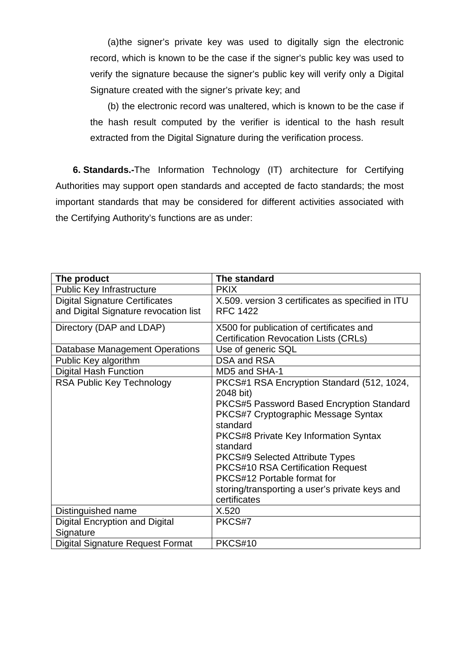(a) the signer's private key was used to digitally sign the electronic record, which is known to be the case if the signer's public key was used to verify the signature because the signer's public key will verify only a Digital Signature created with the signer's private key; and

(b) the electronic record was unaltered, which is known to be the case if the hash result computed by the verifier is identical to the hash result extracted from the Digital Signature during the verification process.

**6. Standards.-**The Information Technology (IT) architecture for Certifying Authorities may support open standards and accepted de facto standards; the most important standards that may be considered for different activities associated with the Certifying Authority's functions are as under:

| The product                             | The standard                                      |
|-----------------------------------------|---------------------------------------------------|
| <b>Public Key Infrastructure</b>        | <b>PKIX</b>                                       |
| <b>Digital Signature Certificates</b>   | X.509. version 3 certificates as specified in ITU |
| and Digital Signature revocation list   | <b>RFC 1422</b>                                   |
| Directory (DAP and LDAP)                | X500 for publication of certificates and          |
|                                         | <b>Certification Revocation Lists (CRLs)</b>      |
| <b>Database Management Operations</b>   | Use of generic SQL                                |
| Public Key algorithm                    | DSA and RSA                                       |
| <b>Digital Hash Function</b>            | MD5 and SHA-1                                     |
| <b>RSA Public Key Technology</b>        | PKCS#1 RSA Encryption Standard (512, 1024,        |
|                                         | 2048 bit)                                         |
|                                         | PKCS#5 Password Based Encryption Standard         |
|                                         | PKCS#7 Cryptographic Message Syntax               |
|                                         | standard                                          |
|                                         | PKCS#8 Private Key Information Syntax             |
|                                         | standard                                          |
|                                         | PKCS#9 Selected Attribute Types                   |
|                                         | <b>PKCS#10 RSA Certification Request</b>          |
|                                         | PKCS#12 Portable format for                       |
|                                         | storing/transporting a user's private keys and    |
|                                         | certificates                                      |
| Distinguished name                      | X.520                                             |
| <b>Digital Encryption and Digital</b>   | PKCS#7                                            |
| Signature                               |                                                   |
| <b>Digital Signature Request Format</b> | PKCS#10                                           |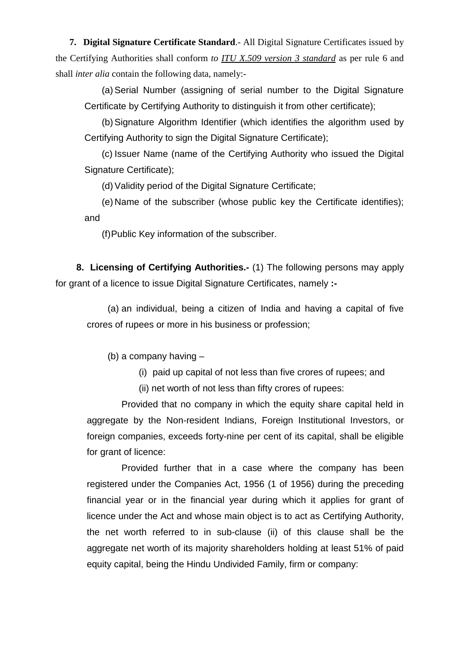**7. Digital Signature Certificate Standard**.- All Digital Signature Certificates issued by the Certifying Authorities shall conform *to ITU X.509 version 3 standard* as per rule 6 and shall *inter alia* contain the following data, namely:-

(a) Serial Number (assigning of serial number to the Digital Signature Certificate by Certifying Authority to distinguish it from other certificate);

(b) Signature Algorithm Identifier (which identifies the algorithm used by Certifying Authority to sign the Digital Signature Certificate);

(c) Issuer Name (name of the Certifying Authority who issued the Digital Signature Certificate);

(d) Validity period of the Digital Signature Certificate;

(e) Name of the subscriber (whose public key the Certificate identifies); and

(f) Public Key information of the subscriber.

**8. Licensing of Certifying Authorities.-** (1) The following persons may apply for grant of a licence to issue Digital Signature Certificates, namely **:-**

(a) an individual, being a citizen of India and having a capital of five crores of rupees or more in his business or profession;

(b) a company having –

(i) paid up capital of not less than five crores of rupees; and

(ii) net worth of not less than fifty crores of rupees:

Provided that no company in which the equity share capital held in aggregate by the Non-resident Indians, Foreign Institutional Investors, or foreign companies, exceeds forty-nine per cent of its capital, shall be eligible for grant of licence:

Provided further that in a case where the company has been registered under the Companies Act, 1956 (1 of 1956) during the preceding financial year or in the financial year during which it applies for grant of licence under the Act and whose main object is to act as Certifying Authority, the net worth referred to in sub-clause (ii) of this clause shall be the aggregate net worth of its majority shareholders holding at least 51% of paid equity capital, being the Hindu Undivided Family, firm or company: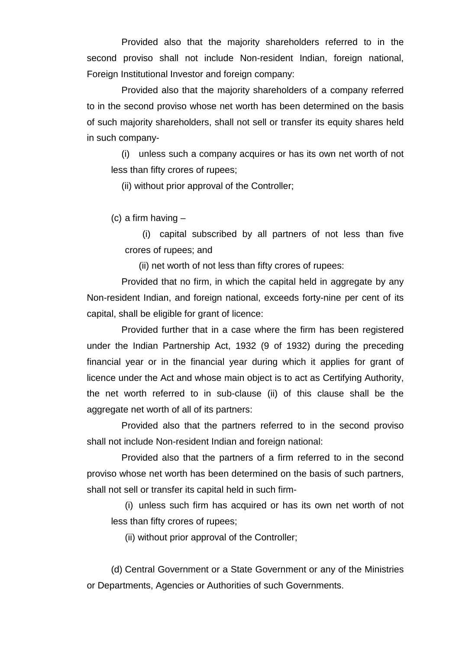Provided also that the majority shareholders referred to in the second proviso shall not include Non-resident Indian, foreign national, Foreign Institutional Investor and foreign company:

Provided also that the majority shareholders of a company referred to in the second proviso whose net worth has been determined on the basis of such majority shareholders, shall not sell or transfer its equity shares held in such company-

(i) unless such a company acquires or has its own net worth of not less than fifty crores of rupees;

(ii) without prior approval of the Controller;

(c) a firm having –

(i) capital subscribed by all partners of not less than five crores of rupees; and

(ii) net worth of not less than fifty crores of rupees:

Provided that no firm, in which the capital held in aggregate by any Non-resident Indian, and foreign national, exceeds forty-nine per cent of its capital, shall be eligible for grant of licence:

Provided further that in a case where the firm has been registered under the Indian Partnership Act, 1932 (9 of 1932) during the preceding financial year or in the financial year during which it applies for grant of licence under the Act and whose main object is to act as Certifying Authority, the net worth referred to in sub-clause (ii) of this clause shall be the aggregate net worth of all of its partners:

Provided also that the partners referred to in the second proviso shall not include Non-resident Indian and foreign national:

Provided also that the partners of a firm referred to in the second proviso whose net worth has been determined on the basis of such partners, shall not sell or transfer its capital held in such firm-

(i) unless such firm has acquired or has its own net worth of not less than fifty crores of rupees;

(ii) without prior approval of the Controller;

(d) Central Government or a State Government or any of the Ministries or Departments, Agencies or Authorities of such Governments.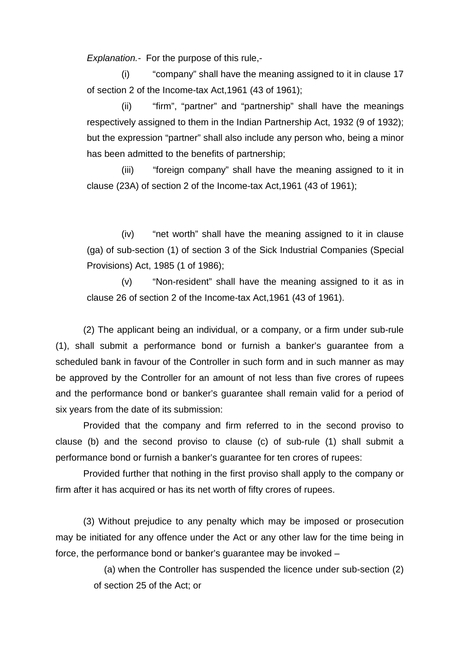*Explanation.-* For the purpose of this rule,-

(i) "company" shall have the meaning assigned to it in clause 17 of section 2 of the Income-tax Act,1961 (43 of 1961);

(ii) "firm", "partner" and "partnership" shall have the meanings respectively assigned to them in the Indian Partnership Act, 1932 (9 of 1932); but the expression "partner" shall also include any person who, being a minor has been admitted to the benefits of partnership;

(iii) "foreign company" shall have the meaning assigned to it in clause (23A) of section 2 of the Income-tax Act,1961 (43 of 1961);

(iv) "net worth" shall have the meaning assigned to it in clause (ga) of sub-section (1) of section 3 of the Sick Industrial Companies (Special Provisions) Act, 1985 (1 of 1986);

(v) "Non-resident" shall have the meaning assigned to it as in clause 26 of section 2 of the Income-tax Act,1961 (43 of 1961).

(2) The applicant being an individual, or a company, or a firm under sub-rule (1), shall submit a performance bond or furnish a banker's guarantee from a scheduled bank in favour of the Controller in such form and in such manner as may be approved by the Controller for an amount of not less than five crores of rupees and the performance bond or banker's guarantee shall remain valid for a period of six years from the date of its submission:

Provided that the company and firm referred to in the second proviso to clause (b) and the second proviso to clause (c) of sub-rule (1) shall submit a performance bond or furnish a banker's guarantee for ten crores of rupees:

Provided further that nothing in the first proviso shall apply to the company or firm after it has acquired or has its net worth of fifty crores of rupees.

(3) Without prejudice to any penalty which may be imposed or prosecution may be initiated for any offence under the Act or any other law for the time being in force, the performance bond or banker's guarantee may be invoked –

> (a) when the Controller has suspended the licence under sub-section (2) of section 25 of the Act; or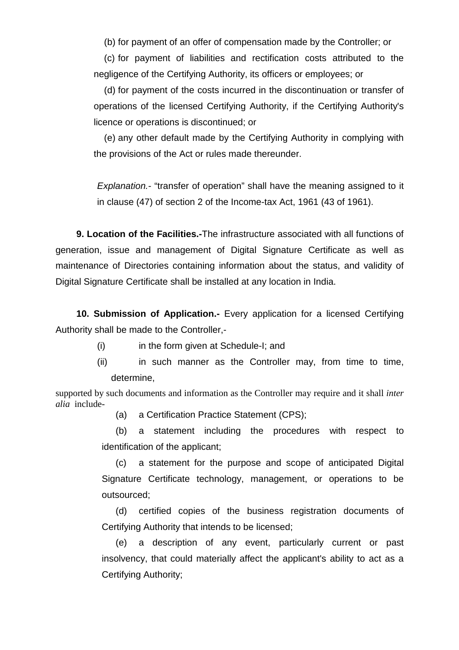(b) for payment of an offer of compensation made by the Controller; or

(c) for payment of liabilities and rectification costs attributed to the negligence of the Certifying Authority, its officers or employees; or

(d) for payment of the costs incurred in the discontinuation or transfer of operations of the licensed Certifying Authority, if the Certifying Authority's licence or operations is discontinued; or

(e) any other default made by the Certifying Authority in complying with the provisions of the Act or rules made thereunder.

*Explanation.*- "transfer of operation" shall have the meaning assigned to it in clause (47) of section 2 of the Income-tax Act, 1961 (43 of 1961).

**9. Location of the Facilities.-**The infrastructure associated with all functions of generation, issue and management of Digital Signature Certificate as well as maintenance of Directories containing information about the status, and validity of Digital Signature Certificate shall be installed at any location in India.

**10. Submission of Application.-** Every application for a licensed Certifying Authority shall be made to the Controller,-

- (i) in the form given at Schedule-I; and
- (ii) in such manner as the Controller may, from time to time, determine,

supported by such documents and information as the Controller may require and it shall *inter alia* include-

(a) a Certification Practice Statement (CPS);

(b) a statement including the procedures with respect to identification of the applicant;

(c) a statement for the purpose and scope of anticipated Digital Signature Certificate technology, management, or operations to be outsourced;

(d) certified copies of the business registration documents of Certifying Authority that intends to be licensed;

(e) a description of any event, particularly current or past insolvency, that could materially affect the applicant's ability to act as a Certifying Authority;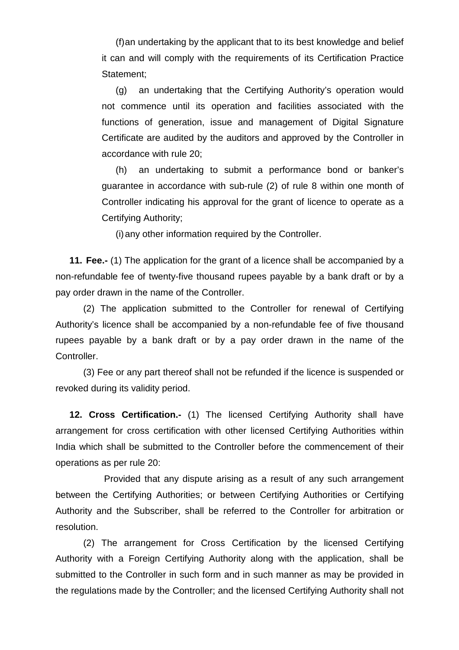(f) an undertaking by the applicant that to its best knowledge and belief it can and will comply with the requirements of its Certification Practice Statement;

(g) an undertaking that the Certifying Authority's operation would not commence until its operation and facilities associated with the functions of generation, issue and management of Digital Signature Certificate are audited by the auditors and approved by the Controller in accordance with rule 20;

(h) an undertaking to submit a performance bond or banker's guarantee in accordance with sub-rule (2) of rule 8 within one month of Controller indicating his approval for the grant of licence to operate as a Certifying Authority;

(i) any other information required by the Controller.

**11. Fee.-** (1) The application for the grant of a licence shall be accompanied by a non-refundable fee of twenty-five thousand rupees payable by a bank draft or by a pay order drawn in the name of the Controller.

(2) The application submitted to the Controller for renewal of Certifying Authority's licence shall be accompanied by a non-refundable fee of five thousand rupees payable by a bank draft or by a pay order drawn in the name of the Controller.

(3) Fee or any part thereof shall not be refunded if the licence is suspended or revoked during its validity period.

**12. Cross Certification.-** (1) The licensed Certifying Authority shall have arrangement for cross certification with other licensed Certifying Authorities within India which shall be submitted to the Controller before the commencement of their operations as per rule 20:

Provided that any dispute arising as a result of any such arrangement between the Certifying Authorities; or between Certifying Authorities or Certifying Authority and the Subscriber, shall be referred to the Controller for arbitration or resolution.

(2) The arrangement for Cross Certification by the licensed Certifying Authority with a Foreign Certifying Authority along with the application, shall be submitted to the Controller in such form and in such manner as may be provided in the regulations made by the Controller; and the licensed Certifying Authority shall not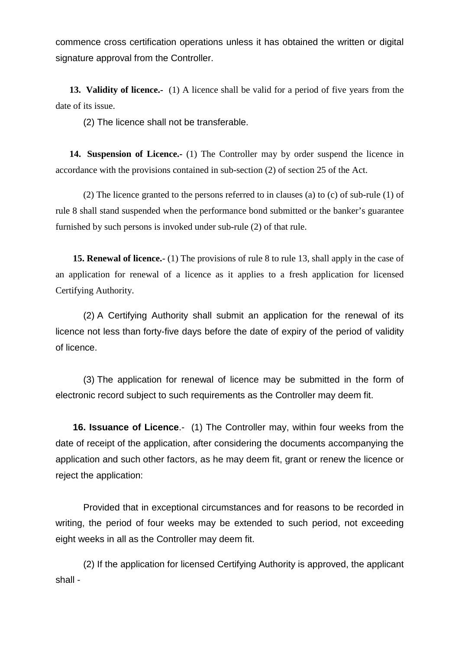commence cross certification operations unless it has obtained the written or digital signature approval from the Controller.

**13. Validity of licence.-** (1) A licence shall be valid for a period of five years from the date of its issue.

(2) The licence shall not be transferable.

**14. Suspension of Licence.-** (1) The Controller may by order suspend the licence in accordance with the provisions contained in sub-section (2) of section 25 of the Act.

(2) The licence granted to the persons referred to in clauses (a) to (c) of sub-rule (1) of rule 8 shall stand suspended when the performance bond submitted or the banker's guarantee furnished by such persons is invoked under sub-rule (2) of that rule.

15. Renewal of licence.- (1) The provisions of rule 8 to rule 13, shall apply in the case of an application for renewal of a licence as it applies to a fresh application for licensed Certifying Authority.

(2) A Certifying Authority shall submit an application for the renewal of its licence not less than forty-five days before the date of expiry of the period of validity of licence.

(3) The application for renewal of licence may be submitted in the form of electronic record subject to such requirements as the Controller may deem fit.

**16. Issuance of Licence**.- (1) The Controller may, within four weeks from the date of receipt of the application, after considering the documents accompanying the application and such other factors, as he may deem fit, grant or renew the licence or reject the application:

Provided that in exceptional circumstances and for reasons to be recorded in writing, the period of four weeks may be extended to such period, not exceeding eight weeks in all as the Controller may deem fit.

(2) If the application for licensed Certifying Authority is approved, the applicant shall -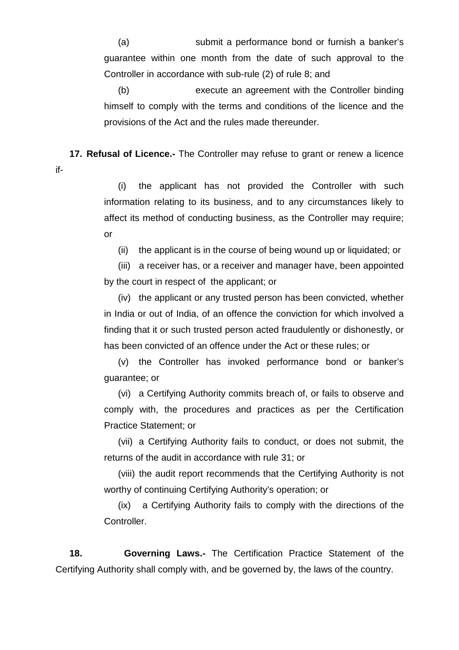(a) submit a performance bond or furnish a banker's guarantee within one month from the date of such approval to the Controller in accordance with sub-rule (2) of rule 8; and

(b) execute an agreement with the Controller binding himself to comply with the terms and conditions of the licence and the provisions of the Act and the rules made thereunder.

**17. Refusal of Licence.-** The Controller may refuse to grant or renew a licence if-

> (i) the applicant has not provided the Controller with such information relating to its business, and to any circumstances likely to affect its method of conducting business, as the Controller may require; or

(ii) the applicant is in the course of being wound up or liquidated; or

(iii) a receiver has, or a receiver and manager have, been appointed by the court in respect of the applicant; or

(iv) the applicant or any trusted person has been convicted, whether in India or out of India, of an offence the conviction for which involved a finding that it or such trusted person acted fraudulently or dishonestly, or has been convicted of an offence under the Act or these rules; or

(v) the Controller has invoked performance bond or banker's guarantee; or

(vi) a Certifying Authority commits breach of, or fails to observe and comply with, the procedures and practices as per the Certification Practice Statement; or

(vii) a Certifying Authority fails to conduct, or does not submit, the returns of the audit in accordance with rule 31; or

(viii) the audit report recommends that the Certifying Authority is not worthy of continuing Certifying Authority's operation; or

(ix) a Certifying Authority fails to comply with the directions of the Controller.

**18. Governing Laws.-** The Certification Practice Statement of the Certifying Authority shall comply with, and be governed by, the laws of the country.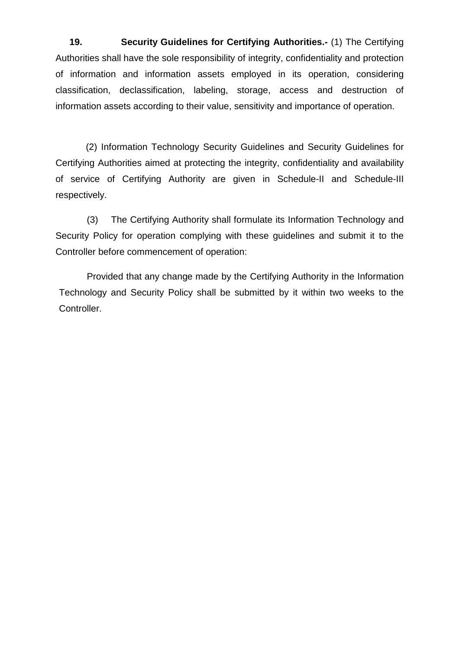**19. Security Guidelines for Certifying Authorities.-** (1) The Certifying Authorities shall have the sole responsibility of integrity, confidentiality and protection of information and information assets employed in its operation, considering classification, declassification, labeling, storage, access and destruction of information assets according to their value, sensitivity and importance of operation.

 (2) Information Technology Security Guidelines and Security Guidelines for Certifying Authorities aimed at protecting the integrity, confidentiality and availability of service of Certifying Authority are given in Schedule-II and Schedule-III respectively.

(3) The Certifying Authority shall formulate its Information Technology and Security Policy for operation complying with these guidelines and submit it to the Controller before commencement of operation:

Provided that any change made by the Certifying Authority in the Information Technology and Security Policy shall be submitted by it within two weeks to the Controller.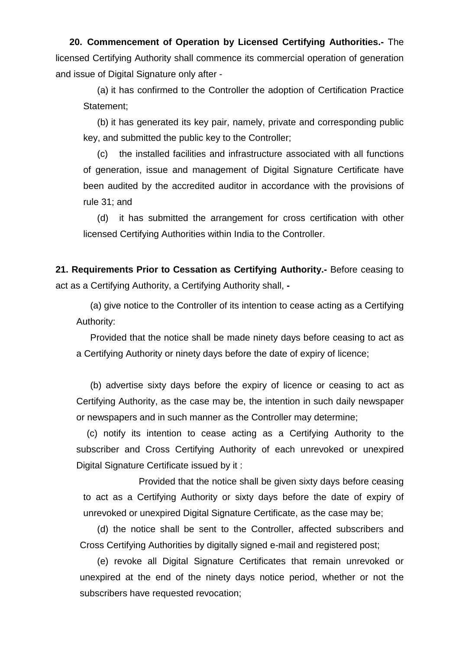**20. Commencement of Operation by Licensed Certifying Authorities.-** The licensed Certifying Authority shall commence its commercial operation of generation and issue of Digital Signature only after -

(a) it has confirmed to the Controller the adoption of Certification Practice Statement;

(b) it has generated its key pair, namely, private and corresponding public key, and submitted the public key to the Controller;

(c) the installed facilities and infrastructure associated with all functions of generation, issue and management of Digital Signature Certificate have been audited by the accredited auditor in accordance with the provisions of rule 31; and

(d) it has submitted the arrangement for cross certification with other licensed Certifying Authorities within India to the Controller.

**21. Requirements Prior to Cessation as Certifying Authority.-** Before ceasing to act as a Certifying Authority, a Certifying Authority shall, **-**

(a) give notice to the Controller of its intention to cease acting as a Certifying Authority:

Provided that the notice shall be made ninety days before ceasing to act as a Certifying Authority or ninety days before the date of expiry of licence;

(b) advertise sixty days before the expiry of licence or ceasing to act as Certifying Authority, as the case may be, the intention in such daily newspaper or newspapers and in such manner as the Controller may determine;

 (c) notify its intention to cease acting as a Certifying Authority to the subscriber and Cross Certifying Authority of each unrevoked or unexpired Digital Signature Certificate issued by it :

 Provided that the notice shall be given sixty days before ceasing to act as a Certifying Authority or sixty days before the date of expiry of unrevoked or unexpired Digital Signature Certificate, as the case may be;

(d) the notice shall be sent to the Controller, affected subscribers and Cross Certifying Authorities by digitally signed e-mail and registered post;

(e) revoke all Digital Signature Certificates that remain unrevoked or unexpired at the end of the ninety days notice period, whether or not the subscribers have requested revocation;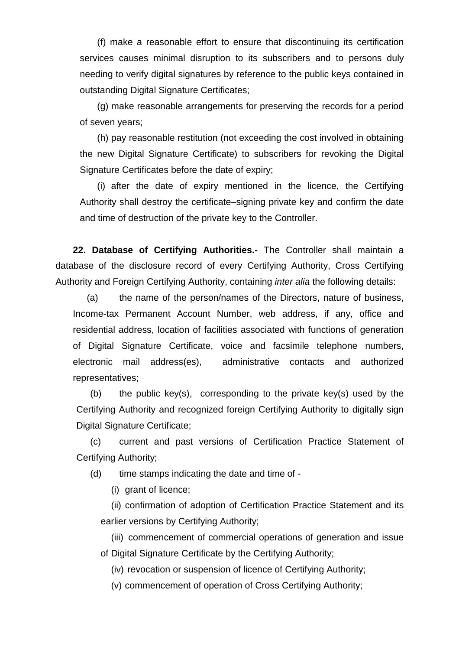(f) make a reasonable effort to ensure that discontinuing its certification services causes minimal disruption to its subscribers and to persons duly needing to verify digital signatures by reference to the public keys contained in outstanding Digital Signature Certificates;

(g) make reasonable arrangements for preserving the records for a period of seven years;

(h) pay reasonable restitution (not exceeding the cost involved in obtaining the new Digital Signature Certificate) to subscribers for revoking the Digital Signature Certificates before the date of expiry;

(i) after the date of expiry mentioned in the licence, the Certifying Authority shall destroy the certificate–signing private key and confirm the date and time of destruction of the private key to the Controller.

**22. Database of Certifying Authorities.-** The Controller shall maintain a database of the disclosure record of every Certifying Authority, Cross Certifying Authority and Foreign Certifying Authority, containing *inter alia* the following details:

(a) the name of the person/names of the Directors, nature of business, Income-tax Permanent Account Number, web address, if any, office and residential address, location of facilities associated with functions of generation of Digital Signature Certificate, voice and facsimile telephone numbers, electronic mail address(es), administrative contacts and authorized representatives;

(b) the public key(s), corresponding to the private key(s) used by the Certifying Authority and recognized foreign Certifying Authority to digitally sign Digital Signature Certificate;

(c) current and past versions of Certification Practice Statement of Certifying Authority;

(d) time stamps indicating the date and time of -

(i) grant of licence;

(ii) confirmation of adoption of Certification Practice Statement and its earlier versions by Certifying Authority;

(iii) commencement of commercial operations of generation and issue of Digital Signature Certificate by the Certifying Authority;

(iv) revocation or suspension of licence of Certifying Authority;

(v) commencement of operation of Cross Certifying Authority;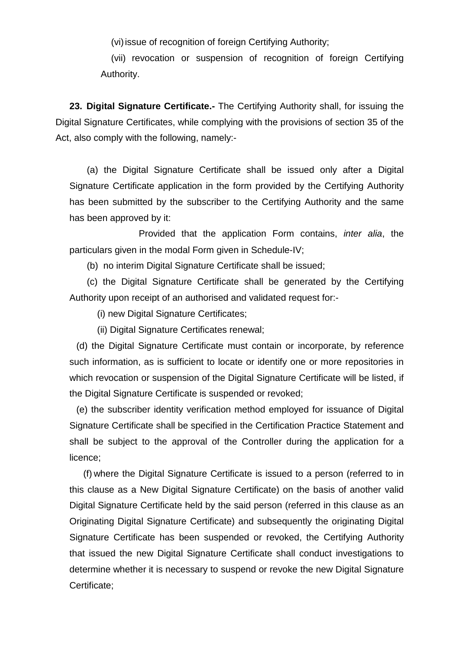(vi) issue of recognition of foreign Certifying Authority;

(vii) revocation or suspension of recognition of foreign Certifying Authority.

**23. Digital Signature Certificate.-** The Certifying Authority shall, for issuing the Digital Signature Certificates, while complying with the provisions of section 35 of the Act, also comply with the following, namely:-

(a) the Digital Signature Certificate shall be issued only after a Digital Signature Certificate application in the form provided by the Certifying Authority has been submitted by the subscriber to the Certifying Authority and the same has been approved by it:

Provided that the application Form contains, *inter alia*, the particulars given in the modal Form given in Schedule-IV;

(b) no interim Digital Signature Certificate shall be issued;

(c) the Digital Signature Certificate shall be generated by the Certifying Authority upon receipt of an authorised and validated request for:-

(i) new Digital Signature Certificates;

(ii) Digital Signature Certificates renewal;

(d) the Digital Signature Certificate must contain or incorporate, by reference such information, as is sufficient to locate or identify one or more repositories in which revocation or suspension of the Digital Signature Certificate will be listed, if the Digital Signature Certificate is suspended or revoked;

(e) the subscriber identity verification method employed for issuance of Digital Signature Certificate shall be specified in the Certification Practice Statement and shall be subject to the approval of the Controller during the application for a licence;

(f) where the Digital Signature Certificate is issued to a person (referred to in this clause as a New Digital Signature Certificate) on the basis of another valid Digital Signature Certificate held by the said person (referred in this clause as an Originating Digital Signature Certificate) and subsequently the originating Digital Signature Certificate has been suspended or revoked, the Certifying Authority that issued the new Digital Signature Certificate shall conduct investigations to determine whether it is necessary to suspend or revoke the new Digital Signature Certificate;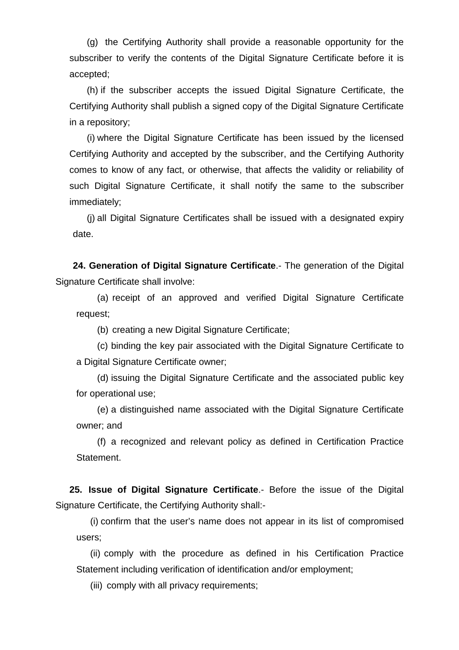(g) the Certifying Authority shall provide a reasonable opportunity for the subscriber to verify the contents of the Digital Signature Certificate before it is accepted;

(h) if the subscriber accepts the issued Digital Signature Certificate, the Certifying Authority shall publish a signed copy of the Digital Signature Certificate in a repository;

(i) where the Digital Signature Certificate has been issued by the licensed Certifying Authority and accepted by the subscriber, and the Certifying Authority comes to know of any fact, or otherwise, that affects the validity or reliability of such Digital Signature Certificate, it shall notify the same to the subscriber immediately;

(j) all Digital Signature Certificates shall be issued with a designated expiry date.

**24. Generation of Digital Signature Certificate**.- The generation of the Digital Signature Certificate shall involve:

(a) receipt of an approved and verified Digital Signature Certificate request;

(b) creating a new Digital Signature Certificate;

(c) binding the key pair associated with the Digital Signature Certificate to a Digital Signature Certificate owner;

(d) issuing the Digital Signature Certificate and the associated public key for operational use;

(e) a distinguished name associated with the Digital Signature Certificate owner; and

(f) a recognized and relevant policy as defined in Certification Practice Statement.

**25. Issue of Digital Signature Certificate**.- Before the issue of the Digital Signature Certificate, the Certifying Authority shall:-

(i) confirm that the user's name does not appear in its list of compromised users;

(ii) comply with the procedure as defined in his Certification Practice Statement including verification of identification and/or employment;

(iii) comply with all privacy requirements;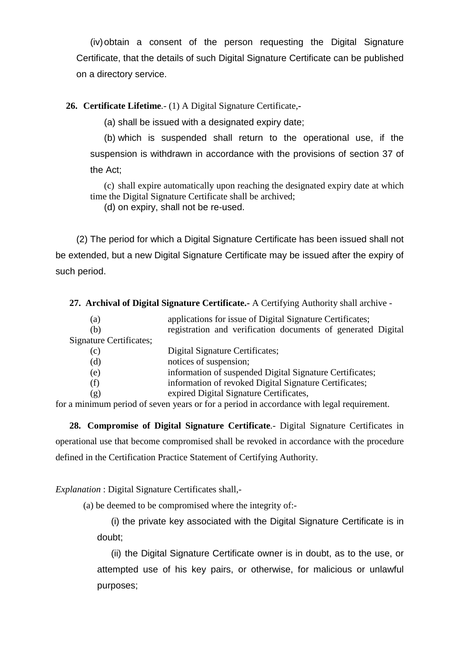(iv) obtain a consent of the person requesting the Digital Signature Certificate, that the details of such Digital Signature Certificate can be published on a directory service.

**26. Certificate Lifetime**.- (1) A Digital Signature Certificate,**-**

(a) shall be issued with a designated expiry date;

(b) which is suspended shall return to the operational use, if the suspension is withdrawn in accordance with the provisions of section 37 of the Act;

(c) shall expire automatically upon reaching the designated expiry date at which time the Digital Signature Certificate shall be archived;

(d) on expiry, shall not be re-used.

(2) The period for which a Digital Signature Certificate has been issued shall not be extended, but a new Digital Signature Certificate may be issued after the expiry of such period.

**27. Archival of Digital Signature Certificate.-** A Certifying Authority shall archive -

| (a)<br>(b)                     | applications for issue of Digital Signature Certificates;<br>registration and verification documents of generated Digital |
|--------------------------------|---------------------------------------------------------------------------------------------------------------------------|
| <b>Signature Certificates;</b> |                                                                                                                           |
| (c)                            | Digital Signature Certificates;                                                                                           |
| (d)                            | notices of suspension;                                                                                                    |
| (e)                            | information of suspended Digital Signature Certificates;                                                                  |
| (f)                            | information of revoked Digital Signature Certificates;                                                                    |
| (g)                            | expired Digital Signature Certificates,                                                                                   |

for a minimum period of seven years or for a period in accordance with legal requirement.

**28. Compromise of Digital Signature Certificate**.- Digital Signature Certificates in operational use that become compromised shall be revoked in accordance with the procedure defined in the Certification Practice Statement of Certifying Authority.

*Explanation* : Digital Signature Certificates shall,-

(a) be deemed to be compromised where the integrity of:-

(i) the private key associated with the Digital Signature Certificate is in doubt;

(ii) the Digital Signature Certificate owner is in doubt, as to the use, or attempted use of his key pairs, or otherwise, for malicious or unlawful purposes;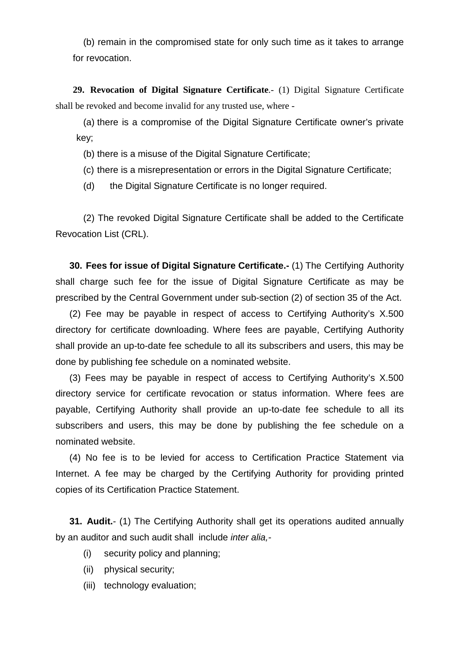(b) remain in the compromised state for only such time as it takes to arrange for revocation.

**29. Revocation of Digital Signature Certificate**.- (1) Digital Signature Certificate shall be revoked and become invalid for any trusted use, where -

(a) there is a compromise of the Digital Signature Certificate owner's private key;

(b) there is a misuse of the Digital Signature Certificate;

(c) there is a misrepresentation or errors in the Digital Signature Certificate;

(d) the Digital Signature Certificate is no longer required.

(2) The revoked Digital Signature Certificate shall be added to the Certificate Revocation List (CRL).

**30. Fees for issue of Digital Signature Certificate.-** (1) The Certifying Authority shall charge such fee for the issue of Digital Signature Certificate as may be prescribed by the Central Government under sub-section (2) of section 35 of the Act.

(2) Fee may be payable in respect of access to Certifying Authority's X.500 directory for certificate downloading. Where fees are payable, Certifying Authority shall provide an up-to-date fee schedule to all its subscribers and users, this may be done by publishing fee schedule on a nominated website.

(3) Fees may be payable in respect of access to Certifying Authority's X.500 directory service for certificate revocation or status information. Where fees are payable, Certifying Authority shall provide an up-to-date fee schedule to all its subscribers and users, this may be done by publishing the fee schedule on a nominated website.

(4) No fee is to be levied for access to Certification Practice Statement via Internet. A fee may be charged by the Certifying Authority for providing printed copies of its Certification Practice Statement.

**31. Audit.**- (1) The Certifying Authority shall get its operations audited annually by an auditor and such audit shall include *inter alia,-*

- (i) security policy and planning;
- (ii) physical security;
- (iii) technology evaluation;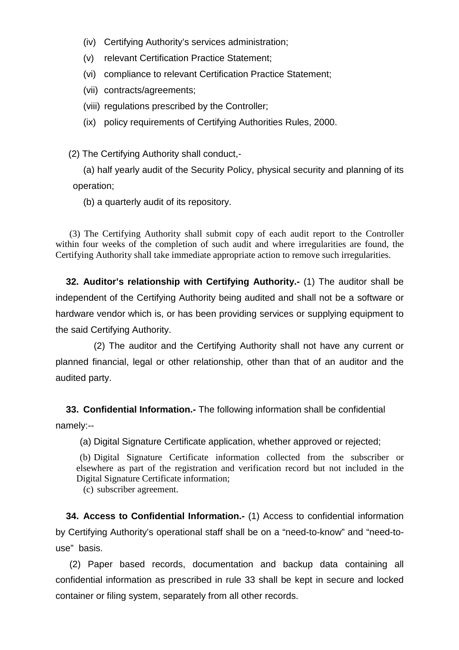- (iv) Certifying Authority's services administration;
- (v) relevant Certification Practice Statement;
- (vi) compliance to relevant Certification Practice Statement;
- (vii) contracts/agreements;
- (viii) regulations prescribed by the Controller;
- (ix) policy requirements of Certifying Authorities Rules, 2000.

(2) The Certifying Authority shall conduct,-

(a) half yearly audit of the Security Policy, physical security and planning of its operation;

(b) a quarterly audit of its repository.

(3) The Certifying Authority shall submit copy of each audit report to the Controller within four weeks of the completion of such audit and where irregularities are found, the Certifying Authority shall take immediate appropriate action to remove such irregularities.

**32. Auditor's relationship with Certifying Authority.-** (1) The auditor shall be independent of the Certifying Authority being audited and shall not be a software or hardware vendor which is, or has been providing services or supplying equipment to the said Certifying Authority.

(2) The auditor and the Certifying Authority shall not have any current or planned financial, legal or other relationship, other than that of an auditor and the audited party.

**33. Confidential Information.-** The following information shall be confidential namely:--

(a) Digital Signature Certificate application, whether approved or rejected;

(b) Digital Signature Certificate information collected from the subscriber or elsewhere as part of the registration and verification record but not included in the Digital Signature Certificate information;

(c) subscriber agreement.

**34. Access to Confidential Information.-** (1) Access to confidential information by Certifying Authority's operational staff shall be on a "need-to-know" and "need-touse" basis.

(2) Paper based records, documentation and backup data containing all confidential information as prescribed in rule 33 shall be kept in secure and locked container or filing system, separately from all other records.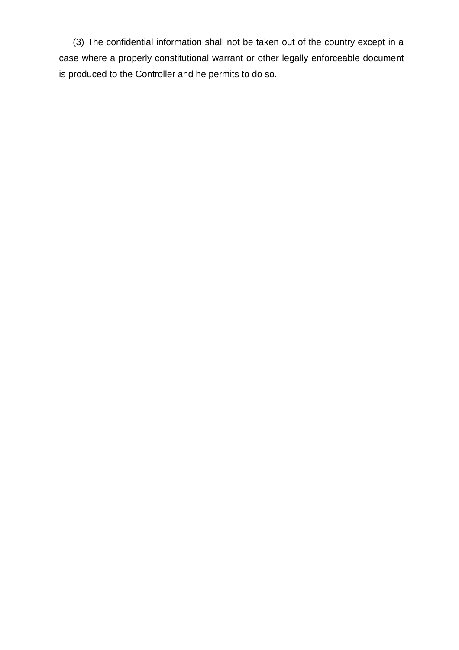(3) The confidential information shall not be taken out of the country except in a case where a properly constitutional warrant or other legally enforceable document is produced to the Controller and he permits to do so.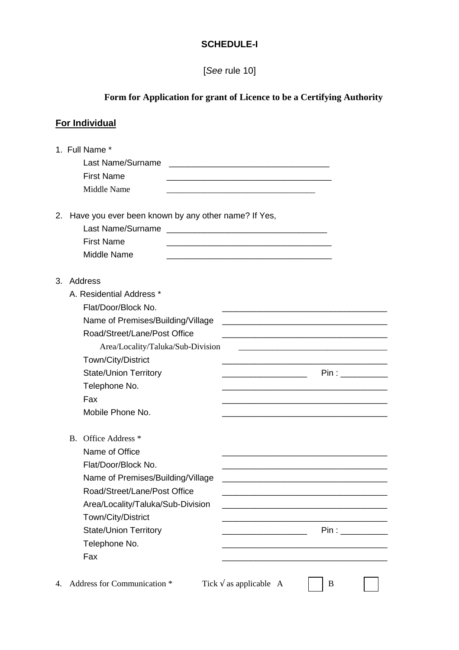# **SCHEDULE-I**

# [*See* rule 10]

# **Form for Application for grant of Licence to be a Certifying Authority**

|    | <b>For Individual</b>                                                                                                                                                                                                                                                     |                                 |                                                                                                                       |  |
|----|---------------------------------------------------------------------------------------------------------------------------------------------------------------------------------------------------------------------------------------------------------------------------|---------------------------------|-----------------------------------------------------------------------------------------------------------------------|--|
|    | 1. Full Name *<br>Last Name/Surname<br><b>First Name</b><br>Middle Name                                                                                                                                                                                                   |                                 |                                                                                                                       |  |
|    | 2. Have you ever been known by any other name? If Yes,<br>Last Name/Surname<br><b>First Name</b><br><b>Middle Name</b>                                                                                                                                                    |                                 |                                                                                                                       |  |
|    | 3. Address<br>A. Residential Address *<br>Flat/Door/Block No.<br>Name of Premises/Building/Village<br>Road/Street/Lane/Post Office<br>Area/Locality/Taluka/Sub-Division<br>Town/City/District<br><b>State/Union Territory</b><br>Telephone No.<br>Fax<br>Mobile Phone No. |                                 |                                                                                                                       |  |
|    | B. Office Address *<br>Name of Office<br>Flat/Door/Block No.<br>Name of Premises/Building/Village<br>Road/Street/Lane/Post Office<br>Area/Locality/Taluka/Sub-Division<br>Town/City/District<br><b>State/Union Territory</b><br>Telephone No.<br>Fax                      |                                 | <u> 1980 - Johann Barn, marwolaethau a bhann an t-Amhainn an t-Amhainn an t-Amhainn an t-Amhainn an t-Amhainn an </u> |  |
| 4. | Address for Communication <sup>*</sup>                                                                                                                                                                                                                                    | Tick $\sqrt{ }$ as applicable A | B                                                                                                                     |  |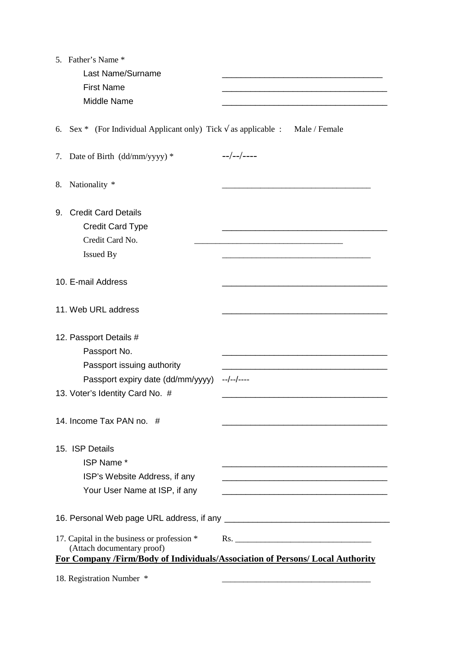|    | 5. Father's Name *                                                                     |                                                                                                                        |
|----|----------------------------------------------------------------------------------------|------------------------------------------------------------------------------------------------------------------------|
|    | Last Name/Surname                                                                      |                                                                                                                        |
|    | <b>First Name</b>                                                                      |                                                                                                                        |
|    | <b>Middle Name</b>                                                                     |                                                                                                                        |
|    | 6. Sex * (For Individual Applicant only) Tick $\sqrt{x}$ as applicable : Male / Female |                                                                                                                        |
|    | 7. Date of Birth (dd/mm/yyyy) *                                                        | $- - / - - / - - - -$                                                                                                  |
| 8. | Nationality *                                                                          |                                                                                                                        |
| 9. | <b>Credit Card Details</b>                                                             |                                                                                                                        |
|    | <b>Credit Card Type</b>                                                                |                                                                                                                        |
|    | Credit Card No.                                                                        |                                                                                                                        |
|    | <b>Issued By</b>                                                                       |                                                                                                                        |
|    | 10. E-mail Address                                                                     |                                                                                                                        |
|    | 11. Web URL address                                                                    |                                                                                                                        |
|    | 12. Passport Details #                                                                 |                                                                                                                        |
|    | Passport No.                                                                           |                                                                                                                        |
|    | Passport issuing authority                                                             |                                                                                                                        |
|    | Passport expiry date (dd/mm/yyyy)                                                      | --/--/----                                                                                                             |
|    | 13. Voter's Identity Card No. #                                                        |                                                                                                                        |
|    | 14. Income Tax PAN no. #                                                               |                                                                                                                        |
|    | 15. ISP Details                                                                        |                                                                                                                        |
|    | ISP Name *                                                                             | <u> 1989 - Johann Stein, marwolaethau a bhann an t-Amhair an t-Amhair an t-Amhair an t-Amhair an t-Amhair an t-A</u>   |
|    | ISP's Website Address, if any                                                          |                                                                                                                        |
|    | Your User Name at ISP, if any                                                          |                                                                                                                        |
|    |                                                                                        |                                                                                                                        |
|    | 17. Capital in the business or profession *                                            |                                                                                                                        |
|    | (Attach documentary proof)                                                             | For Company /Firm/Body of Individuals/Association of Persons/ Local Authority                                          |
|    | 18. Registration Number *                                                              | <u> The Common State of the Common State of the Common State of the Common State of the Common State of the Common</u> |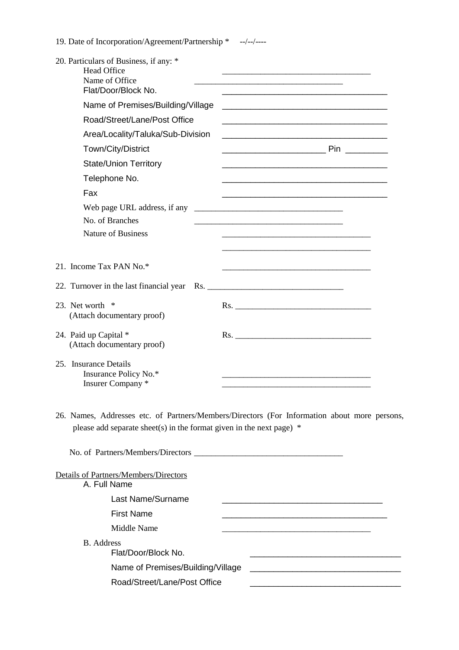| 19. Date of Incorporation/Agreement/Partnership * --/--/----                                          |                                                                                                                              |
|-------------------------------------------------------------------------------------------------------|------------------------------------------------------------------------------------------------------------------------------|
| 20. Particulars of Business, if any: *<br><b>Head Office</b><br>Name of Office<br>Flat/Door/Block No. | <u> 1980 - Johann Barbara, martin amerikan basar dan berasal dalam basa dalam basar dalam basar dalam basa dalam</u>         |
| Name of Premises/Building/Village                                                                     |                                                                                                                              |
| Road/Street/Lane/Post Office                                                                          |                                                                                                                              |
| Area/Locality/Taluka/Sub-Division                                                                     |                                                                                                                              |
| Town/City/District                                                                                    |                                                                                                                              |
| <b>State/Union Territory</b>                                                                          |                                                                                                                              |
| Telephone No.                                                                                         |                                                                                                                              |
| Fax                                                                                                   |                                                                                                                              |
| No. of Branches<br>Nature of Business                                                                 | <u> 1989 - John Stein, Amerikaansk politiker (</u> † 1920)<br><u> 1989 - Johann Barbara, margaret eta idazlea (h. 1989).</u> |
| 21. Income Tax PAN No.*                                                                               |                                                                                                                              |
| 22. Turnover in the last financial year                                                               |                                                                                                                              |
| 23. Net worth<br>(Attach documentary proof)                                                           |                                                                                                                              |
| 24. Paid up Capital *<br>(Attach documentary proof)                                                   |                                                                                                                              |
| 25. Insurance Details<br>Insurance Policy No.*<br>Insurer Company *                                   | <u> 1989 - Johann Stein, marwolaethau a bhann an t-Amhair an t-Amhair an t-Amhair an t-Amhair an t-Amhair an t-A</u>         |
|                                                                                                       | 26. Names, Addresses etc. of Partners/Members/Directors (For Information about more persons,                                 |

please add separate sheet(s) in the format given in the next page) \*

| No. of Partners/Members/Directors                     | <u> 1989 - Andrea State Barbara, amerikan personal di sebagai personal di sebagai personal di sebagai personal d</u> |
|-------------------------------------------------------|----------------------------------------------------------------------------------------------------------------------|
| Details of Partners/Members/Directors<br>A. Full Name |                                                                                                                      |
| Last Name/Surname                                     |                                                                                                                      |
| <b>First Name</b>                                     |                                                                                                                      |
| Middle Name                                           |                                                                                                                      |
| <b>B.</b> Address<br>Flat/Door/Block No.              |                                                                                                                      |
| Name of Premises/Building/Village                     |                                                                                                                      |
| Road/Street/Lane/Post Office                          |                                                                                                                      |
|                                                       |                                                                                                                      |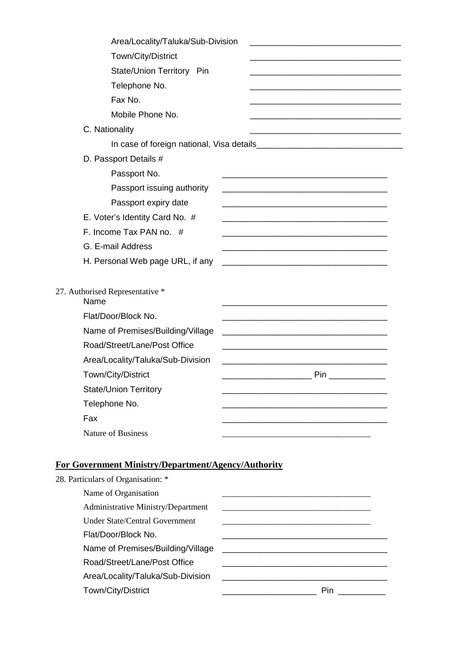| Area/Locality/Taluka/Sub-Division                                                         | <u> 1989 - Johann Barbara, martxa al III-lea (h. 1989).</u>                                                                                                                                                                          |
|-------------------------------------------------------------------------------------------|--------------------------------------------------------------------------------------------------------------------------------------------------------------------------------------------------------------------------------------|
| Town/City/District                                                                        |                                                                                                                                                                                                                                      |
| State/Union Territory Pin                                                                 |                                                                                                                                                                                                                                      |
| Telephone No.                                                                             |                                                                                                                                                                                                                                      |
| Fax No.                                                                                   |                                                                                                                                                                                                                                      |
| Mobile Phone No.                                                                          |                                                                                                                                                                                                                                      |
| C. Nationality                                                                            |                                                                                                                                                                                                                                      |
|                                                                                           |                                                                                                                                                                                                                                      |
| D. Passport Details #                                                                     |                                                                                                                                                                                                                                      |
| Passport No.                                                                              |                                                                                                                                                                                                                                      |
| Passport issuing authority                                                                |                                                                                                                                                                                                                                      |
| Passport expiry date                                                                      |                                                                                                                                                                                                                                      |
| E. Voter's Identity Card No. #                                                            |                                                                                                                                                                                                                                      |
| F. Income Tax PAN no. #                                                                   |                                                                                                                                                                                                                                      |
| G. E-mail Address                                                                         |                                                                                                                                                                                                                                      |
| H. Personal Web page URL, if any                                                          |                                                                                                                                                                                                                                      |
| 27. Authorised Representative *<br>Name                                                   |                                                                                                                                                                                                                                      |
| Flat/Door/Block No.                                                                       |                                                                                                                                                                                                                                      |
| Name of Premises/Building/Village                                                         |                                                                                                                                                                                                                                      |
| Road/Street/Lane/Post Office                                                              |                                                                                                                                                                                                                                      |
| Area/Locality/Taluka/Sub-Division                                                         |                                                                                                                                                                                                                                      |
| Town/City/District                                                                        | <b>Pinaming the contract of the contract of the contract of the contract of the contract of the contract of the contract of the contract of the contract of the contract of the contract of the contract of the contract of the </b> |
| <b>State/Union Territory</b>                                                              |                                                                                                                                                                                                                                      |
| Telephone No.                                                                             |                                                                                                                                                                                                                                      |
| Fax                                                                                       |                                                                                                                                                                                                                                      |
| <b>Nature of Business</b>                                                                 |                                                                                                                                                                                                                                      |
|                                                                                           |                                                                                                                                                                                                                                      |
| For Government Ministry/Department/Agency/Authority<br>28. Particulars of Organisation: * |                                                                                                                                                                                                                                      |
| Name of Organisation                                                                      |                                                                                                                                                                                                                                      |
| <b>Administrative Ministry/Department</b>                                                 |                                                                                                                                                                                                                                      |
| <b>Under State/Central Government</b>                                                     |                                                                                                                                                                                                                                      |
| Flat/Door/Block No.                                                                       |                                                                                                                                                                                                                                      |
| Name of Premises/Building/Village                                                         |                                                                                                                                                                                                                                      |
| Road/Street/Lane/Post Office                                                              |                                                                                                                                                                                                                                      |
| Area/Locality/Taluka/Sub-Division                                                         |                                                                                                                                                                                                                                      |
| Town/City/District                                                                        | Pin                                                                                                                                                                                                                                  |
|                                                                                           |                                                                                                                                                                                                                                      |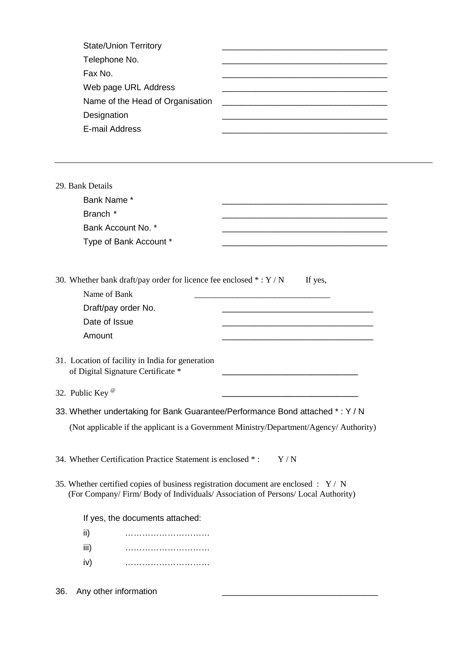| <b>State/Union Territory</b>                                                                                                                                         |                                                                                                                                                                         |
|----------------------------------------------------------------------------------------------------------------------------------------------------------------------|-------------------------------------------------------------------------------------------------------------------------------------------------------------------------|
| Telephone No.                                                                                                                                                        |                                                                                                                                                                         |
| Fax No.                                                                                                                                                              |                                                                                                                                                                         |
| Web page URL Address                                                                                                                                                 |                                                                                                                                                                         |
| Name of the Head of Organisation                                                                                                                                     |                                                                                                                                                                         |
| Designation                                                                                                                                                          |                                                                                                                                                                         |
| E-mail Address                                                                                                                                                       |                                                                                                                                                                         |
|                                                                                                                                                                      |                                                                                                                                                                         |
| 29. Bank Details                                                                                                                                                     |                                                                                                                                                                         |
| Bank Name*                                                                                                                                                           |                                                                                                                                                                         |
| Branch *                                                                                                                                                             |                                                                                                                                                                         |
| Bank Account No. *                                                                                                                                                   |                                                                                                                                                                         |
| Type of Bank Account *                                                                                                                                               |                                                                                                                                                                         |
|                                                                                                                                                                      |                                                                                                                                                                         |
| 30. Whether bank draft/pay order for licence fee enclosed $* : Y / N$                                                                                                |                                                                                                                                                                         |
| Name of Bank<br>Draft/pay order No.<br>Date of Issue<br>Amount                                                                                                       | If yes,                                                                                                                                                                 |
| 31. Location of facility in India for generation<br>of Digital Signature Certificate *                                                                               |                                                                                                                                                                         |
| 32. Public Key $^\circ$                                                                                                                                              |                                                                                                                                                                         |
|                                                                                                                                                                      |                                                                                                                                                                         |
|                                                                                                                                                                      | 33. Whether undertaking for Bank Guarantee/Performance Bond attached *: Y / N<br>(Not applicable if the applicant is a Government Ministry/Department/Agency/Authority) |
| 34. Whether Certification Practice Statement is enclosed *:                                                                                                          | Y/N                                                                                                                                                                     |
| 35. Whether certified copies of business registration document are enclosed : Y / N<br>(For Company/Firm/Body of Individuals/Association of Persons/Local Authority) |                                                                                                                                                                         |
| If yes, the documents attached:                                                                                                                                      |                                                                                                                                                                         |
| ii)                                                                                                                                                                  |                                                                                                                                                                         |
| iii)                                                                                                                                                                 |                                                                                                                                                                         |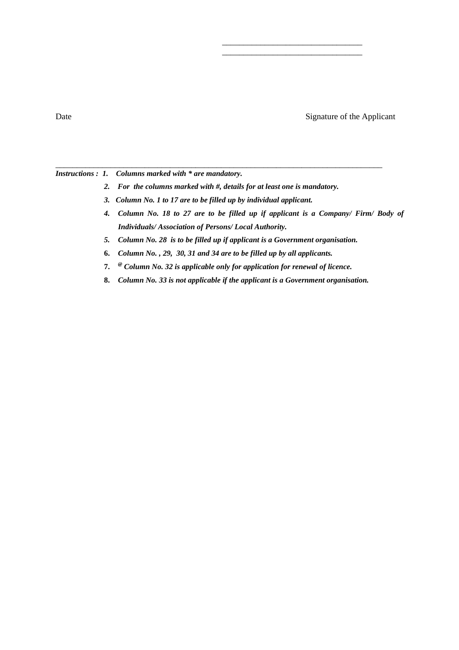\_\_\_\_\_\_\_\_\_\_\_\_\_\_\_\_\_\_\_\_\_\_\_\_\_\_\_\_\_\_\_\_\_ \_\_\_\_\_\_\_\_\_\_\_\_\_\_\_\_\_\_\_\_\_\_\_\_\_\_\_\_\_\_\_\_\_

*Instructions : 1. Columns marked with \* are mandatory.*

*2. For the columns marked with #, details for at least one is mandatory.*

\_\_\_\_\_\_\_\_\_\_\_\_\_\_\_\_\_\_\_\_\_\_\_\_\_\_\_\_\_\_\_\_\_\_\_\_\_\_\_\_\_\_\_\_\_\_\_\_\_\_\_\_\_\_\_\_\_\_\_\_\_\_\_\_\_\_\_\_\_\_\_\_\_\_\_\_\_

- *3. Column No. 1 to 17 are to be filled up by individual applicant.*
- *4. Column No. 18 to 27 are to be filled up if applicant is a Company/ Firm/ Body of Individuals/ Association of Persons/ Local Authority.*
- *5. Column No. 28 is to be filled up if applicant is a Government organisation.*
- **6.** *Column No. , 29, 30, 31 and 34 are to be filled up by all applicants.*
- **7.** *@ Column No. 32 is applicable only for application for renewal of licence.*
- **8.** *Column No. 33 is not applicable if the applicant is a Government organisation.*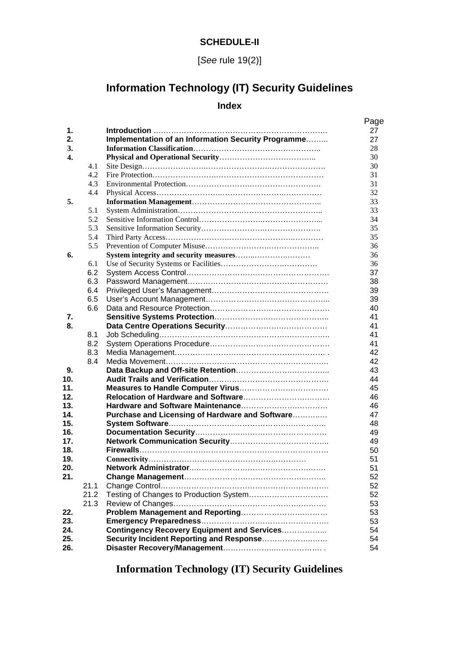# **SCHEDULE-II**

[*See* rule 19(2)]

# **Information Technology (IT) Security Guidelines**

# **Index**

|                  |      |                                                     | Page |
|------------------|------|-----------------------------------------------------|------|
| 1.               |      |                                                     | 27   |
| 2.               |      | Implementation of an Information Security Programme | 27   |
| 3.               |      |                                                     | 28   |
| $\overline{4}$ . |      |                                                     | 30   |
|                  | 4.1  |                                                     | 30   |
|                  | 4.2  |                                                     | 31   |
|                  | 4.3  |                                                     | 31   |
|                  | 4.4  |                                                     | 32   |
| 5.               |      |                                                     | 33   |
|                  | 5.1  |                                                     | 33   |
|                  | 5.2  |                                                     | 34   |
|                  | 5.3  |                                                     | 35   |
|                  | 5.4  |                                                     | 35   |
|                  | 5.5  |                                                     | 36   |
| 6.               |      |                                                     | 36   |
|                  | 6.1  |                                                     | 36   |
|                  | 6.2  |                                                     | 37   |
|                  | 6.3  |                                                     | 38   |
|                  | 6.4  |                                                     | 39   |
|                  | 6.5  |                                                     | 39   |
|                  | 6.6  |                                                     | 40   |
| 7.               |      |                                                     | 41   |
| 8.               |      |                                                     | 41   |
|                  | 8.1  |                                                     | 41   |
|                  | 8.2  |                                                     | 41   |
|                  | 8.3  |                                                     | 42   |
|                  | 8.4  |                                                     | 42   |
| 9.               |      |                                                     | 43   |
| 10.              |      |                                                     | 44   |
| 11.              |      |                                                     | 45   |
| 12.              |      |                                                     | 46   |
| 13.              |      |                                                     | 46   |
| 14.              |      | Purchase and Licensing of Hardware and Software     | 47   |
| 15.              |      |                                                     | 48   |
| 16.              |      |                                                     | 49   |
| 17.              |      |                                                     | 49   |
| 18.              |      |                                                     | 50   |
| 19.              |      |                                                     | 51   |
| 20.              |      |                                                     | 51   |
| 21.              |      |                                                     | 52   |
|                  | 21.1 |                                                     | 52   |
|                  | 21.2 |                                                     | 52   |
|                  | 21.3 |                                                     | 53   |
| 22.              |      |                                                     | 53   |
| 23.              |      |                                                     | 53   |
| 24.              |      | <b>Contingency Recovery Equipment and Services</b>  | 54   |
| 25.              |      | Security Incident Reporting and Response            | 54   |
| 26.              |      |                                                     | 54   |
|                  |      |                                                     |      |

**Information Technology (IT) Security Guidelines**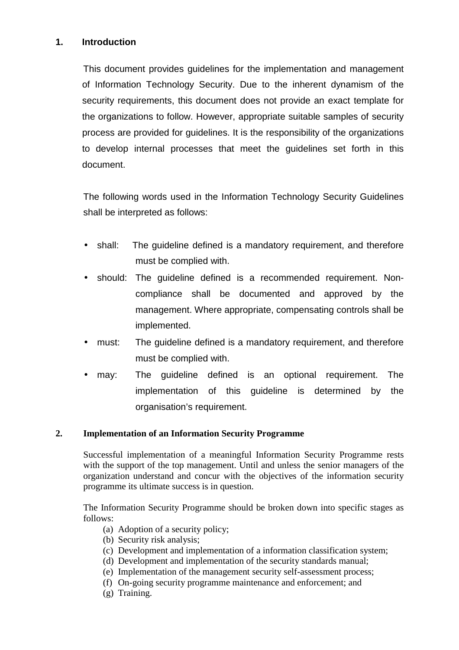# **1. Introduction**

This document provides guidelines for the implementation and management of Information Technology Security. Due to the inherent dynamism of the security requirements, this document does not provide an exact template for the organizations to follow. However, appropriate suitable samples of security process are provided for guidelines. It is the responsibility of the organizations to develop internal processes that meet the guidelines set forth in this document.

The following words used in the Information Technology Security Guidelines shall be interpreted as follows:

- shall: The guideline defined is a mandatory requirement, and therefore must be complied with.
- should: The guideline defined is a recommended requirement. Noncompliance shall be documented and approved by the management. Where appropriate, compensating controls shall be implemented.
- must: The guideline defined is a mandatory requirement, and therefore must be complied with.
- may: The guideline defined is an optional requirement. The implementation of this guideline is determined by the organisation's requirement.

#### **2. Implementation of an Information Security Programme**

Successful implementation of a meaningful Information Security Programme rests with the support of the top management. Until and unless the senior managers of the organization understand and concur with the objectives of the information security programme its ultimate success is in question.

The Information Security Programme should be broken down into specific stages as follows:

- (a) Adoption of a security policy;
- (b) Security risk analysis;
- (c) Development and implementation of a information classification system;
- (d) Development and implementation of the security standards manual;
- (e) Implementation of the management security self-assessment process;
- (f) On-going security programme maintenance and enforcement; and
- (g) Training.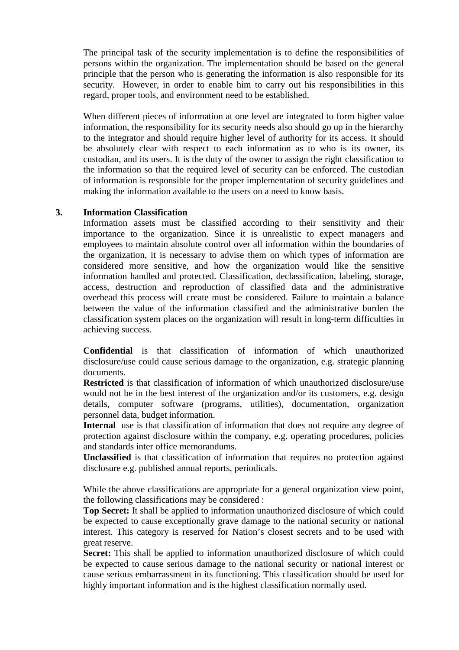The principal task of the security implementation is to define the responsibilities of persons within the organization. The implementation should be based on the general principle that the person who is generating the information is also responsible for its security. However, in order to enable him to carry out his responsibilities in this regard, proper tools, and environment need to be established.

When different pieces of information at one level are integrated to form higher value information, the responsibility for its security needs also should go up in the hierarchy to the integrator and should require higher level of authority for its access. It should be absolutely clear with respect to each information as to who is its owner, its custodian, and its users. It is the duty of the owner to assign the right classification to the information so that the required level of security can be enforced. The custodian of information is responsible for the proper implementation of security guidelines and making the information available to the users on a need to know basis.

#### **3. Information Classification**

Information assets must be classified according to their sensitivity and their importance to the organization. Since it is unrealistic to expect managers and employees to maintain absolute control over all information within the boundaries of the organization, it is necessary to advise them on which types of information are considered more sensitive, and how the organization would like the sensitive information handled and protected. Classification, declassification, labeling, storage, access, destruction and reproduction of classified data and the administrative overhead this process will create must be considered. Failure to maintain a balance between the value of the information classified and the administrative burden the classification system places on the organization will result in long-term difficulties in achieving success.

**Confidential** is that classification of information of which unauthorized disclosure/use could cause serious damage to the organization, e.g. strategic planning documents.

**Restricted** is that classification of information of which unauthorized disclosure/use would not be in the best interest of the organization and/or its customers, e.g. design details, computer software (programs, utilities), documentation, organization personnel data, budget information.

**Internal** use is that classification of information that does not require any degree of protection against disclosure within the company, e.g. operating procedures, policies and standards inter office memorandums.

**Unclassified** is that classification of information that requires no protection against disclosure e.g. published annual reports, periodicals.

While the above classifications are appropriate for a general organization view point, the following classifications may be considered :

**Top Secret:** It shall be applied to information unauthorized disclosure of which could be expected to cause exceptionally grave damage to the national security or national interest. This category is reserved for Nation's closest secrets and to be used with great reserve.

Secret: This shall be applied to information unauthorized disclosure of which could be expected to cause serious damage to the national security or national interest or cause serious embarrassment in its functioning. This classification should be used for highly important information and is the highest classification normally used.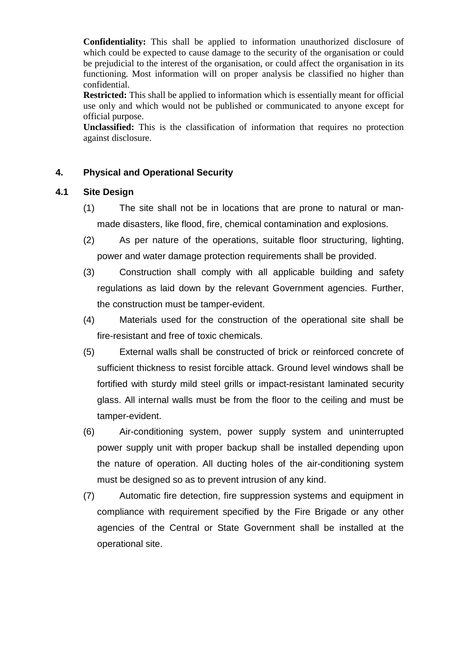**Confidentiality:** This shall be applied to information unauthorized disclosure of which could be expected to cause damage to the security of the organisation or could be prejudicial to the interest of the organisation, or could affect the organisation in its functioning. Most information will on proper analysis be classified no higher than confidential.

**Restricted:** This shall be applied to information which is essentially meant for official use only and which would not be published or communicated to anyone except for official purpose.

**Unclassified:** This is the classification of information that requires no protection against disclosure.

#### **4. Physical and Operational Security**

#### **4.1 Site Design**

- (1) The site shall not be in locations that are prone to natural or manmade disasters, like flood, fire, chemical contamination and explosions.
- (2) As per nature of the operations, suitable floor structuring, lighting, power and water damage protection requirements shall be provided.
- (3) Construction shall comply with all applicable building and safety regulations as laid down by the relevant Government agencies. Further, the construction must be tamper-evident.
- (4) Materials used for the construction of the operational site shall be fire-resistant and free of toxic chemicals.
- (5) External walls shall be constructed of brick or reinforced concrete of sufficient thickness to resist forcible attack. Ground level windows shall be fortified with sturdy mild steel grills or impact-resistant laminated security glass. All internal walls must be from the floor to the ceiling and must be tamper-evident.
- (6) Air-conditioning system, power supply system and uninterrupted power supply unit with proper backup shall be installed depending upon the nature of operation. All ducting holes of the air-conditioning system must be designed so as to prevent intrusion of any kind.
- (7) Automatic fire detection, fire suppression systems and equipment in compliance with requirement specified by the Fire Brigade or any other agencies of the Central or State Government shall be installed at the operational site.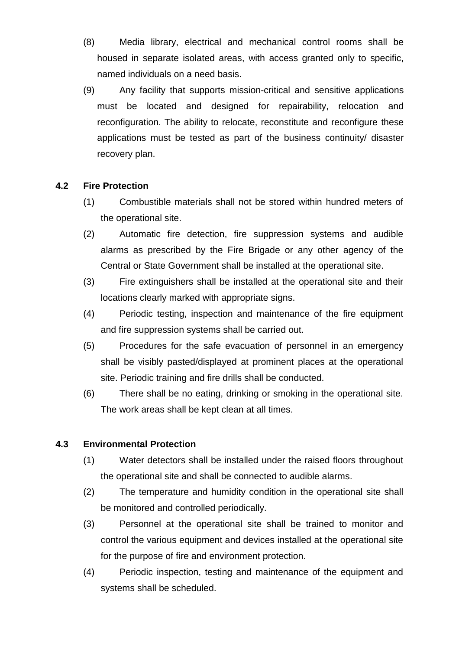- (8) Media library, electrical and mechanical control rooms shall be housed in separate isolated areas, with access granted only to specific, named individuals on a need basis.
- (9) Any facility that supports mission-critical and sensitive applications must be located and designed for repairability, relocation and reconfiguration. The ability to relocate, reconstitute and reconfigure these applications must be tested as part of the business continuity/ disaster recovery plan.

#### **4.2 Fire Protection**

- (1) Combustible materials shall not be stored within hundred meters of the operational site.
- (2) Automatic fire detection, fire suppression systems and audible alarms as prescribed by the Fire Brigade or any other agency of the Central or State Government shall be installed at the operational site.
- (3) Fire extinguishers shall be installed at the operational site and their locations clearly marked with appropriate signs.
- (4) Periodic testing, inspection and maintenance of the fire equipment and fire suppression systems shall be carried out.
- (5) Procedures for the safe evacuation of personnel in an emergency shall be visibly pasted/displayed at prominent places at the operational site. Periodic training and fire drills shall be conducted.
- (6) There shall be no eating, drinking or smoking in the operational site. The work areas shall be kept clean at all times.

# **4.3 Environmental Protection**

- (1) Water detectors shall be installed under the raised floors throughout the operational site and shall be connected to audible alarms.
- (2) The temperature and humidity condition in the operational site shall be monitored and controlled periodically.
- (3) Personnel at the operational site shall be trained to monitor and control the various equipment and devices installed at the operational site for the purpose of fire and environment protection.
- (4) Periodic inspection, testing and maintenance of the equipment and systems shall be scheduled.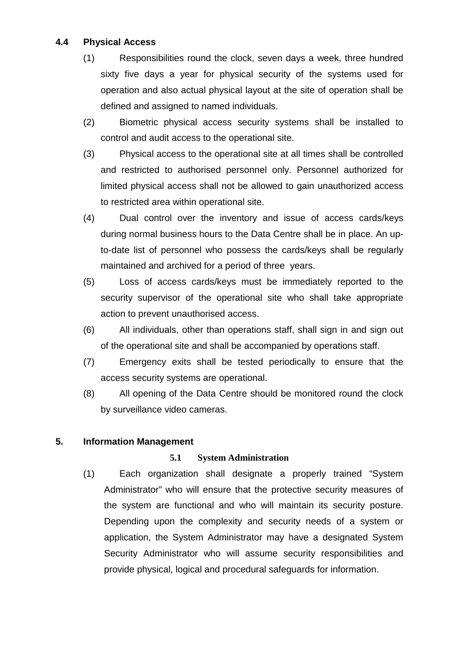# **4.4 Physical Access**

- (1) Responsibilities round the clock, seven days a week, three hundred sixty five days a year for physical security of the systems used for operation and also actual physical layout at the site of operation shall be defined and assigned to named individuals.
- (2) Biometric physical access security systems shall be installed to control and audit access to the operational site.
- (3) Physical access to the operational site at all times shall be controlled and restricted to authorised personnel only. Personnel authorized for limited physical access shall not be allowed to gain unauthorized access to restricted area within operational site.
- (4) Dual control over the inventory and issue of access cards/keys during normal business hours to the Data Centre shall be in place. An upto-date list of personnel who possess the cards/keys shall be regularly maintained and archived for a period of three years.
- (5) Loss of access cards/keys must be immediately reported to the security supervisor of the operational site who shall take appropriate action to prevent unauthorised access.
- (6) All individuals, other than operations staff, shall sign in and sign out of the operational site and shall be accompanied by operations staff.
- (7) Emergency exits shall be tested periodically to ensure that the access security systems are operational.
- (8) All opening of the Data Centre should be monitored round the clock by surveillance video cameras.

# **5. Information Management**

#### **5.1 System Administration**

(1) Each organization shall designate a properly trained "System Administrator" who will ensure that the protective security measures of the system are functional and who will maintain its security posture. Depending upon the complexity and security needs of a system or application, the System Administrator may have a designated System Security Administrator who will assume security responsibilities and provide physical, logical and procedural safeguards for information.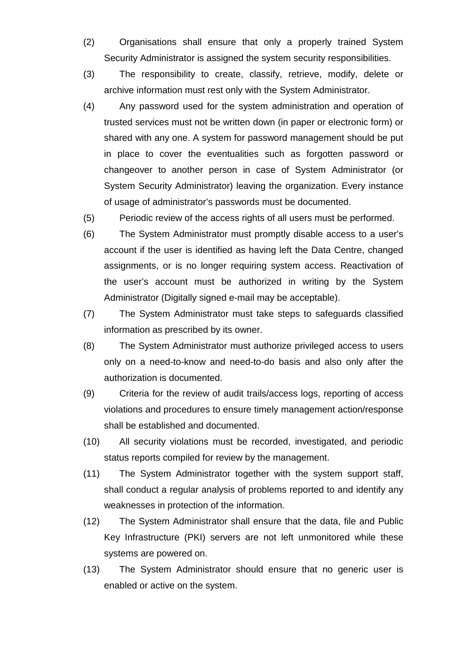- (2) Organisations shall ensure that only a properly trained System Security Administrator is assigned the system security responsibilities.
- (3) The responsibility to create, classify, retrieve, modify, delete or archive information must rest only with the System Administrator.
- (4) Any password used for the system administration and operation of trusted services must not be written down (in paper or electronic form) or shared with any one. A system for password management should be put in place to cover the eventualities such as forgotten password or changeover to another person in case of System Administrator (or System Security Administrator) leaving the organization. Every instance of usage of administrator's passwords must be documented.
- (5) Periodic review of the access rights of all users must be performed.
- (6) The System Administrator must promptly disable access to a user's account if the user is identified as having left the Data Centre, changed assignments, or is no longer requiring system access. Reactivation of the user's account must be authorized in writing by the System Administrator (Digitally signed e-mail may be acceptable).
- (7) The System Administrator must take steps to safeguards classified information as prescribed by its owner.
- (8) The System Administrator must authorize privileged access to users only on a need-to-know and need-to-do basis and also only after the authorization is documented.
- (9) Criteria for the review of audit trails/access logs, reporting of access violations and procedures to ensure timely management action/response shall be established and documented.
- (10) All security violations must be recorded, investigated, and periodic status reports compiled for review by the management.
- (11) The System Administrator together with the system support staff, shall conduct a regular analysis of problems reported to and identify any weaknesses in protection of the information.
- (12) The System Administrator shall ensure that the data, file and Public Key Infrastructure (PKI) servers are not left unmonitored while these systems are powered on.
- (13) The System Administrator should ensure that no generic user is enabled or active on the system.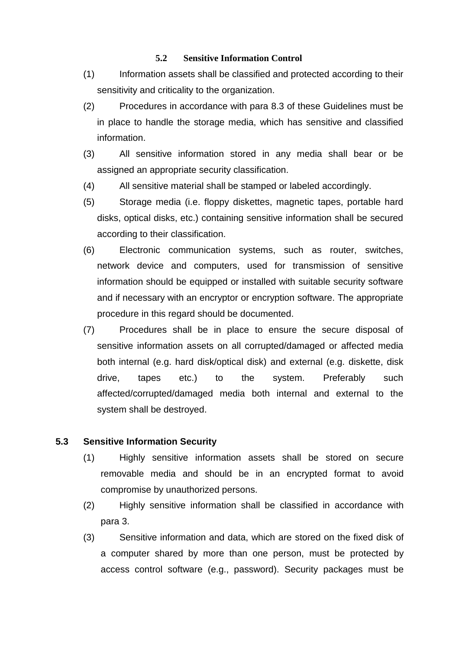#### **5.2 Sensitive Information Control**

- (1) Information assets shall be classified and protected according to their sensitivity and criticality to the organization.
- (2) Procedures in accordance with para 8.3 of these Guidelines must be in place to handle the storage media, which has sensitive and classified information.
- (3) All sensitive information stored in any media shall bear or be assigned an appropriate security classification.
- (4) All sensitive material shall be stamped or labeled accordingly.
- (5) Storage media (i.e. floppy diskettes, magnetic tapes, portable hard disks, optical disks, etc.) containing sensitive information shall be secured according to their classification.
- (6) Electronic communication systems, such as router, switches, network device and computers, used for transmission of sensitive information should be equipped or installed with suitable security software and if necessary with an encryptor or encryption software. The appropriate procedure in this regard should be documented.
- (7) Procedures shall be in place to ensure the secure disposal of sensitive information assets on all corrupted/damaged or affected media both internal (e.g. hard disk/optical disk) and external (e.g. diskette, disk drive, tapes etc.) to the system. Preferably such affected/corrupted/damaged media both internal and external to the system shall be destroyed.

#### **5.3 Sensitive Information Security**

- (1) Highly sensitive information assets shall be stored on secure removable media and should be in an encrypted format to avoid compromise by unauthorized persons.
- (2) Highly sensitive information shall be classified in accordance with para 3.
- (3) Sensitive information and data, which are stored on the fixed disk of a computer shared by more than one person, must be protected by access control software (e.g., password). Security packages must be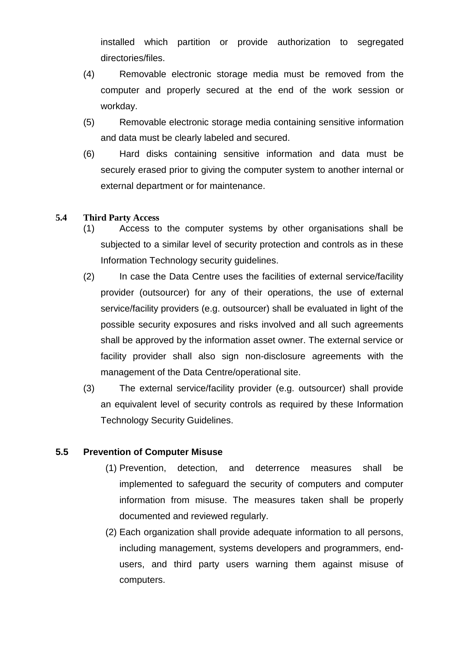installed which partition or provide authorization to segregated directories/files.

- (4) Removable electronic storage media must be removed from the computer and properly secured at the end of the work session or workday.
- (5) Removable electronic storage media containing sensitive information and data must be clearly labeled and secured.
- (6) Hard disks containing sensitive information and data must be securely erased prior to giving the computer system to another internal or external department or for maintenance.

#### **5.4 Third Party Access**

- (1) Access to the computer systems by other organisations shall be subjected to a similar level of security protection and controls as in these Information Technology security guidelines.
- (2) In case the Data Centre uses the facilities of external service/facility provider (outsourcer) for any of their operations, the use of external service/facility providers (e.g. outsourcer) shall be evaluated in light of the possible security exposures and risks involved and all such agreements shall be approved by the information asset owner. The external service or facility provider shall also sign non-disclosure agreements with the management of the Data Centre/operational site.
- (3) The external service/facility provider (e.g. outsourcer) shall provide an equivalent level of security controls as required by these Information Technology Security Guidelines.

#### **5.5 Prevention of Computer Misuse**

- (1) Prevention, detection, and deterrence measures shall be implemented to safeguard the security of computers and computer information from misuse. The measures taken shall be properly documented and reviewed regularly.
- (2) Each organization shall provide adequate information to all persons, including management, systems developers and programmers, endusers, and third party users warning them against misuse of computers.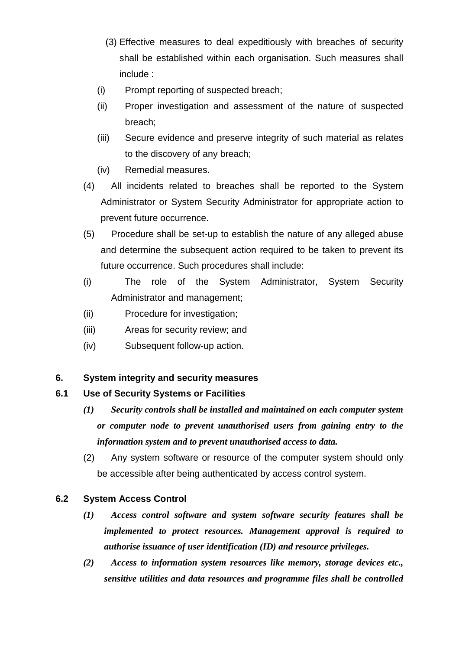- (3) Effective measures to deal expeditiously with breaches of security shall be established within each organisation. Such measures shall include :
- (i) Prompt reporting of suspected breach;
- (ii) Proper investigation and assessment of the nature of suspected breach;
- (iii) Secure evidence and preserve integrity of such material as relates to the discovery of any breach;
- (iv) Remedial measures.
- (4) All incidents related to breaches shall be reported to the System Administrator or System Security Administrator for appropriate action to prevent future occurrence.
- (5) Procedure shall be set-up to establish the nature of any alleged abuse and determine the subsequent action required to be taken to prevent its future occurrence. Such procedures shall include:
- (i) The role of the System Administrator, System Security Administrator and management;
- (ii) Procedure for investigation;
- (iii) Areas for security review; and
- (iv) Subsequent follow-up action.

# **6. System integrity and security measures**

# **6.1 Use of Security Systems or Facilities**

- *(1) Security controls shall be installed and maintained on each computer system or computer node to prevent unauthorised users from gaining entry to the information system and to prevent unauthorised access to data.*
- (2) Any system software or resource of the computer system should only be accessible after being authenticated by access control system.

# **6.2 System Access Control**

- *(1) Access control software and system software security features shall be implemented to protect resources. Management approval is required to authorise issuance of user identification (ID) and resource privileges.*
- *(2) Access to information system resources like memory, storage devices etc., sensitive utilities and data resources and programme files shall be controlled*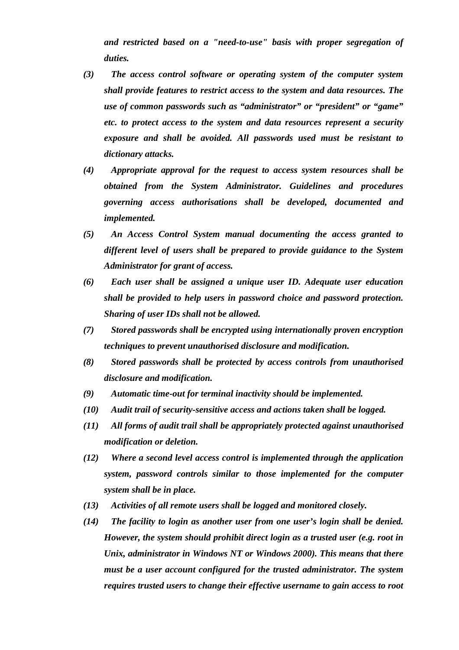*and restricted based on a "need-to-use" basis with proper segregation of duties.*

- *(3) The access control software or operating system of the computer system shall provide features to restrict access to the system and data resources. The use of common passwords such as "administrator" or "president" or "game" etc. to protect access to the system and data resources represent a security exposure and shall be avoided. All passwords used must be resistant to dictionary attacks.*
- *(4) Appropriate approval for the request to access system resources shall be obtained from the System Administrator. Guidelines and procedures governing access authorisations shall be developed, documented and implemented.*
- *(5) An Access Control System manual documenting the access granted to different level of users shall be prepared to provide guidance to the System Administrator for grant of access.*
- *(6) Each user shall be assigned a unique user ID. Adequate user education shall be provided to help users in password choice and password protection. Sharing of user IDs shall not be allowed.*
- *(7) Stored passwords shall be encrypted using internationally proven encryption techniques to prevent unauthorised disclosure and modification.*
- *(8) Stored passwords shall be protected by access controls from unauthorised disclosure and modification.*
- *(9) Automatic time-out for terminal inactivity should be implemented.*
- *(10) Audit trail of security-sensitive access and actions taken shall be logged.*
- *(11) All forms of audit trail shall be appropriately protected against unauthorised modification or deletion.*
- *(12) Where a second level access control is implemented through the application system, password controls similar to those implemented for the computer system shall be in place.*
- *(13) Activities of all remote users shall be logged and monitored closely.*
- *(14) The facility to login as another user from one user's login shall be denied. However, the system should prohibit direct login as a trusted user (e.g. root in Unix, administrator in Windows NT or Windows 2000). This means that there must be a user account configured for the trusted administrator. The system requires trusted users to change their effective username to gain access to root*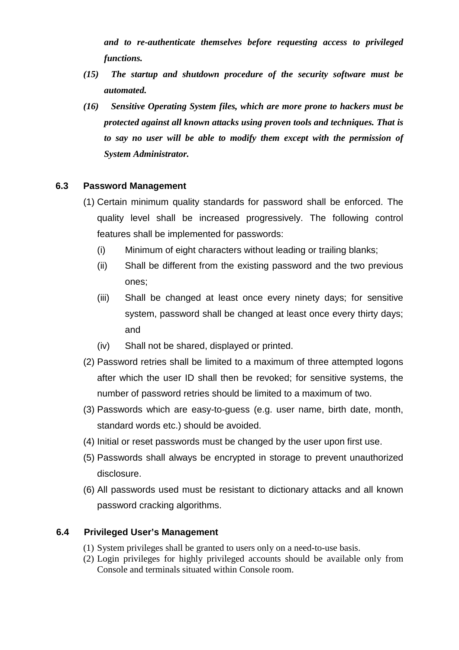*and to re-authenticate themselves before requesting access to privileged functions.*

- *(15) The startup and shutdown procedure of the security software must be automated.*
- *(16) Sensitive Operating System files, which are more prone to hackers must be protected against all known attacks using proven tools and techniques. That is to say no user will be able to modify them except with the permission of System Administrator.*

## **6.3 Password Management**

- (1) Certain minimum quality standards for password shall be enforced. The quality level shall be increased progressively. The following control features shall be implemented for passwords:
	- (i) Minimum of eight characters without leading or trailing blanks;
	- (ii) Shall be different from the existing password and the two previous ones;
	- (iii) Shall be changed at least once every ninety days; for sensitive system, password shall be changed at least once every thirty days; and
	- (iv) Shall not be shared, displayed or printed.
- (2) Password retries shall be limited to a maximum of three attempted logons after which the user ID shall then be revoked; for sensitive systems, the number of password retries should be limited to a maximum of two.
- (3) Passwords which are easy-to-guess (e.g. user name, birth date, month, standard words etc.) should be avoided.
- (4) Initial or reset passwords must be changed by the user upon first use.
- (5) Passwords shall always be encrypted in storage to prevent unauthorized disclosure.
- (6) All passwords used must be resistant to dictionary attacks and all known password cracking algorithms.

## **6.4 Privileged User's Management**

- (1) System privileges shall be granted to users only on a need-to-use basis.
- (2) Login privileges for highly privileged accounts should be available only from Console and terminals situated within Console room.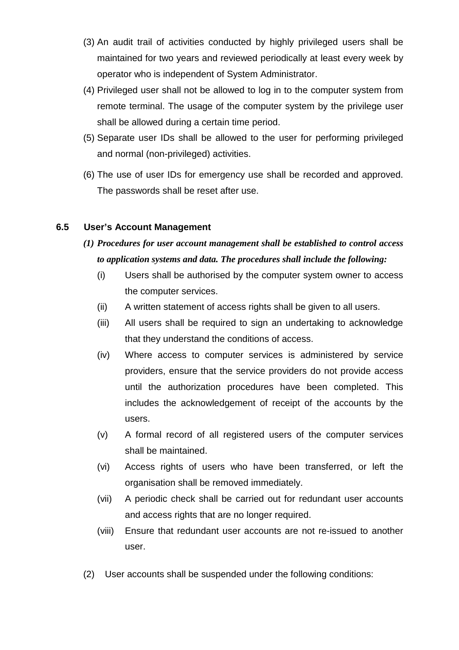- (3) An audit trail of activities conducted by highly privileged users shall be maintained for two years and reviewed periodically at least every week by operator who is independent of System Administrator.
- (4) Privileged user shall not be allowed to log in to the computer system from remote terminal. The usage of the computer system by the privilege user shall be allowed during a certain time period.
- (5) Separate user IDs shall be allowed to the user for performing privileged and normal (non-privileged) activities.
- (6) The use of user IDs for emergency use shall be recorded and approved. The passwords shall be reset after use.

#### **6.5 User's Account Management**

- *(1) Procedures for user account management shall be established to control access to application systems and data. The procedures shall include the following:*
	- (i) Users shall be authorised by the computer system owner to access the computer services.
	- (ii) A written statement of access rights shall be given to all users.
	- (iii) All users shall be required to sign an undertaking to acknowledge that they understand the conditions of access.
	- (iv) Where access to computer services is administered by service providers, ensure that the service providers do not provide access until the authorization procedures have been completed. This includes the acknowledgement of receipt of the accounts by the users.
	- (v) A formal record of all registered users of the computer services shall be maintained.
	- (vi) Access rights of users who have been transferred, or left the organisation shall be removed immediately.
	- (vii) A periodic check shall be carried out for redundant user accounts and access rights that are no longer required.
	- (viii) Ensure that redundant user accounts are not re-issued to another user.
- (2) User accounts shall be suspended under the following conditions: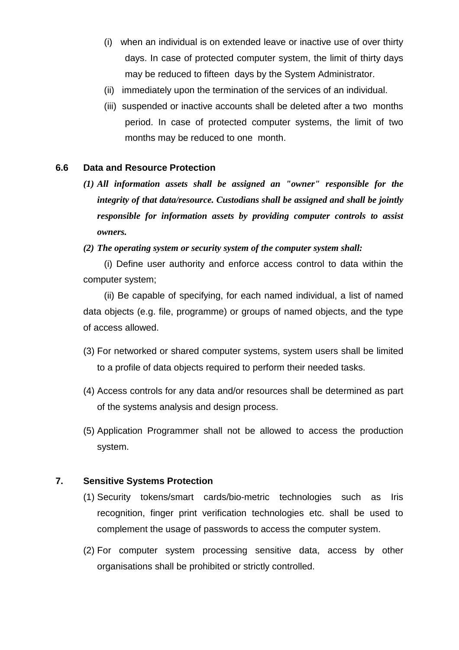- (i) when an individual is on extended leave or inactive use of over thirty days. In case of protected computer system, the limit of thirty days may be reduced to fifteen days by the System Administrator.
- (ii) immediately upon the termination of the services of an individual.
- (iii) suspended or inactive accounts shall be deleted after a two months period. In case of protected computer systems, the limit of two months may be reduced to one month.

#### **6.6 Data and Resource Protection**

- *(1) All information assets shall be assigned an "owner" responsible for the integrity of that data/resource. Custodians shall be assigned and shall be jointly responsible for information assets by providing computer controls to assist owners.*
- *(2) The operating system or security system of the computer system shall:*

(i) Define user authority and enforce access control to data within the computer system;

(ii) Be capable of specifying, for each named individual, a list of named data objects (e.g. file, programme) or groups of named objects, and the type of access allowed.

- (3) For networked or shared computer systems, system users shall be limited to a profile of data objects required to perform their needed tasks.
- (4) Access controls for any data and/or resources shall be determined as part of the systems analysis and design process.
- (5) Application Programmer shall not be allowed to access the production system.

#### **7. Sensitive Systems Protection**

- (1) Security tokens/smart cards/bio-metric technologies such as Iris recognition, finger print verification technologies etc. shall be used to complement the usage of passwords to access the computer system.
- (2) For computer system processing sensitive data, access by other organisations shall be prohibited or strictly controlled.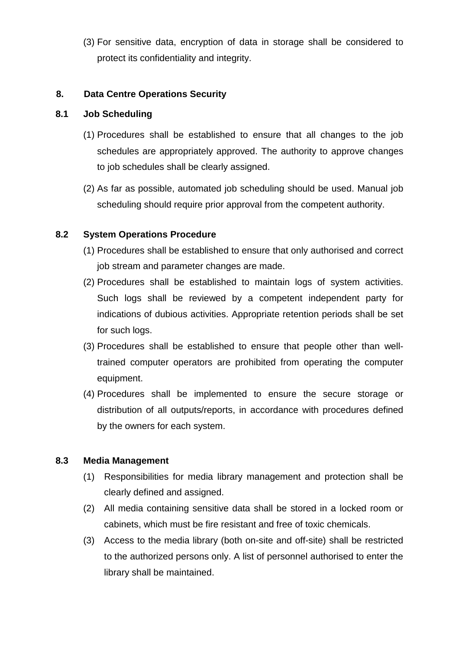(3) For sensitive data, encryption of data in storage shall be considered to protect its confidentiality and integrity.

## **8. Data Centre Operations Security**

## **8.1 Job Scheduling**

- (1) Procedures shall be established to ensure that all changes to the job schedules are appropriately approved. The authority to approve changes to job schedules shall be clearly assigned.
- (2) As far as possible, automated job scheduling should be used. Manual job scheduling should require prior approval from the competent authority.

## **8.2 System Operations Procedure**

- (1) Procedures shall be established to ensure that only authorised and correct job stream and parameter changes are made.
- (2) Procedures shall be established to maintain logs of system activities. Such logs shall be reviewed by a competent independent party for indications of dubious activities. Appropriate retention periods shall be set for such logs.
- (3) Procedures shall be established to ensure that people other than welltrained computer operators are prohibited from operating the computer equipment.
- (4) Procedures shall be implemented to ensure the secure storage or distribution of all outputs/reports, in accordance with procedures defined by the owners for each system.

## **8.3 Media Management**

- (1) Responsibilities for media library management and protection shall be clearly defined and assigned.
- (2) All media containing sensitive data shall be stored in a locked room or cabinets, which must be fire resistant and free of toxic chemicals.
- (3) Access to the media library (both on-site and off-site) shall be restricted to the authorized persons only. A list of personnel authorised to enter the library shall be maintained.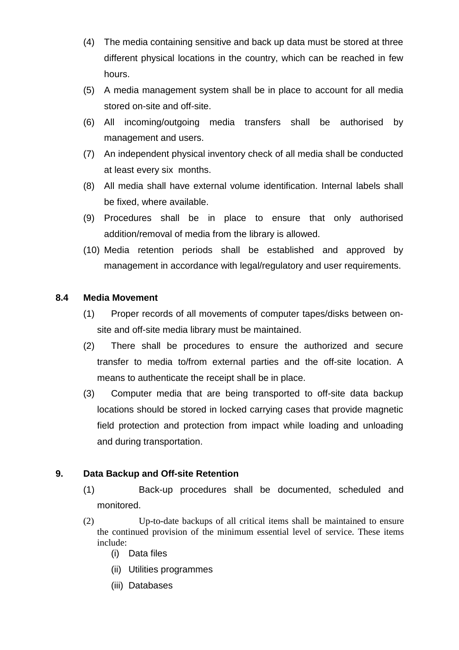- (4) The media containing sensitive and back up data must be stored at three different physical locations in the country, which can be reached in few hours.
- (5) A media management system shall be in place to account for all media stored on-site and off-site.
- (6) All incoming/outgoing media transfers shall be authorised by management and users.
- (7) An independent physical inventory check of all media shall be conducted at least every six months.
- (8) All media shall have external volume identification. Internal labels shall be fixed, where available.
- (9) Procedures shall be in place to ensure that only authorised addition/removal of media from the library is allowed.
- (10) Media retention periods shall be established and approved by management in accordance with legal/regulatory and user requirements.

## **8.4 Media Movement**

- (1) Proper records of all movements of computer tapes/disks between onsite and off-site media library must be maintained.
- (2) There shall be procedures to ensure the authorized and secure transfer to media to/from external parties and the off-site location. A means to authenticate the receipt shall be in place.
- (3) Computer media that are being transported to off-site data backup locations should be stored in locked carrying cases that provide magnetic field protection and protection from impact while loading and unloading and during transportation.

## **9. Data Backup and Off-site Retention**

- (1) Back-up procedures shall be documented, scheduled and monitored.
- (2) Up-to-date backups of all critical items shall be maintained to ensure the continued provision of the minimum essential level of service. These items include:
	- (i) Data files
	- (ii) Utilities programmes
	- (iii) Databases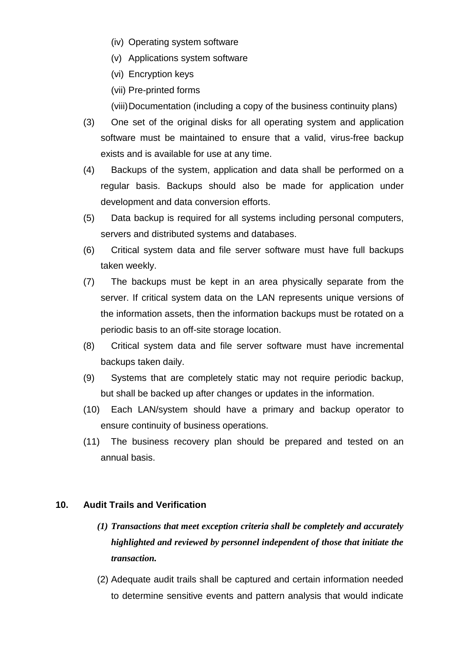- (iv) Operating system software
- (v) Applications system software
- (vi) Encryption keys
- (vii) Pre-printed forms

(viii) Documentation (including a copy of the business continuity plans)

- (3) One set of the original disks for all operating system and application software must be maintained to ensure that a valid, virus-free backup exists and is available for use at any time.
- (4) Backups of the system, application and data shall be performed on a regular basis. Backups should also be made for application under development and data conversion efforts.
- (5) Data backup is required for all systems including personal computers, servers and distributed systems and databases.
- (6) Critical system data and file server software must have full backups taken weekly.
- (7) The backups must be kept in an area physically separate from the server. If critical system data on the LAN represents unique versions of the information assets, then the information backups must be rotated on a periodic basis to an off-site storage location.
- (8) Critical system data and file server software must have incremental backups taken daily.
- (9) Systems that are completely static may not require periodic backup, but shall be backed up after changes or updates in the information.
- (10) Each LAN/system should have a primary and backup operator to ensure continuity of business operations.
- (11) The business recovery plan should be prepared and tested on an annual basis.

## **10. Audit Trails and Verification**

- *(1) Transactions that meet exception criteria shall be completely and accurately highlighted and reviewed by personnel independent of those that initiate the transaction.*
- (2) Adequate audit trails shall be captured and certain information needed to determine sensitive events and pattern analysis that would indicate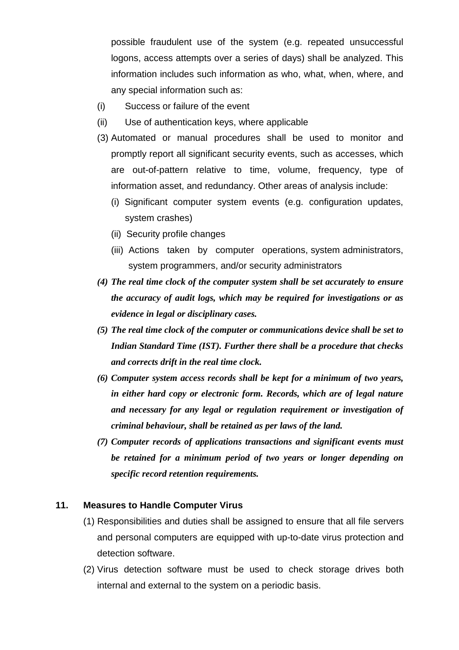possible fraudulent use of the system (e.g. repeated unsuccessful logons, access attempts over a series of days) shall be analyzed. This information includes such information as who, what, when, where, and any special information such as:

- (i) Success or failure of the event
- (ii) Use of authentication keys, where applicable
- (3) Automated or manual procedures shall be used to monitor and promptly report all significant security events, such as accesses, which are out-of-pattern relative to time, volume, frequency, type of information asset, and redundancy. Other areas of analysis include:
	- (i) Significant computer system events (e.g. configuration updates, system crashes)
	- (ii) Security profile changes
	- (iii) Actions taken by computer operations, system administrators, system programmers, and/or security administrators
- *(4) The real time clock of the computer system shall be set accurately to ensure the accuracy of audit logs, which may be required for investigations or as evidence in legal or disciplinary cases.*
- *(5) The real time clock of the computer or communications device shall be set to Indian Standard Time (IST). Further there shall be a procedure that checks and corrects drift in the real time clock.*
- *(6) Computer system access records shall be kept for a minimum of two years, in either hard copy or electronic form. Records, which are of legal nature and necessary for any legal or regulation requirement or investigation of criminal behaviour, shall be retained as per laws of the land.*
- *(7) Computer records of applications transactions and significant events must be retained for a minimum period of two years or longer depending on specific record retention requirements.*

#### **11. Measures to Handle Computer Virus**

- (1) Responsibilities and duties shall be assigned to ensure that all file servers and personal computers are equipped with up-to-date virus protection and detection software.
- (2) Virus detection software must be used to check storage drives both internal and external to the system on a periodic basis.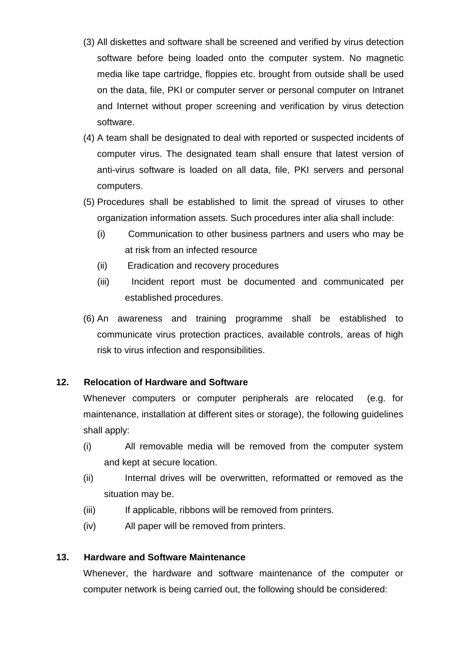- (3) All diskettes and software shall be screened and verified by virus detection software before being loaded onto the computer system. No magnetic media like tape cartridge, floppies etc. brought from outside shall be used on the data, file, PKI or computer server or personal computer on Intranet and Internet without proper screening and verification by virus detection software.
- (4) A team shall be designated to deal with reported or suspected incidents of computer virus. The designated team shall ensure that latest version of anti-virus software is loaded on all data, file, PKI servers and personal computers.
- (5) Procedures shall be established to limit the spread of viruses to other organization information assets. Such procedures inter alia shall include:
	- (i) Communication to other business partners and users who may be at risk from an infected resource
	- (ii) Eradication and recovery procedures
	- (iii) Incident report must be documented and communicated per established procedures.
- (6) An awareness and training programme shall be established to communicate virus protection practices, available controls, areas of high risk to virus infection and responsibilities.

## **12. Relocation of Hardware and Software**

Whenever computers or computer peripherals are relocated (e.g. for maintenance, installation at different sites or storage), the following guidelines shall apply:

- (i) All removable media will be removed from the computer system and kept at secure location.
- (ii) Internal drives will be overwritten, reformatted or removed as the situation may be.
- (iii) If applicable, ribbons will be removed from printers.
- (iv) All paper will be removed from printers.

## **13. Hardware and Software Maintenance**

Whenever, the hardware and software maintenance of the computer or computer network is being carried out, the following should be considered: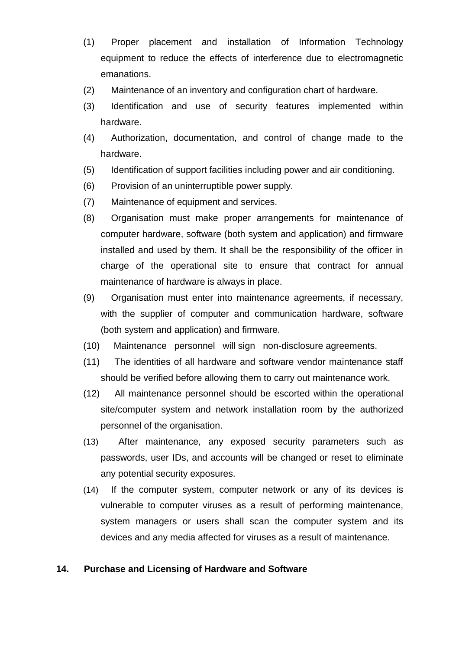- (1) Proper placement and installation of Information Technology equipment to reduce the effects of interference due to electromagnetic emanations.
- (2) Maintenance of an inventory and configuration chart of hardware.
- (3) Identification and use of security features implemented within hardware.
- (4) Authorization, documentation, and control of change made to the hardware.
- (5) Identification of support facilities including power and air conditioning.
- (6) Provision of an uninterruptible power supply.
- (7) Maintenance of equipment and services.
- (8) Organisation must make proper arrangements for maintenance of computer hardware, software (both system and application) and firmware installed and used by them. It shall be the responsibility of the officer in charge of the operational site to ensure that contract for annual maintenance of hardware is always in place.
- (9) Organisation must enter into maintenance agreements, if necessary, with the supplier of computer and communication hardware, software (both system and application) and firmware.
- (10) Maintenance personnel will sign non-disclosure agreements.
- (11) The identities of all hardware and software vendor maintenance staff should be verified before allowing them to carry out maintenance work.
- (12) All maintenance personnel should be escorted within the operational site/computer system and network installation room by the authorized personnel of the organisation.
- (13) After maintenance, any exposed security parameters such as passwords, user IDs, and accounts will be changed or reset to eliminate any potential security exposures.
- (14) If the computer system, computer network or any of its devices is vulnerable to computer viruses as a result of performing maintenance, system managers or users shall scan the computer system and its devices and any media affected for viruses as a result of maintenance.

#### **14. Purchase and Licensing of Hardware and Software**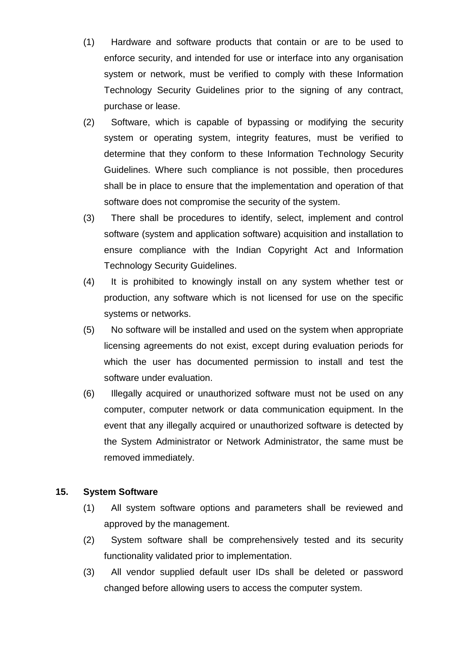- (1) Hardware and software products that contain or are to be used to enforce security, and intended for use or interface into any organisation system or network, must be verified to comply with these Information Technology Security Guidelines prior to the signing of any contract, purchase or lease.
- (2) Software, which is capable of bypassing or modifying the security system or operating system, integrity features, must be verified to determine that they conform to these Information Technology Security Guidelines. Where such compliance is not possible, then procedures shall be in place to ensure that the implementation and operation of that software does not compromise the security of the system.
- (3) There shall be procedures to identify, select, implement and control software (system and application software) acquisition and installation to ensure compliance with the Indian Copyright Act and Information Technology Security Guidelines.
- (4) It is prohibited to knowingly install on any system whether test or production, any software which is not licensed for use on the specific systems or networks.
- (5) No software will be installed and used on the system when appropriate licensing agreements do not exist, except during evaluation periods for which the user has documented permission to install and test the software under evaluation.
- (6) Illegally acquired or unauthorized software must not be used on any computer, computer network or data communication equipment. In the event that any illegally acquired or unauthorized software is detected by the System Administrator or Network Administrator, the same must be removed immediately.

## **15. System Software**

- (1) All system software options and parameters shall be reviewed and approved by the management.
- (2) System software shall be comprehensively tested and its security functionality validated prior to implementation.
- (3) All vendor supplied default user IDs shall be deleted or password changed before allowing users to access the computer system.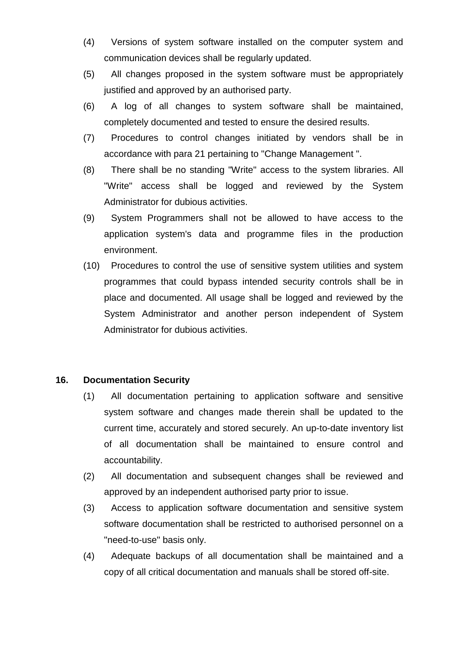- (4) Versions of system software installed on the computer system and communication devices shall be regularly updated.
- (5) All changes proposed in the system software must be appropriately justified and approved by an authorised party.
- (6) A log of all changes to system software shall be maintained, completely documented and tested to ensure the desired results.
- (7) Procedures to control changes initiated by vendors shall be in accordance with para 21 pertaining to "Change Management ".
- (8) There shall be no standing "Write" access to the system libraries. All "Write" access shall be logged and reviewed by the System Administrator for dubious activities.
- (9) System Programmers shall not be allowed to have access to the application system's data and programme files in the production environment.
- (10) Procedures to control the use of sensitive system utilities and system programmes that could bypass intended security controls shall be in place and documented. All usage shall be logged and reviewed by the System Administrator and another person independent of System Administrator for dubious activities.

## **16. Documentation Security**

- (1) All documentation pertaining to application software and sensitive system software and changes made therein shall be updated to the current time, accurately and stored securely. An up-to-date inventory list of all documentation shall be maintained to ensure control and accountability.
- (2) All documentation and subsequent changes shall be reviewed and approved by an independent authorised party prior to issue.
- (3) Access to application software documentation and sensitive system software documentation shall be restricted to authorised personnel on a "need-to-use" basis only.
- (4) Adequate backups of all documentation shall be maintained and a copy of all critical documentation and manuals shall be stored off-site.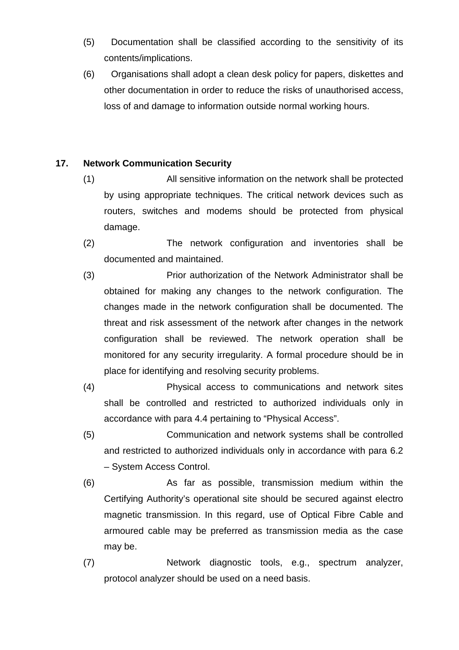- (5) Documentation shall be classified according to the sensitivity of its contents/implications.
- (6) Organisations shall adopt a clean desk policy for papers, diskettes and other documentation in order to reduce the risks of unauthorised access, loss of and damage to information outside normal working hours.

## **17. Network Communication Security**

- (1) All sensitive information on the network shall be protected by using appropriate techniques. The critical network devices such as routers, switches and modems should be protected from physical damage.
- (2) The network configuration and inventories shall be documented and maintained.
- (3) Prior authorization of the Network Administrator shall be obtained for making any changes to the network configuration. The changes made in the network configuration shall be documented. The threat and risk assessment of the network after changes in the network configuration shall be reviewed. The network operation shall be monitored for any security irregularity. A formal procedure should be in place for identifying and resolving security problems.
- (4) Physical access to communications and network sites shall be controlled and restricted to authorized individuals only in accordance with para 4.4 pertaining to "Physical Access".
- (5) Communication and network systems shall be controlled and restricted to authorized individuals only in accordance with para 6.2 – System Access Control.
- (6) As far as possible, transmission medium within the Certifying Authority's operational site should be secured against electro magnetic transmission. In this regard, use of Optical Fibre Cable and armoured cable may be preferred as transmission media as the case may be.
- (7) Network diagnostic tools, e.g., spectrum analyzer, protocol analyzer should be used on a need basis.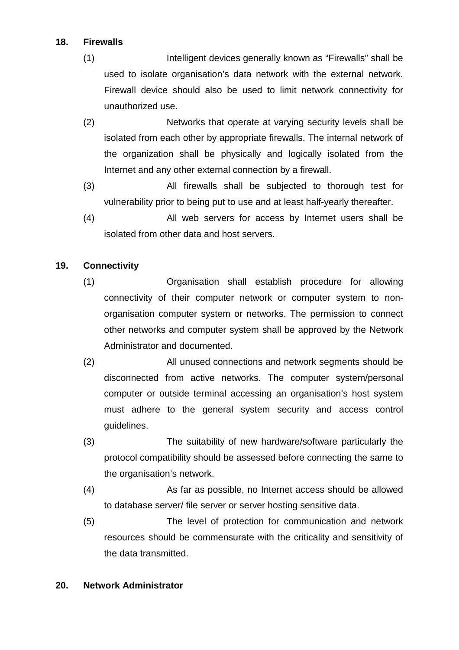## **18. Firewalls**

- (1) Intelligent devices generally known as "Firewalls" shall be used to isolate organisation's data network with the external network. Firewall device should also be used to limit network connectivity for unauthorized use.
- (2) Networks that operate at varying security levels shall be isolated from each other by appropriate firewalls. The internal network of the organization shall be physically and logically isolated from the Internet and any other external connection by a firewall.
- (3) All firewalls shall be subjected to thorough test for vulnerability prior to being put to use and at least half-yearly thereafter.
- (4) All web servers for access by Internet users shall be isolated from other data and host servers.

## **19. Connectivity**

- (1) Organisation shall establish procedure for allowing connectivity of their computer network or computer system to nonorganisation computer system or networks. The permission to connect other networks and computer system shall be approved by the Network Administrator and documented.
- (2) All unused connections and network segments should be disconnected from active networks. The computer system/personal computer or outside terminal accessing an organisation's host system must adhere to the general system security and access control guidelines.
- (3) The suitability of new hardware/software particularly the protocol compatibility should be assessed before connecting the same to the organisation's network.
- (4) As far as possible, no Internet access should be allowed to database server/ file server or server hosting sensitive data.
- (5) The level of protection for communication and network resources should be commensurate with the criticality and sensitivity of the data transmitted.

## **20. Network Administrator**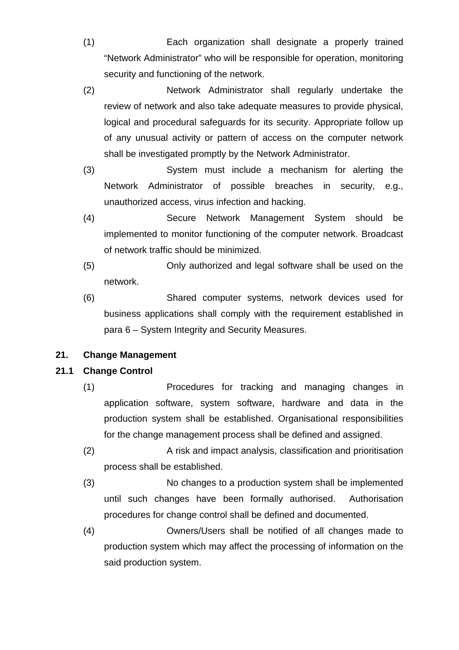(1) Each organization shall designate a properly trained "Network Administrator" who will be responsible for operation, monitoring security and functioning of the network.

(2) Network Administrator shall regularly undertake the review of network and also take adequate measures to provide physical, logical and procedural safeguards for its security. Appropriate follow up of any unusual activity or pattern of access on the computer network shall be investigated promptly by the Network Administrator.

(3) System must include a mechanism for alerting the Network Administrator of possible breaches in security, e.g., unauthorized access, virus infection and hacking.

- (4) Secure Network Management System should be implemented to monitor functioning of the computer network. Broadcast of network traffic should be minimized.
- (5) Only authorized and legal software shall be used on the network.
- (6) Shared computer systems, network devices used for business applications shall comply with the requirement established in para 6 – System Integrity and Security Measures.

## **21. Change Management**

## **21.1 Change Control**

- (1) Procedures for tracking and managing changes in application software, system software, hardware and data in the production system shall be established. Organisational responsibilities for the change management process shall be defined and assigned.
- (2) A risk and impact analysis, classification and prioritisation process shall be established.
- (3) No changes to a production system shall be implemented until such changes have been formally authorised. Authorisation procedures for change control shall be defined and documented.
- (4) Owners/Users shall be notified of all changes made to production system which may affect the processing of information on the said production system.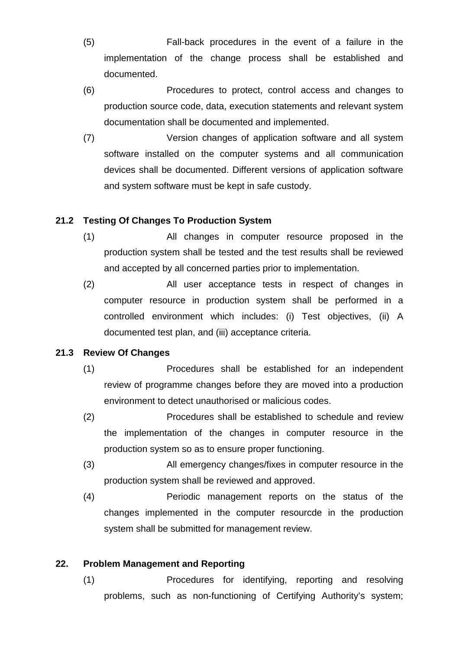- (5) Fall-back procedures in the event of a failure in the implementation of the change process shall be established and documented.
- (6) Procedures to protect, control access and changes to production source code, data, execution statements and relevant system documentation shall be documented and implemented.
- (7) Version changes of application software and all system software installed on the computer systems and all communication devices shall be documented. Different versions of application software and system software must be kept in safe custody.

## **21.2 Testing Of Changes To Production System**

- (1) All changes in computer resource proposed in the production system shall be tested and the test results shall be reviewed and accepted by all concerned parties prior to implementation.
- (2) All user acceptance tests in respect of changes in computer resource in production system shall be performed in a controlled environment which includes: (i) Test objectives, (ii) A documented test plan, and (iii) acceptance criteria.

## **21.3 Review Of Changes**

- (1) Procedures shall be established for an independent review of programme changes before they are moved into a production environment to detect unauthorised or malicious codes.
- (2) Procedures shall be established to schedule and review the implementation of the changes in computer resource in the production system so as to ensure proper functioning.
- (3) All emergency changes/fixes in computer resource in the production system shall be reviewed and approved.
- (4) Periodic management reports on the status of the changes implemented in the computer resourcde in the production system shall be submitted for management review.

## **22. Problem Management and Reporting**

(1) Procedures for identifying, reporting and resolving problems, such as non-functioning of Certifying Authority's system;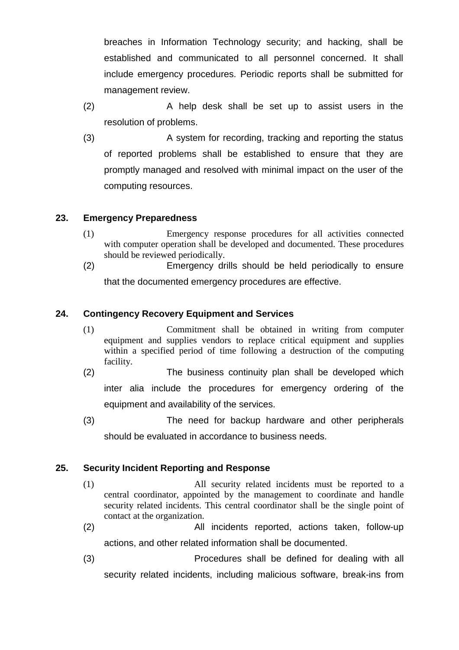breaches in Information Technology security; and hacking, shall be established and communicated to all personnel concerned. It shall include emergency procedures. Periodic reports shall be submitted for management review.

- (2) A help desk shall be set up to assist users in the resolution of problems.
- (3) A system for recording, tracking and reporting the status of reported problems shall be established to ensure that they are promptly managed and resolved with minimal impact on the user of the computing resources.

## **23. Emergency Preparedness**

- (1) Emergency response procedures for all activities connected with computer operation shall be developed and documented. These procedures should be reviewed periodically.
- (2) Emergency drills should be held periodically to ensure that the documented emergency procedures are effective.

## **24. Contingency Recovery Equipment and Services**

- (1) Commitment shall be obtained in writing from computer equipment and supplies vendors to replace critical equipment and supplies within a specified period of time following a destruction of the computing facility.
- (2) The business continuity plan shall be developed which inter alia include the procedures for emergency ordering of the equipment and availability of the services.
- (3) The need for backup hardware and other peripherals should be evaluated in accordance to business needs.

## **25. Security Incident Reporting and Response**

- (1) All security related incidents must be reported to a central coordinator, appointed by the management to coordinate and handle security related incidents. This central coordinator shall be the single point of contact at the organization.
- (2) All incidents reported, actions taken, follow-up actions, and other related information shall be documented.
- (3) Procedures shall be defined for dealing with all security related incidents, including malicious software, break-ins from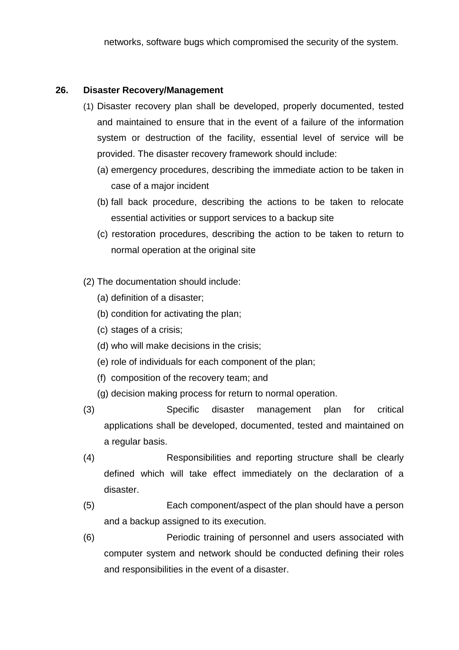networks, software bugs which compromised the security of the system.

#### **26. Disaster Recovery/Management**

- (1) Disaster recovery plan shall be developed, properly documented, tested and maintained to ensure that in the event of a failure of the information system or destruction of the facility, essential level of service will be provided. The disaster recovery framework should include:
	- (a) emergency procedures, describing the immediate action to be taken in case of a major incident
	- (b) fall back procedure, describing the actions to be taken to relocate essential activities or support services to a backup site
	- (c) restoration procedures, describing the action to be taken to return to normal operation at the original site
- (2) The documentation should include:
	- (a) definition of a disaster;
	- (b) condition for activating the plan;
	- (c) stages of a crisis;
	- (d) who will make decisions in the crisis;
	- (e) role of individuals for each component of the plan;
	- (f) composition of the recovery team; and
	- (g) decision making process for return to normal operation.
- (3) Specific disaster management plan for critical applications shall be developed, documented, tested and maintained on a regular basis.
- (4) Responsibilities and reporting structure shall be clearly defined which will take effect immediately on the declaration of a disaster.
- (5) Each component/aspect of the plan should have a person and a backup assigned to its execution.
- (6) Periodic training of personnel and users associated with computer system and network should be conducted defining their roles and responsibilities in the event of a disaster.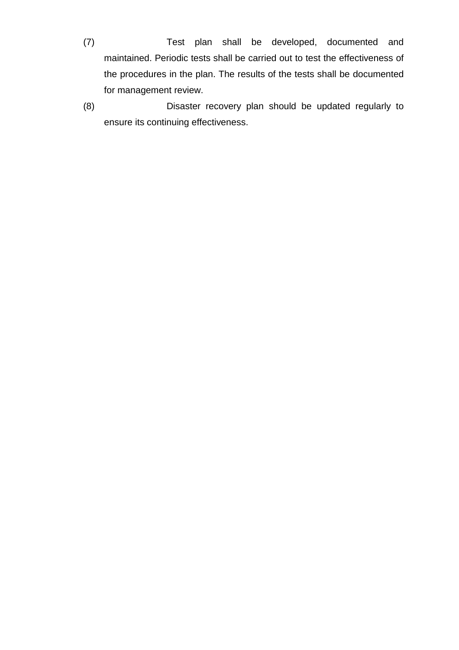- (7) Test plan shall be developed, documented and maintained. Periodic tests shall be carried out to test the effectiveness of the procedures in the plan. The results of the tests shall be documented for management review.
- (8) Disaster recovery plan should be updated regularly to ensure its continuing effectiveness.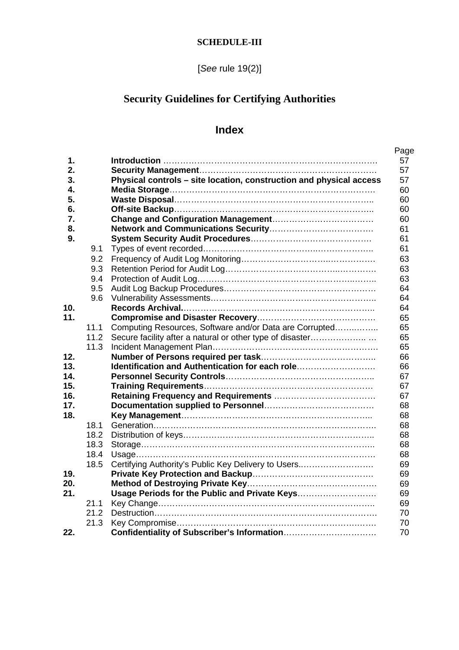## **SCHEDULE-III**

# [*See* rule 19(2)]

# **Security Guidelines for Certifying Authorities**

## **Index**

|     |      |                                                                     | Page |
|-----|------|---------------------------------------------------------------------|------|
| 1.  |      |                                                                     | 57   |
| 2.  |      |                                                                     | 57   |
| 3.  |      | Physical controls - site location, construction and physical access | 57   |
| 4.  |      |                                                                     | 60   |
| 5.  |      |                                                                     | 60   |
| 6.  |      |                                                                     | 60   |
| 7.  |      |                                                                     | 60   |
| 8.  |      |                                                                     | 61   |
| 9.  |      |                                                                     | 61   |
|     | 9.1  |                                                                     | 61   |
|     | 9.2  |                                                                     | 63   |
|     | 9.3  |                                                                     | 63   |
|     | 9.4  |                                                                     | 63   |
|     | 9.5  |                                                                     | 64   |
|     | 9.6  |                                                                     | 64   |
| 10. |      |                                                                     | 64   |
| 11. |      |                                                                     | 65   |
|     | 11.1 | Computing Resources, Software and/or Data are Corrupted             | 65   |
|     | 11.2 | Secure facility after a natural or other type of disaster           | 65   |
|     | 11.3 |                                                                     | 65   |
| 12. |      |                                                                     | 66   |
| 13. |      | Identification and Authentication for each role                     | 66   |
| 14. |      |                                                                     | 67   |
| 15. |      |                                                                     | 67   |
| 16. |      |                                                                     | 67   |
| 17. |      |                                                                     | 68   |
| 18. |      |                                                                     | 68   |
|     | 18.1 |                                                                     | 68   |
|     | 18.2 |                                                                     | 68   |
|     | 18.3 |                                                                     | 68   |
|     | 18.4 |                                                                     | 68   |
|     | 18.5 | Certifying Authority's Public Key Delivery to Users                 | 69   |
| 19. |      |                                                                     | 69   |
| 20. |      |                                                                     | 69   |
| 21. |      | Usage Periods for the Public and Private Keys                       | 69   |
|     | 21.1 |                                                                     | 69   |
|     | 21.2 |                                                                     | 70   |
|     | 21.3 |                                                                     | 70   |
| 22. |      |                                                                     | 70   |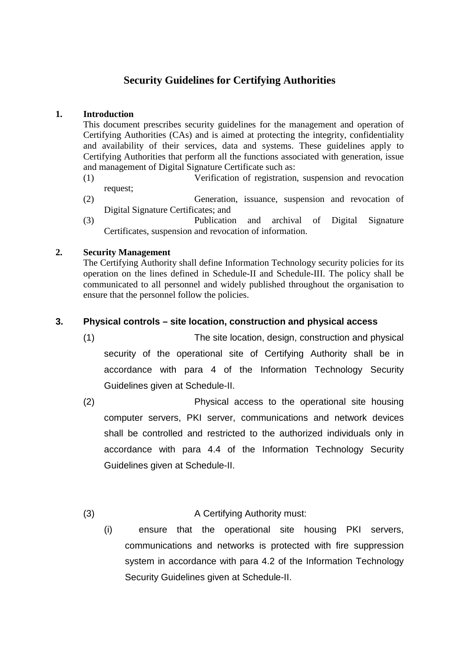## **Security Guidelines for Certifying Authorities**

#### **1. Introduction**

This document prescribes security guidelines for the management and operation of Certifying Authorities (CAs) and is aimed at protecting the integrity, confidentiality and availability of their services, data and systems. These guidelines apply to Certifying Authorities that perform all the functions associated with generation, issue and management of Digital Signature Certificate such as:

- (1) Verification of registration, suspension and revocation request;
- (2) Generation, issuance, suspension and revocation of Digital Signature Certificates; and
- (3) Publication and archival of Digital Signature Certificates, suspension and revocation of information.

#### **2. Security Management**

The Certifying Authority shall define Information Technology security policies for its operation on the lines defined in Schedule-II and Schedule-III. The policy shall be communicated to all personnel and widely published throughout the organisation to ensure that the personnel follow the policies.

## **3. Physical controls – site location, construction and physical access**

- (1) The site location, design, construction and physical security of the operational site of Certifying Authority shall be in accordance with para 4 of the Information Technology Security Guidelines given at Schedule-II.
- (2) Physical access to the operational site housing computer servers, PKI server, communications and network devices shall be controlled and restricted to the authorized individuals only in accordance with para 4.4 of the Information Technology Security Guidelines given at Schedule-II.

## (3) A Certifying Authority must:

(i) ensure that the operational site housing PKI servers, communications and networks is protected with fire suppression system in accordance with para 4.2 of the Information Technology Security Guidelines given at Schedule-II.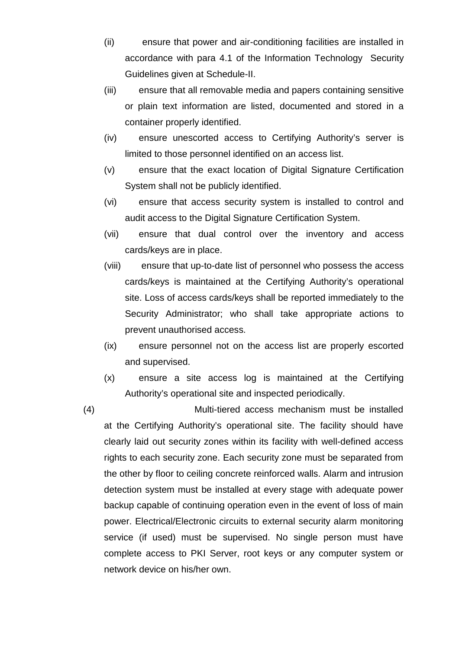- (ii) ensure that power and air-conditioning facilities are installed in accordance with para 4.1 of the Information Technology Security Guidelines given at Schedule-II.
- (iii) ensure that all removable media and papers containing sensitive or plain text information are listed, documented and stored in a container properly identified.
- (iv) ensure unescorted access to Certifying Authority's server is limited to those personnel identified on an access list.
- (v) ensure that the exact location of Digital Signature Certification System shall not be publicly identified.
- (vi) ensure that access security system is installed to control and audit access to the Digital Signature Certification System.
- (vii) ensure that dual control over the inventory and access cards/keys are in place.
- (viii) ensure that up-to-date list of personnel who possess the access cards/keys is maintained at the Certifying Authority's operational site. Loss of access cards/keys shall be reported immediately to the Security Administrator; who shall take appropriate actions to prevent unauthorised access.
- (ix) ensure personnel not on the access list are properly escorted and supervised.
- (x) ensure a site access log is maintained at the Certifying Authority's operational site and inspected periodically.
- (4) Multi-tiered access mechanism must be installed at the Certifying Authority's operational site. The facility should have clearly laid out security zones within its facility with well-defined access rights to each security zone. Each security zone must be separated from the other by floor to ceiling concrete reinforced walls. Alarm and intrusion detection system must be installed at every stage with adequate power backup capable of continuing operation even in the event of loss of main power. Electrical/Electronic circuits to external security alarm monitoring service (if used) must be supervised. No single person must have complete access to PKI Server, root keys or any computer system or network device on his/her own.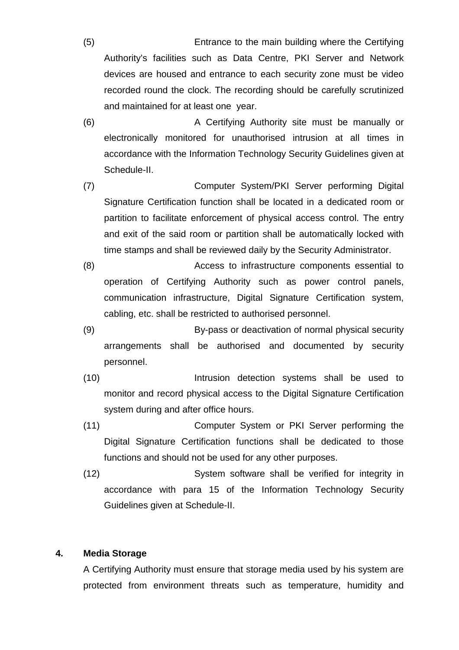(5) Entrance to the main building where the Certifying Authority's facilities such as Data Centre, PKI Server and Network devices are housed and entrance to each security zone must be video recorded round the clock. The recording should be carefully scrutinized and maintained for at least one year.

- (6) A Certifying Authority site must be manually or electronically monitored for unauthorised intrusion at all times in accordance with the Information Technology Security Guidelines given at Schedule-II.
- (7) Computer System/PKI Server performing Digital Signature Certification function shall be located in a dedicated room or partition to facilitate enforcement of physical access control. The entry and exit of the said room or partition shall be automatically locked with time stamps and shall be reviewed daily by the Security Administrator.
- (8) Access to infrastructure components essential to operation of Certifying Authority such as power control panels, communication infrastructure, Digital Signature Certification system, cabling, etc. shall be restricted to authorised personnel.
- (9) By-pass or deactivation of normal physical security arrangements shall be authorised and documented by security personnel.
- (10) Intrusion detection systems shall be used to monitor and record physical access to the Digital Signature Certification system during and after office hours.
- (11) Computer System or PKI Server performing the Digital Signature Certification functions shall be dedicated to those functions and should not be used for any other purposes.
- (12) System software shall be verified for integrity in accordance with para 15 of the Information Technology Security Guidelines given at Schedule-II.

#### **4. Media Storage**

A Certifying Authority must ensure that storage media used by his system are protected from environment threats such as temperature, humidity and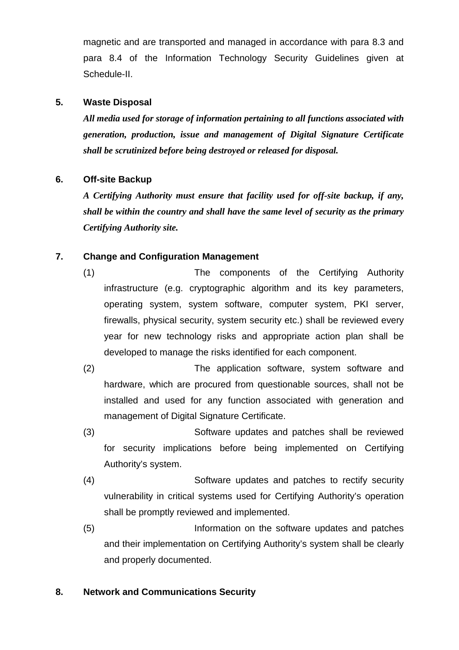magnetic and are transported and managed in accordance with para 8.3 and para 8.4 of the Information Technology Security Guidelines given at Schedule-II.

## **5. Waste Disposal**

*All media used for storage of information pertaining to all functions associated with generation, production, issue and management of Digital Signature Certificate shall be scrutinized before being destroyed or released for disposal.*

## **6. Off-site Backup**

*A Certifying Authority must ensure that facility used for off-site backup, if any, shall be within the country and shall have the same level of security as the primary Certifying Authority site.*

## **7. Change and Configuration Management**

- (1) The components of the Certifying Authority infrastructure (e.g. cryptographic algorithm and its key parameters, operating system, system software, computer system, PKI server, firewalls, physical security, system security etc.) shall be reviewed every year for new technology risks and appropriate action plan shall be developed to manage the risks identified for each component.
- (2) The application software, system software and hardware, which are procured from questionable sources, shall not be installed and used for any function associated with generation and management of Digital Signature Certificate.
- (3) Software updates and patches shall be reviewed for security implications before being implemented on Certifying Authority's system.
- (4) Software updates and patches to rectify security vulnerability in critical systems used for Certifying Authority's operation shall be promptly reviewed and implemented.
- (5) Information on the software updates and patches and their implementation on Certifying Authority's system shall be clearly and properly documented.

## **8. Network and Communications Security**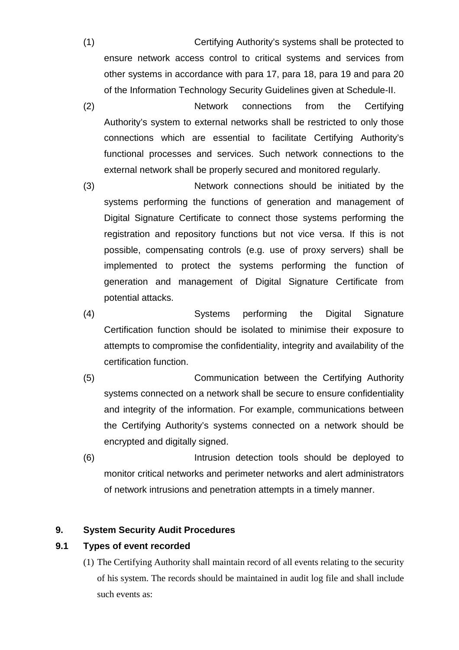(1) Certifying Authority's systems shall be protected to ensure network access control to critical systems and services from other systems in accordance with para 17, para 18, para 19 and para 20 of the Information Technology Security Guidelines given at Schedule-II.

(2) Network connections from the Certifying Authority's system to external networks shall be restricted to only those connections which are essential to facilitate Certifying Authority's functional processes and services. Such network connections to the external network shall be properly secured and monitored regularly.

(3) Network connections should be initiated by the systems performing the functions of generation and management of Digital Signature Certificate to connect those systems performing the registration and repository functions but not vice versa. If this is not possible, compensating controls (e.g. use of proxy servers) shall be implemented to protect the systems performing the function of generation and management of Digital Signature Certificate from potential attacks.

(4) Systems performing the Digital Signature Certification function should be isolated to minimise their exposure to attempts to compromise the confidentiality, integrity and availability of the certification function.

- (5) Communication between the Certifying Authority systems connected on a network shall be secure to ensure confidentiality and integrity of the information. For example, communications between the Certifying Authority's systems connected on a network should be encrypted and digitally signed.
- (6) Intrusion detection tools should be deployed to monitor critical networks and perimeter networks and alert administrators of network intrusions and penetration attempts in a timely manner.

## **9. System Security Audit Procedures**

## **9.1 Types of event recorded**

(1) The Certifying Authority shall maintain record of all events relating to the security of his system. The records should be maintained in audit log file and shall include such events as: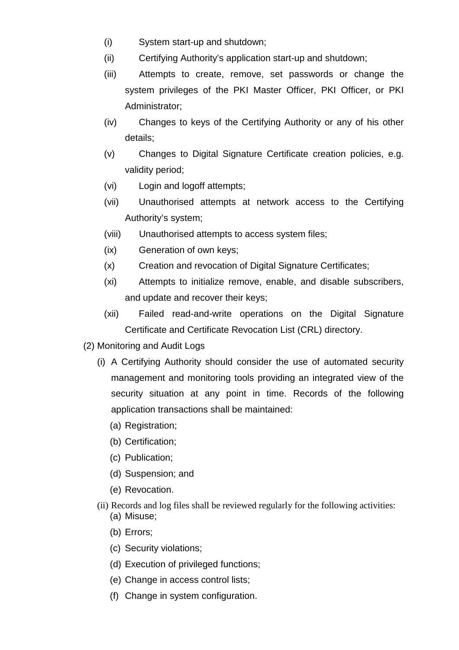- (i) System start-up and shutdown;
- (ii) Certifying Authority's application start-up and shutdown;
- (iii) Attempts to create, remove, set passwords or change the system privileges of the PKI Master Officer, PKI Officer, or PKI Administrator;
- (iv) Changes to keys of the Certifying Authority or any of his other details;
- (v) Changes to Digital Signature Certificate creation policies, e.g. validity period;
- (vi) Login and logoff attempts;
- (vii) Unauthorised attempts at network access to the Certifying Authority's system;
- (viii) Unauthorised attempts to access system files;
- (ix) Generation of own keys;
- (x) Creation and revocation of Digital Signature Certificates;
- (xi) Attempts to initialize remove, enable, and disable subscribers, and update and recover their keys;
- (xii) Failed read-and-write operations on the Digital Signature Certificate and Certificate Revocation List (CRL) directory.
- (2) Monitoring and Audit Logs
	- (i) A Certifying Authority should consider the use of automated security management and monitoring tools providing an integrated view of the security situation at any point in time. Records of the following application transactions shall be maintained:
		- (a) Registration;
		- (b) Certification;
		- (c) Publication;
		- (d) Suspension; and
		- (e) Revocation.
	- (ii) Records and log files shall be reviewed regularly for the following activities: (a) Misuse;
		- (b) Errors;
		- (c) Security violations;
		- (d) Execution of privileged functions;
		- (e) Change in access control lists;
		- (f) Change in system configuration.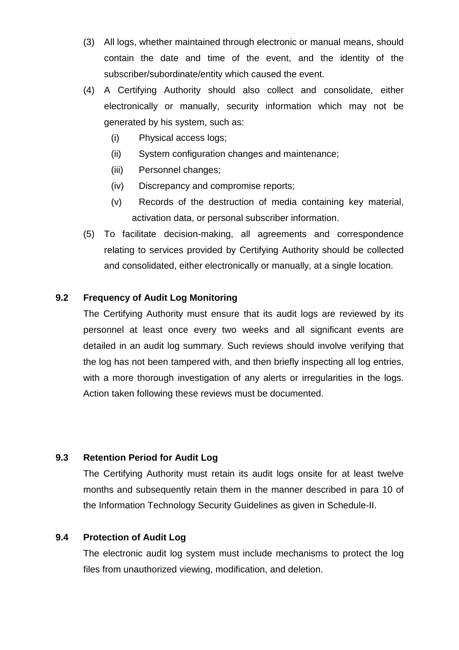- (3) All logs, whether maintained through electronic or manual means, should contain the date and time of the event, and the identity of the subscriber/subordinate/entity which caused the event.
- (4) A Certifying Authority should also collect and consolidate, either electronically or manually, security information which may not be generated by his system, such as:
	- (i) Physical access logs;
	- (ii) System configuration changes and maintenance;
	- (iii) Personnel changes;
	- (iv) Discrepancy and compromise reports;
	- (v) Records of the destruction of media containing key material, activation data, or personal subscriber information.
- (5) To facilitate decision-making, all agreements and correspondence relating to services provided by Certifying Authority should be collected and consolidated, either electronically or manually, at a single location.

## **9.2 Frequency of Audit Log Monitoring**

The Certifying Authority must ensure that its audit logs are reviewed by its personnel at least once every two weeks and all significant events are detailed in an audit log summary. Such reviews should involve verifying that the log has not been tampered with, and then briefly inspecting all log entries, with a more thorough investigation of any alerts or irregularities in the logs. Action taken following these reviews must be documented.

## **9.3 Retention Period for Audit Log**

The Certifying Authority must retain its audit logs onsite for at least twelve months and subsequently retain them in the manner described in para 10 of the Information Technology Security Guidelines as given in Schedule-II.

## **9.4 Protection of Audit Log**

The electronic audit log system must include mechanisms to protect the log files from unauthorized viewing, modification, and deletion.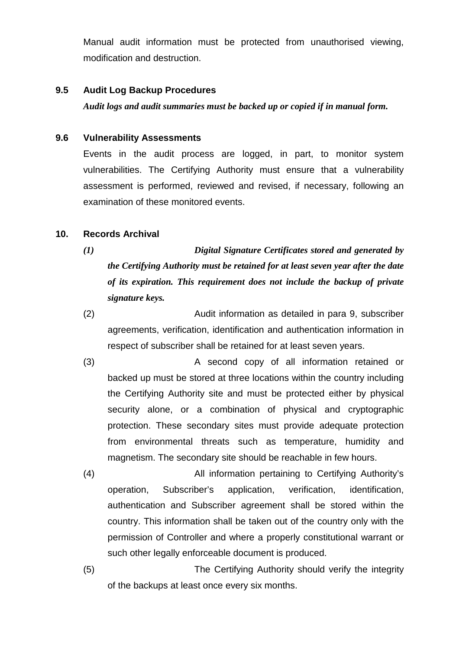Manual audit information must be protected from unauthorised viewing, modification and destruction.

#### **9.5 Audit Log Backup Procedures**

*Audit logs and audit summaries must be backed up or copied if in manual form.*

#### **9.6 Vulnerability Assessments**

Events in the audit process are logged, in part, to monitor system vulnerabilities. The Certifying Authority must ensure that a vulnerability assessment is performed, reviewed and revised, if necessary, following an examination of these monitored events.

#### **10. Records Archival**

- *(1) Digital Signature Certificates stored and generated by the Certifying Authority must be retained for at least seven year after the date of its expiration. This requirement does not include the backup of private signature keys.*
- (2) Audit information as detailed in para 9, subscriber agreements, verification, identification and authentication information in respect of subscriber shall be retained for at least seven years.
- (3) A second copy of all information retained or backed up must be stored at three locations within the country including the Certifying Authority site and must be protected either by physical security alone, or a combination of physical and cryptographic protection. These secondary sites must provide adequate protection from environmental threats such as temperature, humidity and magnetism. The secondary site should be reachable in few hours.
- (4) All information pertaining to Certifying Authority's operation, Subscriber's application, verification, identification, authentication and Subscriber agreement shall be stored within the country. This information shall be taken out of the country only with the permission of Controller and where a properly constitutional warrant or such other legally enforceable document is produced.
- (5) The Certifying Authority should verify the integrity of the backups at least once every six months.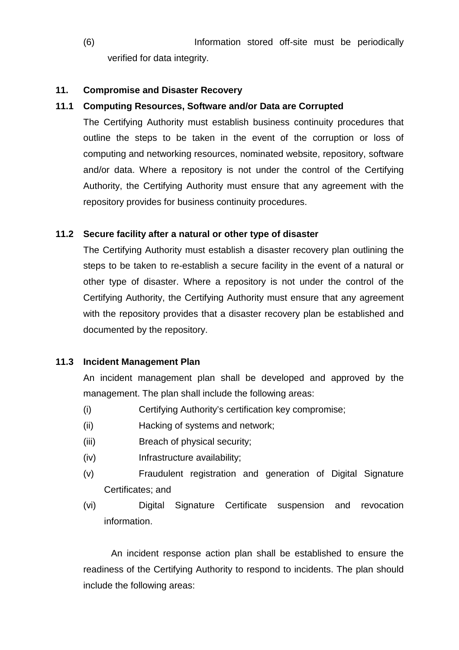(6) Information stored off-site must be periodically verified for data integrity.

## **11. Compromise and Disaster Recovery**

## **11.1 Computing Resources, Software and/or Data are Corrupted**

The Certifying Authority must establish business continuity procedures that outline the steps to be taken in the event of the corruption or loss of computing and networking resources, nominated website, repository, software and/or data. Where a repository is not under the control of the Certifying Authority, the Certifying Authority must ensure that any agreement with the repository provides for business continuity procedures.

## **11.2 Secure facility after a natural or other type of disaster**

The Certifying Authority must establish a disaster recovery plan outlining the steps to be taken to re-establish a secure facility in the event of a natural or other type of disaster. Where a repository is not under the control of the Certifying Authority, the Certifying Authority must ensure that any agreement with the repository provides that a disaster recovery plan be established and documented by the repository.

## **11.3 Incident Management Plan**

An incident management plan shall be developed and approved by the management. The plan shall include the following areas:

- (i) Certifying Authority's certification key compromise;
- (ii) Hacking of systems and network;
- (iii) Breach of physical security;
- (iv) Infrastructure availability;
- (v) Fraudulent registration and generation of Digital Signature Certificates; and
- (vi) Digital Signature Certificate suspension and revocation information.

An incident response action plan shall be established to ensure the readiness of the Certifying Authority to respond to incidents. The plan should include the following areas: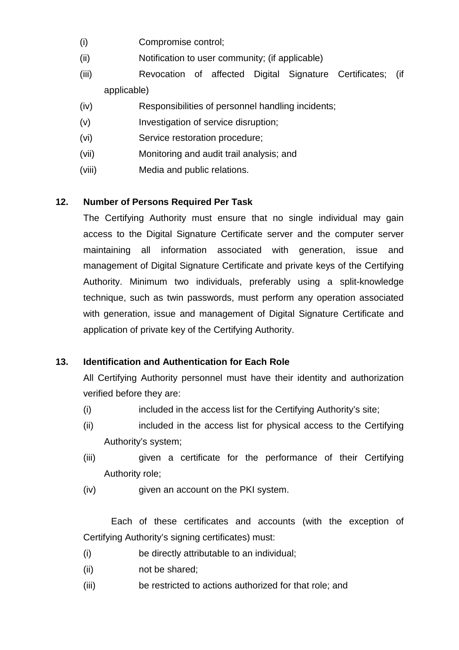- (i) Compromise control;
- (ii) Notification to user community; (if applicable)
- (iii) Revocation of affected Digital Signature Certificates; (if applicable)
- (iv) Responsibilities of personnel handling incidents;
- (v) Investigation of service disruption;
- (vi) Service restoration procedure;
- (vii) Monitoring and audit trail analysis; and
- (viii) Media and public relations.

## **12. Number of Persons Required Per Task**

The Certifying Authority must ensure that no single individual may gain access to the Digital Signature Certificate server and the computer server maintaining all information associated with generation, issue and management of Digital Signature Certificate and private keys of the Certifying Authority. Minimum two individuals, preferably using a split-knowledge technique, such as twin passwords, must perform any operation associated with generation, issue and management of Digital Signature Certificate and application of private key of the Certifying Authority.

## **13. Identification and Authentication for Each Role**

All Certifying Authority personnel must have their identity and authorization verified before they are:

- (i) included in the access list for the Certifying Authority's site;
- (ii) included in the access list for physical access to the Certifying Authority's system;
- (iii) given a certificate for the performance of their Certifying Authority role;
- (iv) given an account on the PKI system.

Each of these certificates and accounts (with the exception of Certifying Authority's signing certificates) must:

- (i) be directly attributable to an individual;
- (ii) not be shared;
- (iii) be restricted to actions authorized for that role; and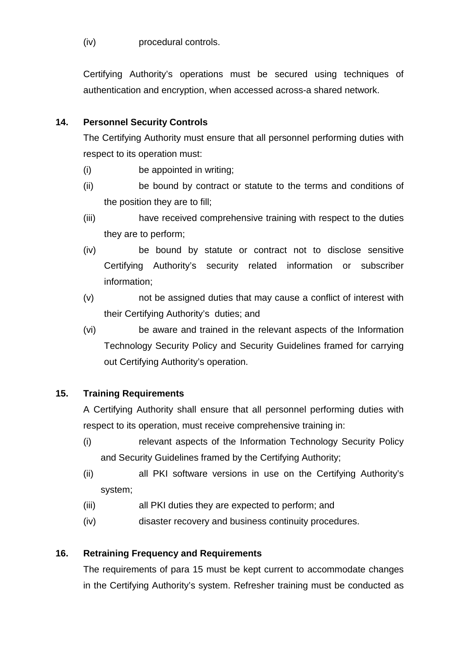(iv) procedural controls.

Certifying Authority's operations must be secured using techniques of authentication and encryption, when accessed across-a shared network.

## **14. Personnel Security Controls**

The Certifying Authority must ensure that all personnel performing duties with respect to its operation must:

- (i) be appointed in writing;
- (ii) be bound by contract or statute to the terms and conditions of the position they are to fill;
- (iii) have received comprehensive training with respect to the duties they are to perform;
- (iv) be bound by statute or contract not to disclose sensitive Certifying Authority's security related information or subscriber information;
- (v) not be assigned duties that may cause a conflict of interest with their Certifying Authority's duties; and
- (vi) be aware and trained in the relevant aspects of the Information Technology Security Policy and Security Guidelines framed for carrying out Certifying Authority's operation.

## **15. Training Requirements**

A Certifying Authority shall ensure that all personnel performing duties with respect to its operation, must receive comprehensive training in:

- (i) relevant aspects of the Information Technology Security Policy and Security Guidelines framed by the Certifying Authority;
- (ii) all PKI software versions in use on the Certifying Authority's system;
- (iii) all PKI duties they are expected to perform; and
- (iv) disaster recovery and business continuity procedures.

## **16. Retraining Frequency and Requirements**

The requirements of para 15 must be kept current to accommodate changes in the Certifying Authority's system. Refresher training must be conducted as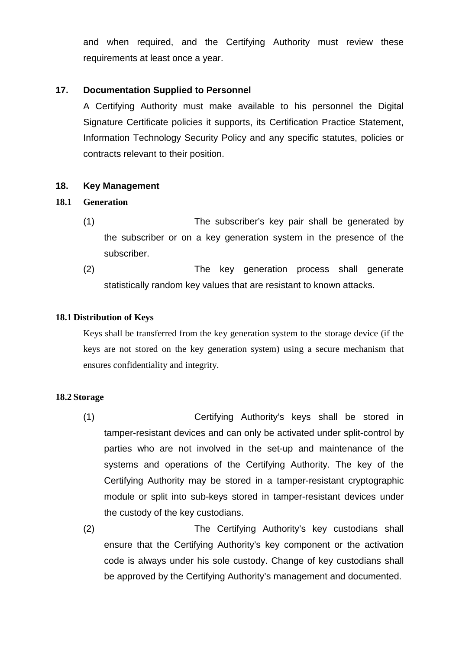and when required, and the Certifying Authority must review these requirements at least once a year.

## **17. Documentation Supplied to Personnel**

A Certifying Authority must make available to his personnel the Digital Signature Certificate policies it supports, its Certification Practice Statement, Information Technology Security Policy and any specific statutes, policies or contracts relevant to their position.

## **18. Key Management**

#### **18.1 Generation**

(1) The subscriber's key pair shall be generated by the subscriber or on a key generation system in the presence of the subscriber.

(2) The key generation process shall generate statistically random key values that are resistant to known attacks.

#### **18.1 Distribution of Keys**

Keys shall be transferred from the key generation system to the storage device (if the keys are not stored on the key generation system) using a secure mechanism that ensures confidentiality and integrity.

#### **18.2 Storage**

- (1) Certifying Authority's keys shall be stored in tamper-resistant devices and can only be activated under split-control by parties who are not involved in the set-up and maintenance of the systems and operations of the Certifying Authority. The key of the Certifying Authority may be stored in a tamper-resistant cryptographic module or split into sub-keys stored in tamper-resistant devices under the custody of the key custodians.
- (2) The Certifying Authority's key custodians shall ensure that the Certifying Authority's key component or the activation code is always under his sole custody. Change of key custodians shall be approved by the Certifying Authority's management and documented.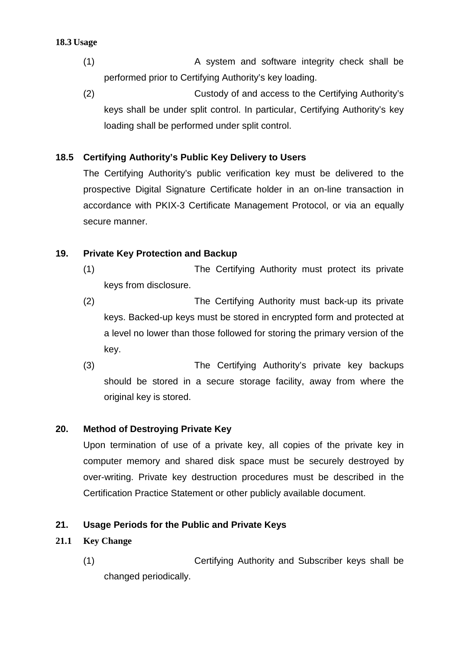## **18.3 Usage**

- (1) A system and software integrity check shall be performed prior to Certifying Authority's key loading.
- (2) Custody of and access to the Certifying Authority's keys shall be under split control. In particular, Certifying Authority's key loading shall be performed under split control.

## **18.5 Certifying Authority's Public Key Delivery to Users**

The Certifying Authority's public verification key must be delivered to the prospective Digital Signature Certificate holder in an on-line transaction in accordance with PKIX-3 Certificate Management Protocol, or via an equally secure manner.

## **19. Private Key Protection and Backup**

- (1) The Certifying Authority must protect its private keys from disclosure.
- (2) The Certifying Authority must back-up its private keys. Backed-up keys must be stored in encrypted form and protected at a level no lower than those followed for storing the primary version of the key.
- (3) The Certifying Authority's private key backups should be stored in a secure storage facility, away from where the original key is stored.

## **20. Method of Destroying Private Key**

Upon termination of use of a private key, all copies of the private key in computer memory and shared disk space must be securely destroyed by over-writing. Private key destruction procedures must be described in the Certification Practice Statement or other publicly available document.

## **21. Usage Periods for the Public and Private Keys**

## **21.1 Key Change**

(1) Certifying Authority and Subscriber keys shall be changed periodically.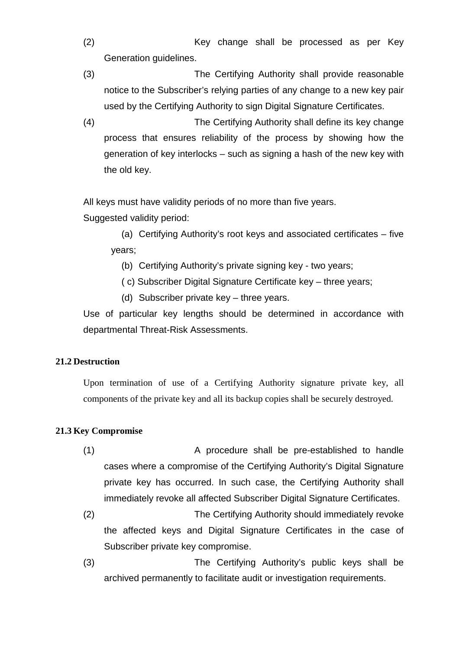- (2) Key change shall be processed as per Key Generation guidelines.
- (3) The Certifying Authority shall provide reasonable notice to the Subscriber's relying parties of any change to a new key pair used by the Certifying Authority to sign Digital Signature Certificates.
- (4) The Certifying Authority shall define its key change process that ensures reliability of the process by showing how the generation of key interlocks – such as signing a hash of the new key with the old key.

All keys must have validity periods of no more than five years.

Suggested validity period:

(a) Certifying Authority's root keys and associated certificates – five years;

- (b) Certifying Authority's private signing key two years;
- ( c) Subscriber Digital Signature Certificate key three years;
- (d) Subscriber private key three years.

Use of particular key lengths should be determined in accordance with departmental Threat-Risk Assessments.

## **21.2 Destruction**

Upon termination of use of a Certifying Authority signature private key, all components of the private key and all its backup copies shall be securely destroyed.

## **21.3 Key Compromise**

- (1) A procedure shall be pre-established to handle cases where a compromise of the Certifying Authority's Digital Signature private key has occurred. In such case, the Certifying Authority shall immediately revoke all affected Subscriber Digital Signature Certificates.
- (2) The Certifying Authority should immediately revoke the affected keys and Digital Signature Certificates in the case of Subscriber private key compromise.
- (3) The Certifying Authority's public keys shall be archived permanently to facilitate audit or investigation requirements.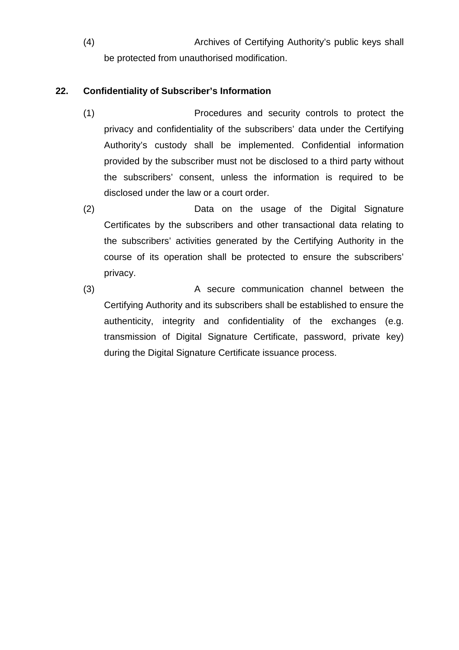(4) Archives of Certifying Authority's public keys shall be protected from unauthorised modification.

## **22. Confidentiality of Subscriber's Information**

- (1) Procedures and security controls to protect the privacy and confidentiality of the subscribers' data under the Certifying Authority's custody shall be implemented. Confidential information provided by the subscriber must not be disclosed to a third party without the subscribers' consent, unless the information is required to be disclosed under the law or a court order.
- (2) Data on the usage of the Digital Signature Certificates by the subscribers and other transactional data relating to the subscribers' activities generated by the Certifying Authority in the course of its operation shall be protected to ensure the subscribers' privacy.
- (3) A secure communication channel between the Certifying Authority and its subscribers shall be established to ensure the authenticity, integrity and confidentiality of the exchanges (e.g. transmission of Digital Signature Certificate, password, private key) during the Digital Signature Certificate issuance process.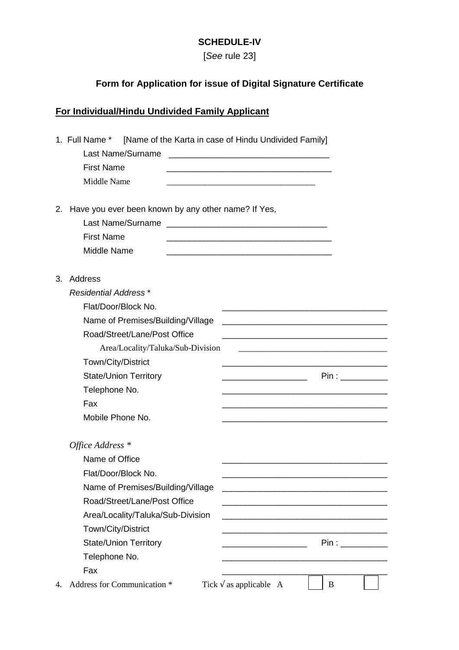## **SCHEDULE-IV**

[*See* rule 23]

## **Form for Application for issue of Digital Signature Certificate**

## **For Individual/Hindu Undivided Family Applicant**

|    | 1. Full Name * [Name of the Karta in case of Hindu Undivided Family]<br>Last Name/Surname<br><b>First Name</b><br><b>Middle Name</b>                                                                                                                                  | <u> 1989 - Johann Barbara, martxa al III-lea (h. 1989).</u><br><u> 1989 - Johann Barbara, markazar margaretar (h. 1989).</u> |               |  |
|----|-----------------------------------------------------------------------------------------------------------------------------------------------------------------------------------------------------------------------------------------------------------------------|------------------------------------------------------------------------------------------------------------------------------|---------------|--|
| 2. | Have you ever been known by any other name? If Yes,<br>Last Name/Surname<br><b>First Name</b>                                                                                                                                                                         | <u> 1989 - Jan James Sand, Amerikaansk politiker (</u>                                                                       |               |  |
|    | Middle Name                                                                                                                                                                                                                                                           |                                                                                                                              |               |  |
| 3. | Address<br><b>Residential Address*</b><br>Flat/Door/Block No.<br>Name of Premises/Building/Village<br>Road/Street/Lane/Post Office<br>Area/Locality/Taluka/Sub-Division<br>Town/City/District<br><b>State/Union Territory</b><br>Telephone No.<br>Fax                 | <u> 1989 - Johann Barbara, margaret eta biztanleria (h. 1989).</u>                                                           | $Pin:$ $\Box$ |  |
|    | Mobile Phone No.<br>Office Address *<br>Name of Office<br>Flat/Door/Block No.<br>Name of Premises/Building/Village<br>Road/Street/Lane/Post Office<br>Area/Locality/Taluka/Sub-Division<br>Town/City/District<br><b>State/Union Territory</b><br>Telephone No.<br>Fax |                                                                                                                              |               |  |
| 4. | Address for Communication *                                                                                                                                                                                                                                           | Tick $\sqrt{ }$ as applicable A                                                                                              | B             |  |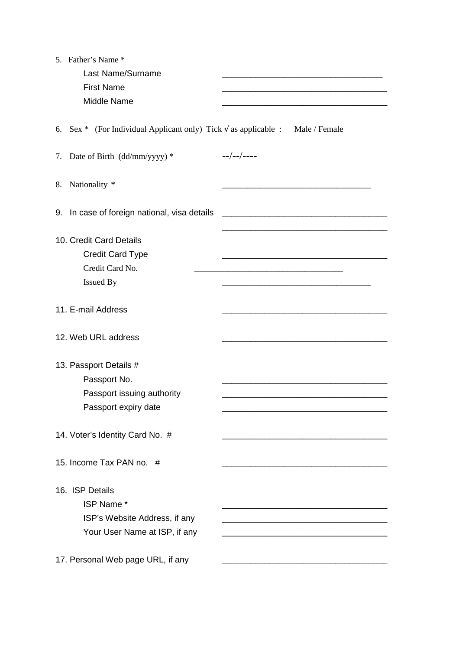|    | 5. Father's Name *                                                                     |                                                                                                                      |
|----|----------------------------------------------------------------------------------------|----------------------------------------------------------------------------------------------------------------------|
|    | Last Name/Surname                                                                      |                                                                                                                      |
|    | <b>First Name</b>                                                                      |                                                                                                                      |
|    | Middle Name                                                                            |                                                                                                                      |
|    | 6. Sex * (For Individual Applicant only) Tick $\sqrt{x}$ as applicable : Male / Female |                                                                                                                      |
| 7. | Date of Birth $(dd/mm/yyyy)*$                                                          | $- - / - - / - - - -$                                                                                                |
| 8. | Nationality *                                                                          |                                                                                                                      |
|    | 9. In case of foreign national, visa details                                           |                                                                                                                      |
|    | 10. Credit Card Details                                                                |                                                                                                                      |
|    | <b>Credit Card Type</b>                                                                | <u> 1989 - Johann Barn, mars ar breithinn ar chuid ann an t-Alban ann an t-Alban ann an t-Alban ann an t-Alban a</u> |
|    | Credit Card No.                                                                        |                                                                                                                      |
|    | Issued By                                                                              |                                                                                                                      |
|    | 11. E-mail Address                                                                     |                                                                                                                      |
|    | 12. Web URL address                                                                    |                                                                                                                      |
|    | 13. Passport Details #                                                                 |                                                                                                                      |
|    | Passport No.                                                                           |                                                                                                                      |
|    | Passport issuing authority                                                             |                                                                                                                      |
|    | Passport expiry date                                                                   |                                                                                                                      |
|    | 14. Voter's Identity Card No. #                                                        |                                                                                                                      |
|    | 15. Income Tax PAN no. #                                                               |                                                                                                                      |
|    | 16. ISP Details                                                                        |                                                                                                                      |
|    | ISP Name *                                                                             |                                                                                                                      |
|    | ISP's Website Address, if any                                                          |                                                                                                                      |
|    | Your User Name at ISP, if any                                                          |                                                                                                                      |
|    |                                                                                        |                                                                                                                      |
|    | 17. Personal Web page URL, if any                                                      |                                                                                                                      |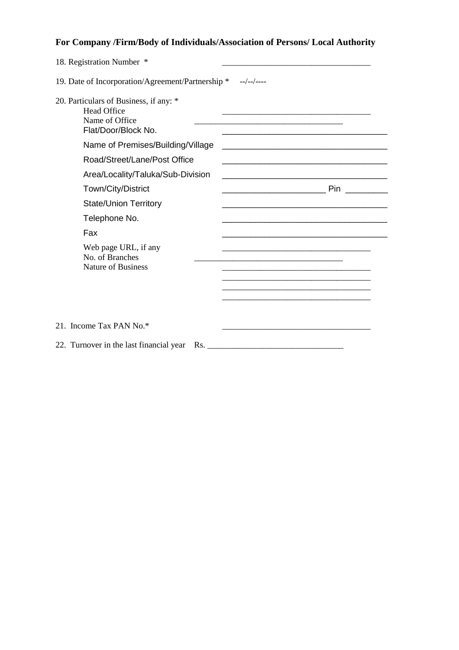# **For Company /Firm/Body of Individuals/Association of Persons/ Local Authority**

| 18. Registration Number *                                                                             |  |
|-------------------------------------------------------------------------------------------------------|--|
| 19. Date of Incorporation/Agreement/Partnership * --/--/----                                          |  |
| 20. Particulars of Business, if any: *<br><b>Head Office</b><br>Name of Office<br>Flat/Door/Block No. |  |
| Name of Premises/Building/Village                                                                     |  |
| Road/Street/Lane/Post Office                                                                          |  |
| Area/Locality/Taluka/Sub-Division                                                                     |  |
| Town/City/District                                                                                    |  |
| <b>State/Union Territory</b>                                                                          |  |
| Telephone No.                                                                                         |  |
| Fax                                                                                                   |  |
| Web page URL, if any<br>No. of Branches<br><b>Nature of Business</b>                                  |  |
| 21. Income Tax PAN No.*                                                                               |  |
|                                                                                                       |  |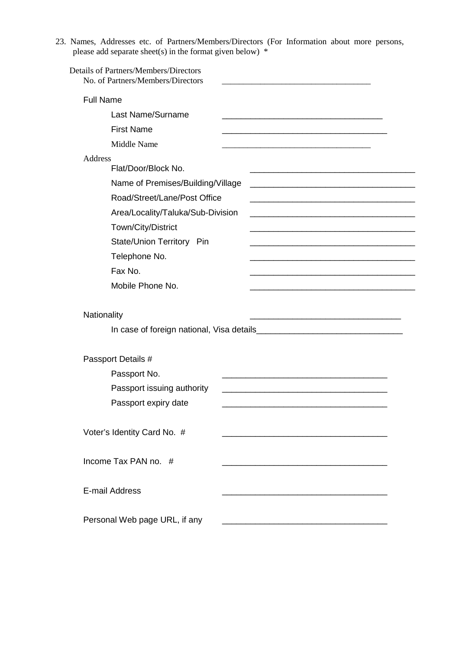23. Names, Addresses etc. of Partners/Members/Directors (For Information about more persons, please add separate sheet(s) in the format given below)  $*$ 

| <b>Details of Partners/Members/Directors</b><br>No. of Partners/Members/Directors |  |
|-----------------------------------------------------------------------------------|--|
| <b>Full Name</b>                                                                  |  |
| Last Name/Surname                                                                 |  |
| <b>First Name</b>                                                                 |  |
| Middle Name                                                                       |  |
| Address                                                                           |  |
| Flat/Door/Block No.                                                               |  |
| Name of Premises/Building/Village                                                 |  |
| Road/Street/Lane/Post Office                                                      |  |
| Area/Locality/Taluka/Sub-Division                                                 |  |
| Town/City/District                                                                |  |
| State/Union Territory Pin                                                         |  |
| Telephone No.<br>Fax No.                                                          |  |
| Mobile Phone No.                                                                  |  |
| Nationality                                                                       |  |
| Passport Details #                                                                |  |
| Passport No.                                                                      |  |
| Passport issuing authority                                                        |  |
| Passport expiry date                                                              |  |
| Voter's Identity Card No. #                                                       |  |
|                                                                                   |  |
| Income Tax PAN no. #                                                              |  |
| E-mail Address                                                                    |  |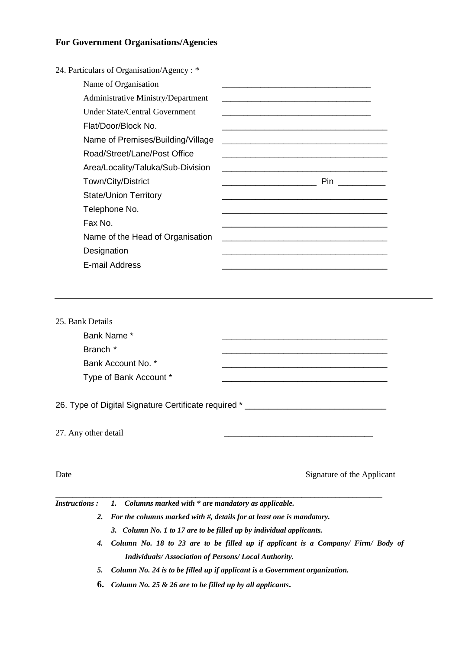# **For Government Organisations/Agencies**

| 24. Particulars of Organisation/Agency : *           |                                                                                                                        |  |  |  |  |
|------------------------------------------------------|------------------------------------------------------------------------------------------------------------------------|--|--|--|--|
| Name of Organisation                                 |                                                                                                                        |  |  |  |  |
| Administrative Ministry/Department                   |                                                                                                                        |  |  |  |  |
| <b>Under State/Central Government</b>                |                                                                                                                        |  |  |  |  |
| Flat/Door/Block No.                                  |                                                                                                                        |  |  |  |  |
| Name of Premises/Building/Village                    | <u> 1980 - Johann Barn, mars ann an t-Amhain ann an t-Amhain an t-Amhain an t-Amhain an t-Amhain an t-Amhain an t-</u> |  |  |  |  |
| Road/Street/Lane/Post Office                         |                                                                                                                        |  |  |  |  |
| Area/Locality/Taluka/Sub-Division                    | <u> 1989 - Johann Barbara, margaret eta biztanleria (h. 1989).</u>                                                     |  |  |  |  |
| Town/City/District                                   |                                                                                                                        |  |  |  |  |
| <b>State/Union Territory</b>                         |                                                                                                                        |  |  |  |  |
| Telephone No.                                        |                                                                                                                        |  |  |  |  |
| Fax No.                                              |                                                                                                                        |  |  |  |  |
| Name of the Head of Organisation                     |                                                                                                                        |  |  |  |  |
| Designation                                          |                                                                                                                        |  |  |  |  |
| E-mail Address                                       |                                                                                                                        |  |  |  |  |
|                                                      |                                                                                                                        |  |  |  |  |
|                                                      |                                                                                                                        |  |  |  |  |
| 25. Bank Details                                     |                                                                                                                        |  |  |  |  |
| Bank Name *                                          |                                                                                                                        |  |  |  |  |
| Branch *                                             |                                                                                                                        |  |  |  |  |
| Bank Account No. *                                   |                                                                                                                        |  |  |  |  |
| Type of Bank Account *                               |                                                                                                                        |  |  |  |  |
| 26. Type of Digital Signature Certificate required * |                                                                                                                        |  |  |  |  |
| 27. Any other detail                                 |                                                                                                                        |  |  |  |  |
|                                                      |                                                                                                                        |  |  |  |  |
| Date                                                 | Signature of the Applicant                                                                                             |  |  |  |  |
| <i>Instructions:</i><br>1.                           | Columns marked with * are mandatory as applicable.                                                                     |  |  |  |  |
| 2.                                                   | For the columns marked with $#$ , details for at least one is mandatory.                                               |  |  |  |  |
|                                                      | 3. Column No. 1 to 17 are to be filled up by individual applicants.                                                    |  |  |  |  |
| 4.                                                   | Column No. 18 to 23 are to be filled up if applicant is a Company/ Firm/ Body of                                       |  |  |  |  |
|                                                      | Individuals/Association of Persons/Local Authority.                                                                    |  |  |  |  |
| 5.                                                   | Column No. 24 is to be filled up if applicant is a Government organization.                                            |  |  |  |  |
| 6.                                                   | Column No. 25 & 26 are to be filled up by all applicants.                                                              |  |  |  |  |
|                                                      |                                                                                                                        |  |  |  |  |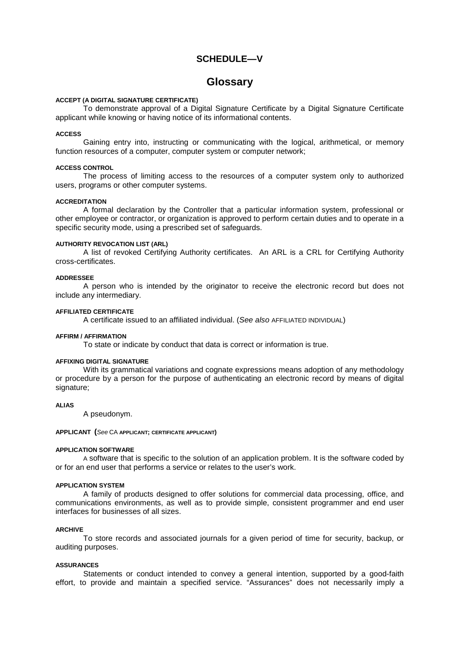## **SCHEDULE—V**

## **Glossary**

## **ACCEPT (A DIGITAL SIGNATURE CERTIFICATE)**

To demonstrate approval of a Digital Signature Certificate by a Digital Signature Certificate applicant while knowing or having notice of its informational contents.

## **ACCESS**

Gaining entry into, instructing or communicating with the logical, arithmetical, or memory function resources of a computer, computer system or computer network;

## **ACCESS CONTROL**

The process of limiting access to the resources of a computer system only to authorized users, programs or other computer systems.

### **ACCREDITATION**

A formal declaration by the Controller that a particular information system, professional or other employee or contractor, or organization is approved to perform certain duties and to operate in a specific security mode, using a prescribed set of safeguards.

### **AUTHORITY REVOCATION LIST (ARL)**

A list of revoked Certifying Authority certificates. An ARL is a CRL for Certifying Authority cross-certificates.

## **ADDRESSEE**

A person who is intended by the originator to receive the electronic record but does not include any intermediary.

## **AFFILIATED CERTIFICATE**

A certificate issued to an affiliated individual. (*See also* AFFILIATED INDIVIDUAL)

### **AFFIRM / AFFIRMATION**

To state or indicate by conduct that data is correct or information is true.

## **AFFIXING DIGITAL SIGNATURE**

With its grammatical variations and cognate expressions means adoption of any methodology or procedure by a person for the purpose of authenticating an electronic record by means of digital signature:

## **ALIAS**

A pseudonym.

## **APPLICANT (***See* CA **APPLICANT; CERTIFICATE APPLICANT)**

### **APPLICATION SOFTWARE**

A software that is specific to the solution of an application problem. It is the software coded by or for an end user that performs a service or relates to the user's work.

## **APPLICATION SYSTEM**

A family of products designed to offer solutions for commercial data processing, office, and communications environments, as well as to provide simple, consistent programmer and end user interfaces for businesses of all sizes.

## **ARCHIVE**

To store records and associated journals for a given period of time for security, backup, or auditing purposes.

## **ASSURANCES**

Statements or conduct intended to convey a general intention, supported by a good-faith effort, to provide and maintain a specified service. "Assurances" does not necessarily imply a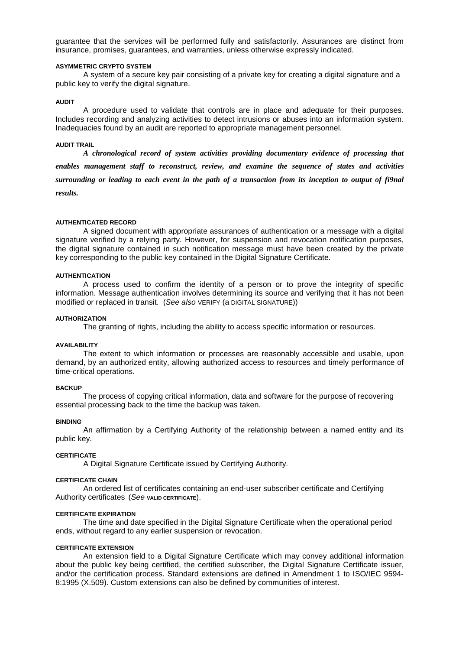guarantee that the services will be performed fully and satisfactorily. Assurances are distinct from insurance, promises, guarantees, and warranties, unless otherwise expressly indicated.

#### **ASYMMETRIC CRYPTO SYSTEM**

A system of a secure key pair consisting of a private key for creating a digital signature and a public key to verify the digital signature.

#### **AUDIT**

A procedure used to validate that controls are in place and adequate for their purposes. Includes recording and analyzing activities to detect intrusions or abuses into an information system. Inadequacies found by an audit are reported to appropriate management personnel.

#### **AUDIT TRAIL**

*A chronological record of system activities providing documentary evidence of processing that enables management staff to reconstruct, review, and examine the sequence of states and activities surrounding or leading to each event in the path of a transaction from its inception to output of fi9nal results.*

#### **AUTHENTICATED RECORD**

A signed document with appropriate assurances of authentication or a message with a digital signature verified by a relying party. However, for suspension and revocation notification purposes, the digital signature contained in such notification message must have been created by the private key corresponding to the public key contained in the Digital Signature Certificate.

## **AUTHENTICATION**

A process used to confirm the identity of a person or to prove the integrity of specific information. Message authentication involves determining its source and verifying that it has not been modified or replaced in transit. (*See also* VERIFY (a DIGITAL SIGNATURE))

#### **AUTHORIZATION**

The granting of rights, including the ability to access specific information or resources.

## **AVAILABILITY**

The extent to which information or processes are reasonably accessible and usable, upon demand, by an authorized entity, allowing authorized access to resources and timely performance of time-critical operations.

#### **BACKUP**

The process of copying critical information, data and software for the purpose of recovering essential processing back to the time the backup was taken.

#### **BINDING**

An affirmation by a Certifying Authority of the relationship between a named entity and its public key.

#### **CERTIFICATE**

A Digital Signature Certificate issued by Certifying Authority.

#### **CERTIFICATE CHAIN**

An ordered list of certificates containing an end-user subscriber certificate and Certifying Authority certificates (*See* **VALID CERTIFICATE**).

## **CERTIFICATE EXPIRATION**

The time and date specified in the Digital Signature Certificate when the operational period ends, without regard to any earlier suspension or revocation.

#### **CERTIFICATE EXTENSION**

An extension field to a Digital Signature Certificate which may convey additional information about the public key being certified, the certified subscriber, the Digital Signature Certificate issuer, and/or the certification process. Standard extensions are defined in Amendment 1 to ISO/IEC 9594- 8:1995 (X.509). Custom extensions can also be defined by communities of interest.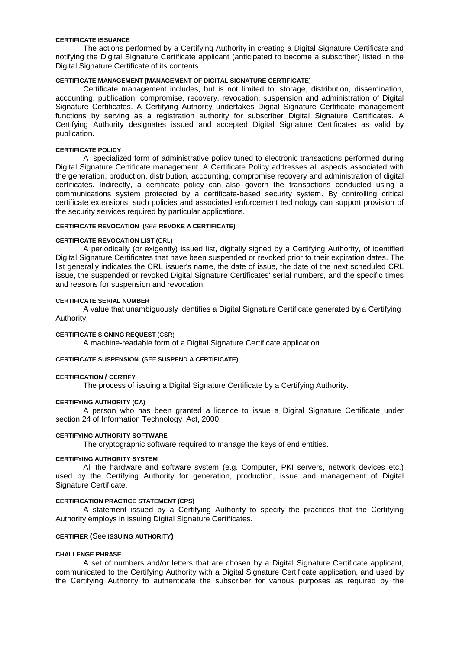## **CERTIFICATE ISSUANCE**

The actions performed by a Certifying Authority in creating a Digital Signature Certificate and notifying the Digital Signature Certificate applicant (anticipated to become a subscriber) listed in the Digital Signature Certificate of its contents.

## **CERTIFICATE MANAGEMENT [MANAGEMENT OF DIGITAL SIGNATURE CERTIFICATE]**

Certificate management includes, but is not limited to, storage, distribution, dissemination, accounting, publication, compromise, recovery, revocation, suspension and administration of Digital Signature Certificates. A Certifying Authority undertakes Digital Signature Certificate management functions by serving as a registration authority for subscriber Digital Signature Certificates. A Certifying Authority designates issued and accepted Digital Signature Certificates as valid by publication.

## **CERTIFICATE POLICY**

A specialized form of administrative policy tuned to electronic transactions performed during Digital Signature Certificate management. A Certificate Policy addresses all aspects associated with the generation, production, distribution, accounting, compromise recovery and administration of digital certificates. Indirectly, a certificate policy can also govern the transactions conducted using a communications system protected by a certificate-based security system. By controlling critical certificate extensions, such policies and associated enforcement technology can support provision of the security services required by particular applications.

## **CERTIFICATE REVOCATION (***SEE* **REVOKE A CERTIFICATE)**

### **CERTIFICATE REVOCATION LIST (**CRL**)**

A periodically (or exigently) issued list, digitally signed by a Certifying Authority, of identified Digital Signature Certificates that have been suspended or revoked prior to their expiration dates. The list generally indicates the CRL issuer's name, the date of issue, the date of the next scheduled CRL issue, the suspended or revoked Digital Signature Certificates' serial numbers, and the specific times and reasons for suspension and revocation.

## **CERTIFICATE SERIAL NUMBER**

A value that unambiguously identifies a Digital Signature Certificate generated by a Certifying Authority.

## **CERTIFICATE SIGNING REQUEST** (CSR)

A machine-readable form of a Digital Signature Certificate application.

## **CERTIFICATE SUSPENSION (**SEE **SUSPEND A CERTIFICATE)**

### **CERTIFICATION / CERTIFY**

The process of issuing a Digital Signature Certificate by a Certifying Authority.

## **CERTIFYING AUTHORITY (CA)**

A person who has been granted a licence to issue a Digital Signature Certificate under section 24 of Information Technology Act, 2000.

## **CERTIFYING AUTHORITY SOFTWARE**

The cryptographic software required to manage the keys of end entities.

### **CERTIFYING AUTHORITY SYSTEM**

All the hardware and software system (e.g. Computer, PKI servers, network devices etc.) used by the Certifying Authority for generation, production, issue and management of Digital Signature Certificate.

### **CERTIFICATION PRACTICE STATEMENT (CPS)**

A statement issued by a Certifying Authority to specify the practices that the Certifying Authority employs in issuing Digital Signature Certificates.

## **CERTIFIER (**See **ISSUING AUTHORITY)**

### **CHALLENGE PHRASE**

A set of numbers and/or letters that are chosen by a Digital Signature Certificate applicant, communicated to the Certifying Authority with a Digital Signature Certificate application, and used by the Certifying Authority to authenticate the subscriber for various purposes as required by the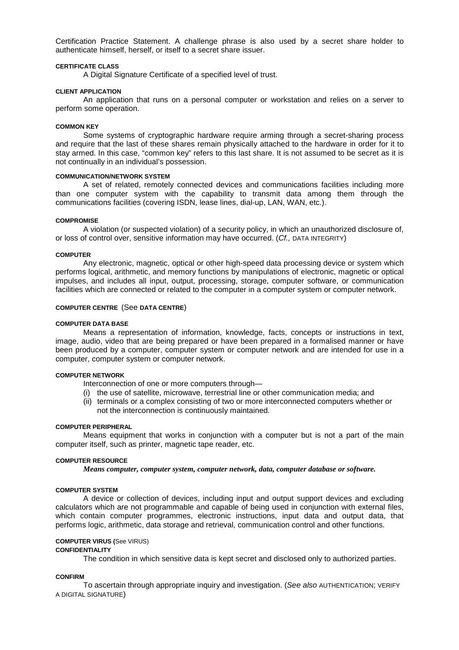Certification Practice Statement. A challenge phrase is also used by a secret share holder to authenticate himself, herself, or itself to a secret share issuer.

## **CERTIFICATE CLASS**

A Digital Signature Certificate of a specified level of trust.

#### **CLIENT APPLICATION**

An application that runs on a personal computer or workstation and relies on a server to perform some operation.

## **COMMON KEY**

Some systems of cryptographic hardware require arming through a secret-sharing process and require that the last of these shares remain physically attached to the hardware in order for it to stay armed. In this case, "common key" refers to this last share. It is not assumed to be secret as it is not continually in an individual's possession.

### **COMMUNICATION/NETWORK SYSTEM**

A set of related, remotely connected devices and communications facilities including more than one computer system with the capability to transmit data among them through the communications facilities (covering ISDN, lease lines, dial-up, LAN, WAN, etc.).

#### **COMPROMISE**

A violation (or suspected violation) of a security policy, in which an unauthorized disclosure of, or loss of control over, sensitive information may have occurred. (*Cf.,* DATA INTEGRITY)

#### **COMPUTER**

Any electronic, magnetic, optical or other high-speed data processing device or system which performs logical, arithmetic, and memory functions by manipulations of electronic, magnetic or optical impulses, and includes all input, output, processing, storage, computer software, or communication facilities which are connected or related to the computer in a computer system or computer network.

## **COMPUTER CENTRE** (See **DATA CENTRE**)

#### **COMPUTER DATA BASE**

Means a representation of information, knowledge, facts, concepts or instructions in text, image, audio, video that are being prepared or have been prepared in a formalised manner or have been produced by a computer, computer system or computer network and are intended for use in a computer, computer system or computer network.

## **COMPUTER NETWORK**

Interconnection of one or more computers through—

- (i) the use of satellite, microwave, terrestrial line or other communication media; and
- (ii) terminals or a complex consisting of two or more interconnected computers whether or not the interconnection is continuously maintained.

## **COMPUTER PERIPHERAL**

Means equipment that works in conjunction with a computer but is not a part of the main computer itself, such as printer, magnetic tape reader, etc.

#### **COMPUTER RESOURCE**

*Means computer, computer system, computer network, data, computer database or software.*

#### **COMPUTER SYSTEM**

A device or collection of devices, including input and output support devices and excluding calculators which are not programmable and capable of being used in conjunction with external files, which contain computer programmes, electronic instructions, input data and output data, that performs logic, arithmetic, data storage and retrieval, communication control and other functions.

#### **COMPUTER VIRUS (**See VIRUS)

## **CONFIDENTIALITY**

The condition in which sensitive data is kept secret and disclosed only to authorized parties.

#### **CONFIRM**

To ascertain through appropriate inquiry and investigation. (*See also* AUTHENTICATION; VERIFY A DIGITAL SIGNATURE)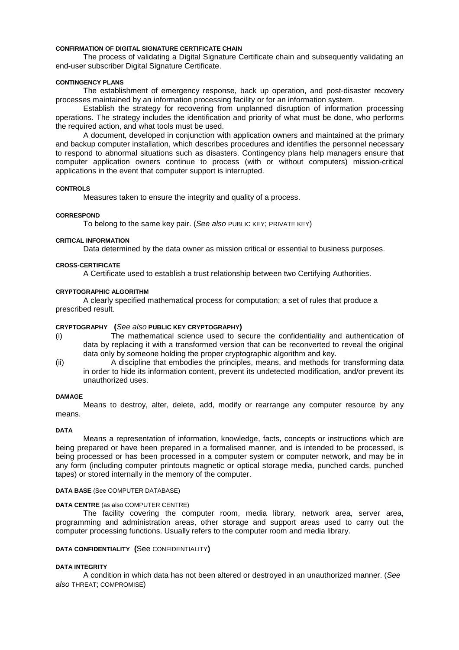## **CONFIRMATION OF DIGITAL SIGNATURE CERTIFICATE CHAIN**

The process of validating a Digital Signature Certificate chain and subsequently validating an end-user subscriber Digital Signature Certificate.

## **CONTINGENCY PLANS**

The establishment of emergency response, back up operation, and post-disaster recovery processes maintained by an information processing facility or for an information system.

Establish the strategy for recovering from unplanned disruption of information processing operations. The strategy includes the identification and priority of what must be done, who performs the required action, and what tools must be used.

A document, developed in conjunction with application owners and maintained at the primary and backup computer installation, which describes procedures and identifies the personnel necessary to respond to abnormal situations such as disasters. Contingency plans help managers ensure that computer application owners continue to process (with or without computers) mission-critical applications in the event that computer support is interrupted.

## **CONTROLS**

Measures taken to ensure the integrity and quality of a process.

## **CORRESPOND**

To belong to the same key pair. (*See also* PUBLIC KEY; PRIVATE KEY)

## **CRITICAL INFORMATION**

Data determined by the data owner as mission critical or essential to business purposes.

### **CROSS-CERTIFICATE**

A Certificate used to establish a trust relationship between two Certifying Authorities.

## **CRYPTOGRAPHIC ALGORITHM**

A clearly specified mathematical process for computation; a set of rules that produce a prescribed result.

## **CRYPTOGRAPHY (***See also* **PUBLIC KEY CRYPTOGRAPHY)**

- (i) The mathematical science used to secure the confidentiality and authentication of data by replacing it with a transformed version that can be reconverted to reveal the original data only by someone holding the proper cryptographic algorithm and key.
- (ii) A discipline that embodies the principles, means, and methods for transforming data in order to hide its information content, prevent its undetected modification, and/or prevent its unauthorized uses.

### **DAMAGE**

Means to destroy, alter, delete, add, modify or rearrange any computer resource by any means.

## **DATA**

Means a representation of information, knowledge, facts, concepts or instructions which are being prepared or have been prepared in a formalised manner, and is intended to be processed, is being processed or has been processed in a computer system or computer network, and may be in any form (including computer printouts magnetic or optical storage media, punched cards, punched tapes) or stored internally in the memory of the computer.

## **DATA BASE** (See COMPUTER DATABASE)

## **DATA CENTRE** (as also COMPUTER CENTRE)

The facility covering the computer room, media library, network area, server area, programming and administration areas, other storage and support areas used to carry out the computer processing functions. Usually refers to the computer room and media library.

## **DATA CONFIDENTIALITY (**See CONFIDENTIALITY**)**

### **DATA INTEGRITY**

A condition in which data has not been altered or destroyed in an unauthorized manner. (*See also* THREAT; COMPROMISE)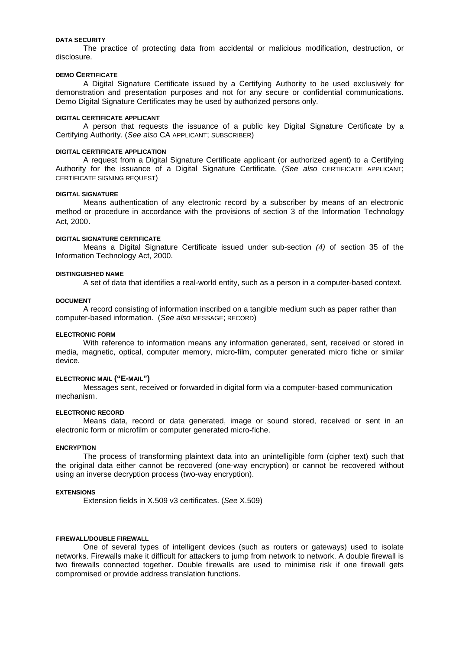#### **DATA SECURITY**

The practice of protecting data from accidental or malicious modification, destruction, or disclosure.

### **DEMO CERTIFICATE**

A Digital Signature Certificate issued by a Certifying Authority to be used exclusively for demonstration and presentation purposes and not for any secure or confidential communications. Demo Digital Signature Certificates may be used by authorized persons only.

#### **DIGITAL CERTIFICATE APPLICANT**

A person that requests the issuance of a public key Digital Signature Certificate by a Certifying Authority. (*See also* CA APPLICANT; SUBSCRIBER)

#### **DIGITAL CERTIFICATE APPLICATION**

A request from a Digital Signature Certificate applicant (or authorized agent) to a Certifying Authority for the issuance of a Digital Signature Certificate. (*See also* CERTIFICATE APPLICANT; CERTIFICATE SIGNING REQUEST)

#### **DIGITAL SIGNATURE**

Means authentication of any electronic record by a subscriber by means of an electronic method or procedure in accordance with the provisions of section 3 of the Information Technology Act, 2000.

#### **DIGITAL SIGNATURE CERTIFICATE**

Means a Digital Signature Certificate issued under sub-section *(4)* of section 35 of the Information Technology Act, 2000.

### **DISTINGUISHED NAME**

A set of data that identifies a real-world entity, such as a person in a computer-based context.

#### **DOCUMENT**

A record consisting of information inscribed on a tangible medium such as paper rather than computer-based information. (*See also* MESSAGE; RECORD)

#### **ELECTRONIC FORM**

With reference to information means any information generated, sent, received or stored in media, magnetic, optical, computer memory, micro-film, computer generated micro fiche or similar device.

## **ELECTRONIC MAIL ("E-MAIL")**

Messages sent, received or forwarded in digital form via a computer-based communication mechanism.

## **ELECTRONIC RECORD**

Means data, record or data generated, image or sound stored, received or sent in an electronic form or microfilm or computer generated micro-fiche.

#### **ENCRYPTION**

The process of transforming plaintext data into an unintelligible form (cipher text) such that the original data either cannot be recovered (one-way encryption) or cannot be recovered without using an inverse decryption process (two-way encryption).

#### **EXTENSIONS**

Extension fields in X.509 v3 certificates. (*See* X.509)

#### **FIREWALL/DOUBLE FIREWALL**

One of several types of intelligent devices (such as routers or gateways) used to isolate networks. Firewalls make it difficult for attackers to jump from network to network. A double firewall is two firewalls connected together. Double firewalls are used to minimise risk if one firewall gets compromised or provide address translation functions.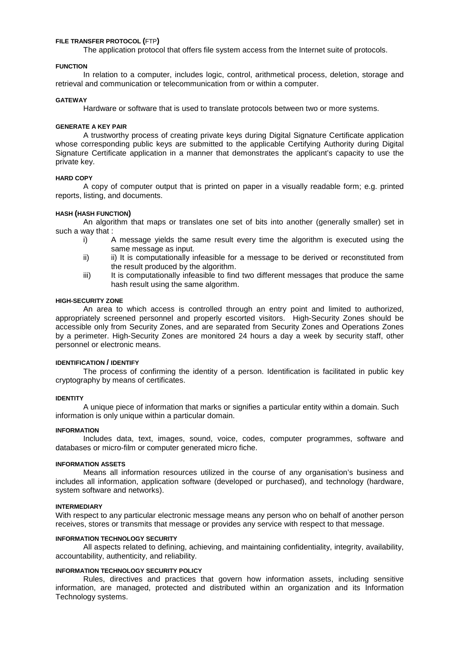## **FILE TRANSFER PROTOCOL (**FTP**)**

The application protocol that offers file system access from the Internet suite of protocols.

## **FUNCTION**

In relation to a computer, includes logic, control, arithmetical process, deletion, storage and retrieval and communication or telecommunication from or within a computer.

#### **GATEWAY**

Hardware or software that is used to translate protocols between two or more systems.

## **GENERATE A KEY PAIR**

A trustworthy process of creating private keys during Digital Signature Certificate application whose corresponding public keys are submitted to the applicable Certifying Authority during Digital Signature Certificate application in a manner that demonstrates the applicant's capacity to use the private key.

### **HARD COPY**

A copy of computer output that is printed on paper in a visually readable form; e.g. printed reports, listing, and documents.

#### **HASH (HASH FUNCTION)**

An algorithm that maps or translates one set of bits into another (generally smaller) set in such a way that :

- i) A message yields the same result every time the algorithm is executed using the same message as input.
- ii) ii) It is computationally infeasible for a message to be derived or reconstituted from the result produced by the algorithm.
- iii) It is computationally infeasible to find two different messages that produce the same hash result using the same algorithm.

## **HIGH-SECURITY ZONE**

An area to which access is controlled through an entry point and limited to authorized, appropriately screened personnel and properly escorted visitors. High-Security Zones should be accessible only from Security Zones, and are separated from Security Zones and Operations Zones by a perimeter. High-Security Zones are monitored 24 hours a day a week by security staff, other personnel or electronic means.

## **IDENTIFICATION / IDENTIFY**

The process of confirming the identity of a person. Identification is facilitated in public key cryptography by means of certificates.

#### **IDENTITY**

A unique piece of information that marks or signifies a particular entity within a domain. Such information is only unique within a particular domain.

#### **INFORMATION**

Includes data, text, images, sound, voice, codes, computer programmes, software and databases or micro-film or computer generated micro fiche.

#### **INFORMATION ASSETS**

Means all information resources utilized in the course of any organisation's business and includes all information, application software (developed or purchased), and technology (hardware, system software and networks).

#### **INTERMEDIARY**

With respect to any particular electronic message means any person who on behalf of another person receives, stores or transmits that message or provides any service with respect to that message.

#### **INFORMATION TECHNOLOGY SECURITY**

All aspects related to defining, achieving, and maintaining confidentiality, integrity, availability, accountability, authenticity, and reliability.

## **INFORMATION TECHNOLOGY SECURITY POLICY**

Rules, directives and practices that govern how information assets, including sensitive information, are managed, protected and distributed within an organization and its Information Technology systems.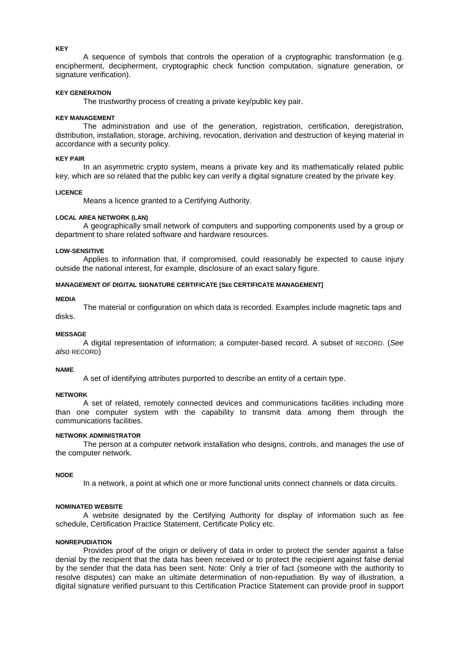# **KEY GENERATION**

signature verification).

The trustworthy process of creating a private key/public key pair.

### **KEY MANAGEMENT**

The administration and use of the generation, registration, certification, deregistration, distribution, installation, storage, archiving, revocation, derivation and destruction of keying material in accordance with a security policy.

encipherment, decipherment, cryptographic check function computation, signature generation, or

A sequence of symbols that controls the operation of a cryptographic transformation (e.g.

#### **KEY PAIR**

In an asymmetric crypto system, means a private key and its mathematically related public key, which are so related that the public key can verify a digital signature created by the private key.

#### **LICENCE**

Means a licence granted to a Certifying Authority.

## **LOCAL AREA NETWORK (LAN)**

A geographically small network of computers and supporting components used by a group or department to share related software and hardware resources.

## **LOW-SENSITIVE**

Applies to information that, if compromised, could reasonably be expected to cause injury outside the national interest, for example, disclosure of an exact salary figure.

## **MANAGEMENT OF DIGITAL SIGNATURE CERTIFICATE [SEE CERTIFICATE MANAGEMENT]**

## **MEDIA**

The material or configuration on which data is recorded. Examples include magnetic taps and disks.

#### **MESSAGE**

A digital representation of information; a computer-based record. A subset of RECORD. (*See also* RECORD)

#### **NAME**

A set of identifying attributes purported to describe an entity of a certain type.

#### **NETWORK**

A set of related, remotely connected devices and communications facilities including more than one computer system with the capability to transmit data among them through the communications facilities.

## **NETWORK ADMINISTRATOR**

The person at a computer network installation who designs, controls, and manages the use of the computer network.

#### **NODE**

In a network, a point at which one or more functional units connect channels or data circuits.

## **NOMINATED WEBSITE**

A website designated by the Certifying Authority for display of information such as fee schedule, Certification Practice Statement, Certificate Policy etc.

#### **NONREPUDIATION**

Provides proof of the origin or delivery of data in order to protect the sender against a false denial by the recipient that the data has been received or to protect the recipient against false denial by the sender that the data has been sent. Note: Only a trier of fact (someone with the authority to resolve disputes) can make an ultimate determination of non-repudiation. By way of illustration, a digital signature verified pursuant to this Certification Practice Statement can provide proof in support

## **KEY**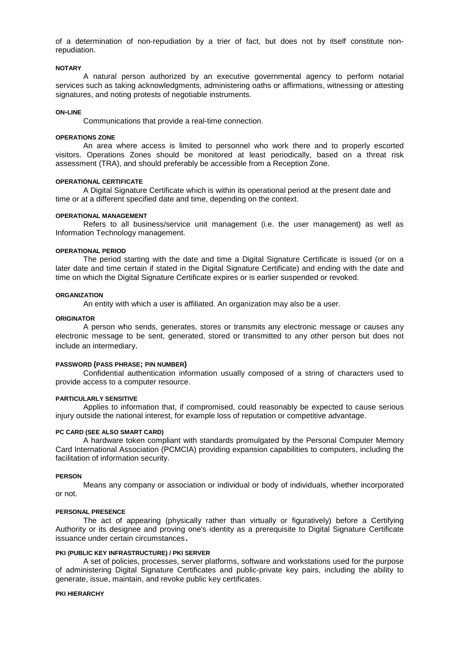of a determination of non-repudiation by a trier of fact, but does not by itself constitute nonrepudiation.

#### **NOTARY**

A natural person authorized by an executive governmental agency to perform notarial services such as taking acknowledgments, administering oaths or affirmations, witnessing or attesting signatures, and noting protests of negotiable instruments.

#### **ON-LINE**

Communications that provide a real-time connection.

#### **OPERATIONS ZONE**

An area where access is limited to personnel who work there and to properly escorted visitors. Operations Zones should be monitored at least periodically, based on a threat risk assessment (TRA), and should preferably be accessible from a Reception Zone.

## **OPERATIONAL CERTIFICATE**

A Digital Signature Certificate which is within its operational period at the present date and time or at a different specified date and time, depending on the context.

## **OPERATIONAL MANAGEMENT**

Refers to all business/service unit management (i.e. the user management) as well as Information Technology management.

## **OPERATIONAL PERIOD**

The period starting with the date and time a Digital Signature Certificate is issued (or on a later date and time certain if stated in the Digital Signature Certificate) and ending with the date and time on which the Digital Signature Certificate expires or is earlier suspended or revoked.

#### **ORGANIZATION**

An entity with which a user is affiliated. An organization may also be a user.

#### **ORIGINATOR**

A person who sends, generates, stores or transmits any electronic message or causes any electronic message to be sent, generated, stored or transmitted to any other person but does not include an intermediary.

#### **PASSWORD (PASS PHRASE; PIN NUMBER)**

Confidential authentication information usually composed of a string of characters used to provide access to a computer resource.

#### **PARTICULARLY SENSITIVE**

Applies to information that, if compromised, could reasonably be expected to cause serious injury outside the national interest, for example loss of reputation or competitive advantage.

#### **PC CARD (SEE ALSO SMART CARD)**

A hardware token compliant with standards promulgated by the Personal Computer Memory Card International Association (PCMCIA) providing expansion capabilities to computers, including the facilitation of information security.

#### **PERSON**

Means any company or association or individual or body of individuals, whether incorporated or not.

## **PERSONAL PRESENCE**

The act of appearing (physically rather than virtually or figuratively) before a Certifying Authority or its designee and proving one's identity as a prerequisite to Digital Signature Certificate issuance under certain circumstances**.**

## **PKI (PUBLIC KEY INFRASTRUCTURE) / PKI SERVER**

A set of policies, processes, server platforms, software and workstations used for the purpose of administering Digital Signature Certificates and public-private key pairs, including the ability to generate, issue, maintain, and revoke public key certificates.

#### **PKI HIERARCHY**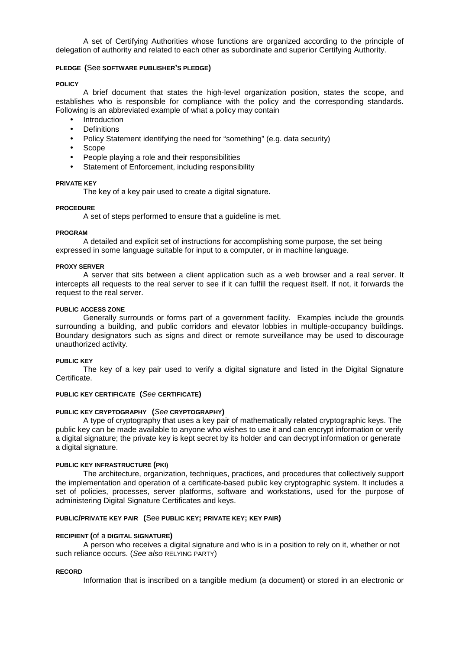A set of Certifying Authorities whose functions are organized according to the principle of delegation of authority and related to each other as subordinate and superior Certifying Authority.

## **PLEDGE (**See **SOFTWARE PUBLISHER'S PLEDGE)**

### **POLICY**

A brief document that states the high-level organization position, states the scope, and establishes who is responsible for compliance with the policy and the corresponding standards. Following is an abbreviated example of what a policy may contain

- Introduction
- **Definitions**
- Policy Statement identifying the need for "something" (e.g. data security)
- Scope
- People playing a role and their responsibilities
- Statement of Enforcement, including responsibility

#### **PRIVATE KEY**

The key of a key pair used to create a digital signature.

#### **PROCEDURE**

A set of steps performed to ensure that a guideline is met.

#### **PROGRAM**

A detailed and explicit set of instructions for accomplishing some purpose, the set being expressed in some language suitable for input to a computer, or in machine language.

### **PROXY SERVER**

A server that sits between a client application such as a web browser and a real server. It intercepts all requests to the real server to see if it can fulfill the request itself. If not, it forwards the request to the real server.

## **PUBLIC ACCESS ZONE**

Generally surrounds or forms part of a government facility. Examples include the grounds surrounding a building, and public corridors and elevator lobbies in multiple-occupancy buildings. Boundary designators such as signs and direct or remote surveillance may be used to discourage unauthorized activity.

#### **PUBLIC KEY**

The key of a key pair used to verify a digital signature and listed in the Digital Signature Certificate.

## **PUBLIC KEY CERTIFICATE (***See* **CERTIFICATE)**

## **PUBLIC KEY CRYPTOGRAPHY (***See* **CRYPTOGRAPHY)**

A type of cryptography that uses a key pair of mathematically related cryptographic keys. The public key can be made available to anyone who wishes to use it and can encrypt information or verify a digital signature; the private key is kept secret by its holder and can decrypt information or generate a digital signature.

#### **PUBLIC KEY INFRASTRUCTURE (PKI)**

The architecture, organization, techniques, practices, and procedures that collectively support the implementation and operation of a certificate-based public key cryptographic system. It includes a set of policies, processes, server platforms, software and workstations, used for the purpose of administering Digital Signature Certificates and keys.

## **PUBLIC/PRIVATE KEY PAIR (**See **PUBLIC KEY; PRIVATE KEY; KEY PAIR)**

## **RECIPIENT (**of a **DIGITAL SIGNATURE)**

A person who receives a digital signature and who is in a position to rely on it, whether or not such reliance occurs. (*See also* RELYING PARTY)

#### **RECORD**

Information that is inscribed on a tangible medium (a document) or stored in an electronic or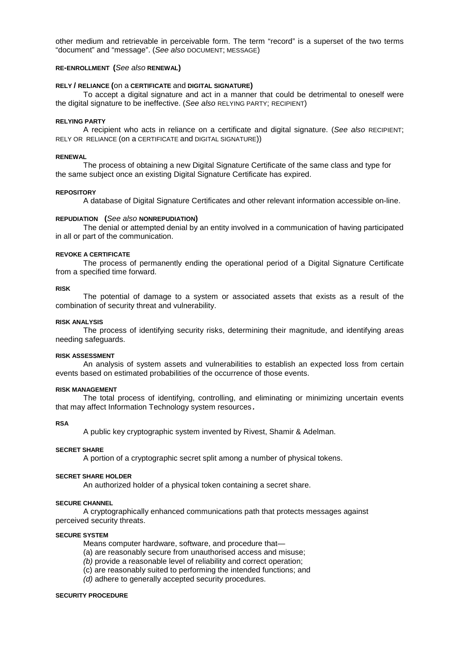other medium and retrievable in perceivable form. The term "record" is a superset of the two terms "document" and "message". (*See also* DOCUMENT; MESSAGE)

## **RE-ENROLLMENT (***See also* **RENEWAL)**

#### **RELY / RELIANCE (**on a **CERTIFICATE** and **DIGITAL SIGNATURE)**

To accept a digital signature and act in a manner that could be detrimental to oneself were the digital signature to be ineffective. (*See also* RELYING PARTY; RECIPIENT)

#### **RELYING PARTY**

A recipient who acts in reliance on a certificate and digital signature. (*See also* RECIPIENT; RELY OR RELIANCE (on a CERTIFICATE and DIGITAL SIGNATURE))

#### **RENEWAL**

The process of obtaining a new Digital Signature Certificate of the same class and type for the same subject once an existing Digital Signature Certificate has expired.

## **REPOSITORY**

A database of Digital Signature Certificates and other relevant information accessible on-line.

#### **REPUDIATION (***See also* **NONREPUDIATION)**

The denial or attempted denial by an entity involved in a communication of having participated in all or part of the communication.

#### **REVOKE A CERTIFICATE**

The process of permanently ending the operational period of a Digital Signature Certificate from a specified time forward.

#### **RISK**

The potential of damage to a system or associated assets that exists as a result of the combination of security threat and vulnerability.

## **RISK ANALYSIS**

The process of identifying security risks, determining their magnitude, and identifying areas needing safeguards.

#### **RISK ASSESSMENT**

An analysis of system assets and vulnerabilities to establish an expected loss from certain events based on estimated probabilities of the occurrence of those events.

#### **RISK MANAGEMENT**

The total process of identifying, controlling, and eliminating or minimizing uncertain events that may affect Information Technology system resources**.**

#### **RSA**

A public key cryptographic system invented by Rivest, Shamir & Adelman.

#### **SECRET SHARE**

A portion of a cryptographic secret split among a number of physical tokens.

#### **SECRET SHARE HOLDER**

An authorized holder of a physical token containing a secret share.

#### **SECURE CHANNEL**

A cryptographically enhanced communications path that protects messages against perceived security threats.

## **SECURE SYSTEM**

Means computer hardware, software, and procedure that—

- (a) are reasonably secure from unauthorised access and misuse;
- *(b)* provide a reasonable level of reliability and correct operation;
- (c) are reasonably suited to performing the intended functions; and
- *(d)* adhere to generally accepted security procedures.

#### **SECURITY PROCEDURE**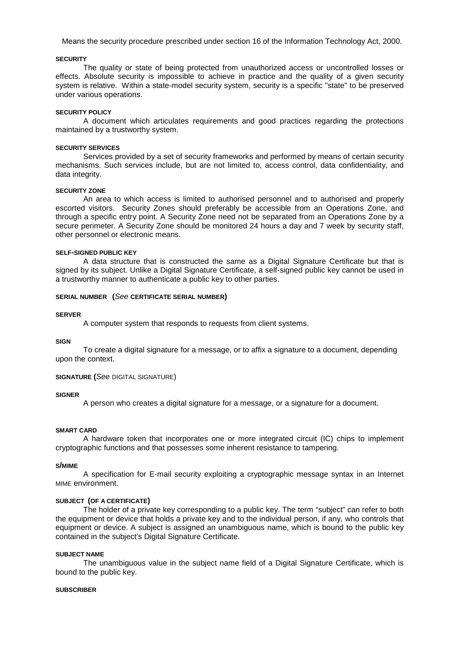Means the security procedure prescribed under section 16 of the Information Technology Act, 2000.

## **SECURITY**

The quality or state of being protected from unauthorized access or uncontrolled losses or effects. Absolute security is impossible to achieve in practice and the quality of a given security system is relative. Within a state-model security system, security is a specific "state" to be preserved under various operations.

## **SECURITY POLICY**

A document which articulates requirements and good practices regarding the protections maintained by a trustworthy system.

## **SECURITY SERVICES**

Services provided by a set of security frameworks and performed by means of certain security mechanisms. Such services include, but are not limited to, access control, data confidentiality, and data integrity.

## **SECURITY ZONE**

An area to which access is limited to authorised personnel and to authorised and properly escorted visitors. Security Zones should preferably be accessible from an Operations Zone, and through a specific entry point. A Security Zone need not be separated from an Operations Zone by a secure perimeter. A Security Zone should be monitored 24 hours a day and 7 week by security staff, other personnel or electronic means.

## **SELF-SIGNED PUBLIC KEY**

A data structure that is constructed the same as a Digital Signature Certificate but that is signed by its subject. Unlike a Digital Signature Certificate, a self-signed public key cannot be used in a trustworthy manner to authenticate a public key to other parties.

## **SERIAL NUMBER (***See* **CERTIFICATE SERIAL NUMBER)**

### **SERVER**

A computer system that responds to requests from client systems.

### **SIGN**

To create a digital signature for a message, or to affix a signature to a document, depending upon the context.

## **SIGNATURE (***See* DIGITAL SIGNATURE)

### **SIGNER**

A person who creates a digital signature for a message, or a signature for a document.

### **SMART CARD**

A hardware token that incorporates one or more integrated circuit (IC) chips to implement cryptographic functions and that possesses some inherent resistance to tampering.

### **S/MIME**

A specification for E-mail security exploiting a cryptographic message syntax in an Internet MIME environment.

## **SUBJECT (OF A CERTIFICATE)**

The holder of a private key corresponding to a public key. The term "subject" can refer to both the equipment or device that holds a private key and to the individual person, if any, who controls that equipment or device. A subject is assigned an unambiguous name, which is bound to the public key contained in the subject's Digital Signature Certificate.

### **SUBJECT NAME**

The unambiguous value in the subject name field of a Digital Signature Certificate, which is bound to the public key.

## **SUBSCRIBER**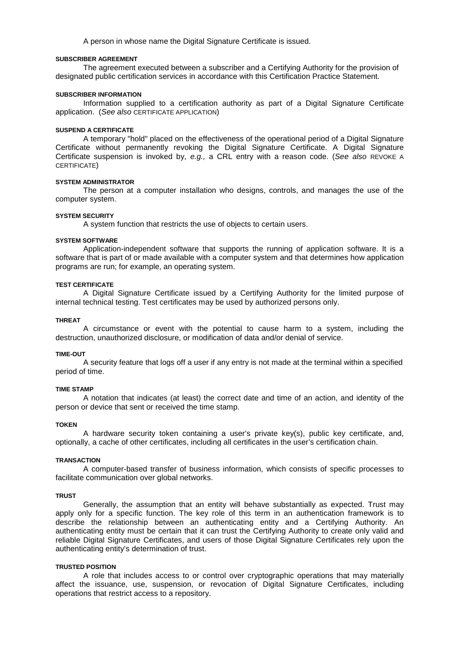A person in whose name the Digital Signature Certificate is issued.

## **SUBSCRIBER AGREEMENT**

The agreement executed between a subscriber and a Certifying Authority for the provision of designated public certification services in accordance with this Certification Practice Statement.

#### **SUBSCRIBER INFORMATION**

Information supplied to a certification authority as part of a Digital Signature Certificate application. (*See also* CERTIFICATE APPLICATION)

#### **SUSPEND A CERTIFICATE**

A temporary "hold" placed on the effectiveness of the operational period of a Digital Signature Certificate without permanently revoking the Digital Signature Certificate. A Digital Signature Certificate suspension is invoked by, *e.g.,* a CRL entry with a reason code. (*See also* REVOKE A CERTIFICATE)

#### **SYSTEM ADMINISTRATOR**

The person at a computer installation who designs, controls, and manages the use of the computer system.

## **SYSTEM SECURITY**

A system function that restricts the use of objects to certain users.

## **SYSTEM SOFTWARE**

Application-independent software that supports the running of application software. It is a software that is part of or made available with a computer system and that determines how application programs are run; for example, an operating system.

#### **TEST CERTIFICATE**

A Digital Signature Certificate issued by a Certifying Authority for the limited purpose of internal technical testing. Test certificates may be used by authorized persons only.

#### **THREAT**

A circumstance or event with the potential to cause harm to a system, including the destruction, unauthorized disclosure, or modification of data and/or denial of service.

#### **TIME-OUT**

A security feature that logs off a user if any entry is not made at the terminal within a specified period of time.

#### **TIME STAMP**

A notation that indicates (at least) the correct date and time of an action, and identity of the person or device that sent or received the time stamp.

#### **TOKEN**

A hardware security token containing a user's private key(s), public key certificate, and, optionally, a cache of other certificates, including all certificates in the user's certification chain.

#### **TRANSACTION**

A computer-based transfer of business information, which consists of specific processes to facilitate communication over global networks.

#### **TRUST**

Generally, the assumption that an entity will behave substantially as expected. Trust may apply only for a specific function. The key role of this term in an authentication framework is to describe the relationship between an authenticating entity and a Certifying Authority. An authenticating entity must be certain that it can trust the Certifying Authority to create only valid and reliable Digital Signature Certificates, and users of those Digital Signature Certificates rely upon the authenticating entity's determination of trust.

#### **TRUSTED POSITION**

A role that includes access to or control over cryptographic operations that may materially affect the issuance, use, suspension, or revocation of Digital Signature Certificates, including operations that restrict access to a repository.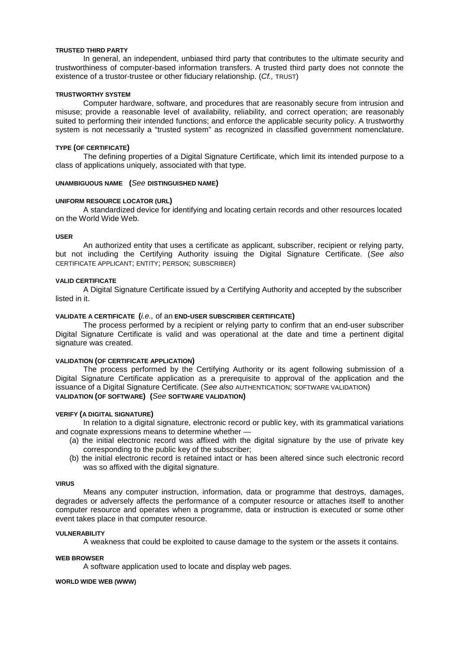#### **TRUSTED THIRD PARTY**

In general, an independent, unbiased third party that contributes to the ultimate security and trustworthiness of computer-based information transfers. A trusted third party does not connote the existence of a trustor-trustee or other fiduciary relationship. (*Cf.,* TRUST)

#### **TRUSTWORTHY SYSTEM**

Computer hardware, software, and procedures that are reasonably secure from intrusion and misuse; provide a reasonable level of availability, reliability, and correct operation; are reasonably suited to performing their intended functions; and enforce the applicable security policy. A trustworthy system is not necessarily a "trusted system" as recognized in classified government nomenclature.

### **TYPE (OF CERTIFICATE)**

The defining properties of a Digital Signature Certificate, which limit its intended purpose to a class of applications uniquely, associated with that type.

## **UNAMBIGUOUS NAME (***See* **DISTINGUISHED NAME)**

#### **UNIFORM RESOURCE LOCATOR (URL)**

A standardized device for identifying and locating certain records and other resources located on the World Wide Web.

#### **USER**

An authorized entity that uses a certificate as applicant, subscriber, recipient or relying party, but not including the Certifying Authority issuing the Digital Signature Certificate. (*See also* CERTIFICATE APPLICANT; ENTITY; PERSON; SUBSCRIBER)

#### **VALID CERTIFICATE**

A Digital Signature Certificate issued by a Certifying Authority and accepted by the subscriber listed in it.

## **VALIDATE A CERTIFICATE (***i.e.,* of an **END-USER SUBSCRIBER CERTIFICATE)**

The process performed by a recipient or relying party to confirm that an end-user subscriber Digital Signature Certificate is valid and was operational at the date and time a pertinent digital signature was created.

#### **VALIDATION (OF CERTIFICATE APPLICATION)**

The process performed by the Certifying Authority or its agent following submission of a Digital Signature Certificate application as a prerequisite to approval of the application and the issuance of a Digital Signature Certificate. (*See also* AUTHENTICATION; SOFTWARE VALIDATION) **VALIDATION (OF SOFTWARE) (***See* **SOFTWARE VALIDATION)**

## **VERIFY (A DIGITAL SIGNATURE)**

In relation to a digital signature, electronic record or public key, with its grammatical variations and cognate expressions means to determine whether —

- (a) the initial electronic record was affixed with the digital signature by the use of private key corresponding to the public key of the subscriber;
- (b) the initial electronic record is retained intact or has been altered since such electronic record was so affixed with the digital signature.

#### **VIRUS**

Means any computer instruction, information, data or programme that destroys, damages, degrades or adversely affects the performance of a computer resource or attaches itself to another computer resource and operates when a programme, data or instruction is executed or some other event takes place in that computer resource.

#### **VULNERABILITY**

A weakness that could be exploited to cause damage to the system or the assets it contains.

#### **WEB BROWSER**

A software application used to locate and display web pages.

## **WORLD WIDE WEB (WWW)**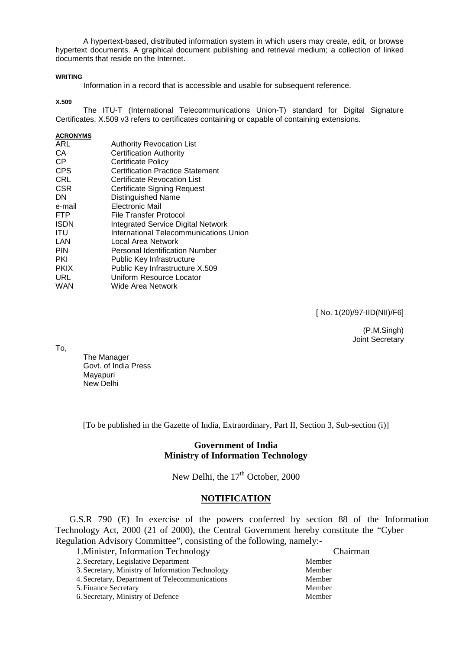A hypertext-based, distributed information system in which users may create, edit, or browse hypertext documents. A graphical document publishing and retrieval medium; a collection of linked documents that reside on the Internet.

## **WRITING**

Information in a record that is accessible and usable for subsequent reference.

#### **X.509**

The ITU-T (International Telecommunications Union-T) standard for Digital Signature Certificates. X.509 v3 refers to certificates containing or capable of containing extensions.

#### **ACRONYMS**

| ARL         | <b>Authority Revocation List</b>          |
|-------------|-------------------------------------------|
| CA          | <b>Certification Authority</b>            |
| СP          | Certificate Policy                        |
| <b>CPS</b>  | <b>Certification Practice Statement</b>   |
| <b>CRL</b>  | Certificate Revocation List               |
| <b>CSR</b>  | Certificate Signing Request               |
| DN          | <b>Distinguished Name</b>                 |
| e-mail      | Electronic Mail                           |
| <b>FTP</b>  | File Transfer Protocol                    |
| <b>ISDN</b> | <b>Integrated Service Digital Network</b> |
| ITU         | International Telecommunications Union    |
| LAN         | Local Area Network                        |
| <b>PIN</b>  | <b>Personal Identification Number</b>     |
| PKI         | Public Key Infrastructure                 |
| <b>PKIX</b> | Public Key Infrastructure X.509           |
| URL         | Uniform Resource Locator                  |
| <b>WAN</b>  | Wide Area Network                         |

[ No. 1(20)/97-IID(NII)/F6]

(P.M.Singh) Joint Secretary

To,

The Manager Govt. of India Press Mayapuri New Delhi

[To be published in the Gazette of India, Extraordinary, Part II, Section 3, Sub-section (i)]

## **Government of India Ministry of Information Technology**

New Delhi, the 17<sup>th</sup> October, 2000

## **NOTIFICATION**

G.S.R 790 (E) In exercise of the powers conferred by section 88 of the Information Technology Act, 2000 (21 of 2000), the Central Government hereby constitute the "Cyber Regulation Advisory Committee", consisting of the following, namely:-

1.Minister, Information Technology Chairman

| 1. IVIIIISTEI, IIIIOHIIAUOII TECHNOIOGY          | <b>Chailman</b> |  |
|--------------------------------------------------|-----------------|--|
| 2. Secretary, Legislative Department             | Member          |  |
| 3. Secretary, Ministry of Information Technology | Member          |  |
| 4. Secretary, Department of Telecommunications   | Member          |  |
| 5. Finance Secretary                             | Member          |  |
| 6. Secretary, Ministry of Defence                | Member          |  |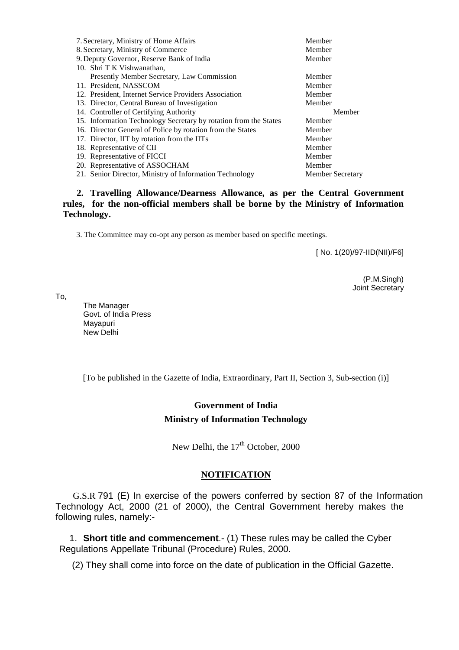| 7. Secretary, Ministry of Home Affairs                           | Member           |
|------------------------------------------------------------------|------------------|
| 8. Secretary, Ministry of Commerce                               | Member           |
| 9. Deputy Governor, Reserve Bank of India                        | Member           |
| 10. Shri T K Vishwanathan,                                       |                  |
| Presently Member Secretary, Law Commission                       | Member           |
| 11. President, NASSCOM                                           | Member           |
| 12. President, Internet Service Providers Association            | Member           |
| 13. Director, Central Bureau of Investigation                    | Member           |
| 14. Controller of Certifying Authority                           | Member           |
| 15. Information Technology Secretary by rotation from the States | Member           |
| 16. Director General of Police by rotation from the States       | Member           |
| 17. Director, IIT by rotation from the IITs                      | Member           |
| 18. Representative of CII                                        | Member           |
| 19. Representative of FICCI                                      | Member           |
| 20. Representative of ASSOCHAM                                   | Member           |
| 21. Senior Director, Ministry of Information Technology          | Member Secretary |
|                                                                  |                  |

## **2. Travelling Allowance/Dearness Allowance, as per the Central Government rules, for the non-official members shall be borne by the Ministry of Information Technology.**

3. The Committee may co-opt any person as member based on specific meetings.

[ No. 1(20)/97-IID(NII)/F6]

(P.M.Singh) Joint Secretary

To,

The Manager Govt. of India Press Mayapuri New Delhi

[To be published in the Gazette of India, Extraordinary, Part II, Section 3, Sub-section (i)]

## **Government of India Ministry of Information Technology**

New Delhi, the 17<sup>th</sup> October, 2000

## **NOTIFICATION**

G.S.R 791 (E) In exercise of the powers conferred by section 87 of the Information Technology Act, 2000 (21 of 2000), the Central Government hereby makes the following rules, namely:-

1. **Short title and commencement**.- (1) These rules may be called the Cyber Regulations Appellate Tribunal (Procedure) Rules, 2000.

(2) They shall come into force on the date of publication in the Official Gazette.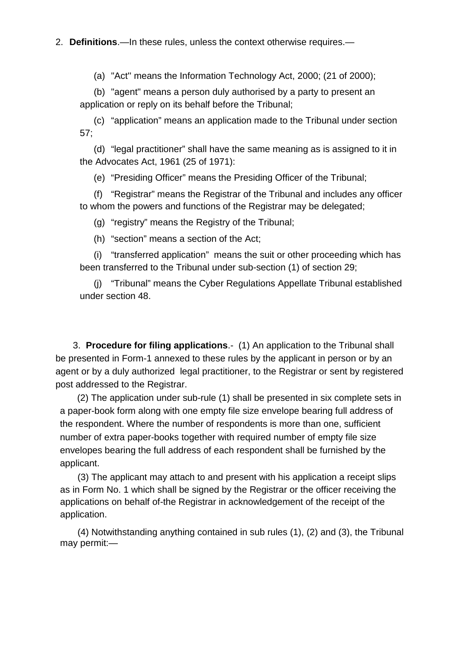## 2. **Definitions**.—In these rules, unless the context otherwise requires.—

(a) "Act'' means the Information Technology Act, 2000; (21 of 2000);

(b) "agent" means a person duly authorised by a party to present an application or reply on its behalf before the Tribunal;

(c) "application" means an application made to the Tribunal under section 57;

(d) "legal practitioner" shall have the same meaning as is assigned to it in the Advocates Act, 1961 (25 of 1971):

(e) "Presiding Officer" means the Presiding Officer of the Tribunal;

(f) "Registrar" means the Registrar of the Tribunal and includes any officer to whom the powers and functions of the Registrar may be delegated;

(g) "registry" means the Registry of the Tribunal;

(h) "section" means a section of the Act;

(i) "transferred application" means the suit or other proceeding which has been transferred to the Tribunal under sub-section (1) of section 29;

(j) "Tribunal" means the Cyber Regulations Appellate Tribunal established under section 48.

3. **Procedure for filing applications**.- (1) An application to the Tribunal shall be presented in Form-1 annexed to these rules by the applicant in person or by an agent or by a duly authorized legal practitioner, to the Registrar or sent by registered post addressed to the Registrar.

(2) The application under sub-rule (1) shall be presented in six complete sets in a paper-book form along with one empty file size envelope bearing full address of the respondent. Where the number of respondents is more than one, sufficient number of extra paper-books together with required number of empty file size envelopes bearing the full address of each respondent shall be furnished by the applicant.

(3) The applicant may attach to and present with his application a receipt slips as in Form No. 1 which shall be signed by the Registrar or the officer receiving the applications on behalf of-the Registrar in acknowledgement of the receipt of the application.

(4) Notwithstanding anything contained in sub rules (1), (2) and (3), the Tribunal may permit:—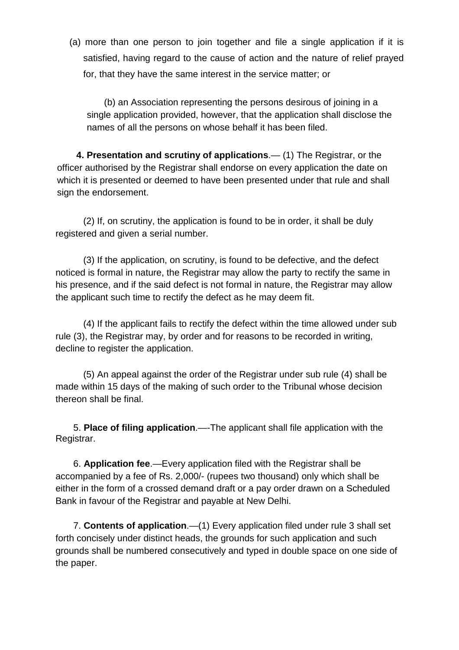(a) more than one person to join together and file a single application if it is satisfied, having regard to the cause of action and the nature of relief prayed for, that they have the same interest in the service matter; or

(b) an Association representing the persons desirous of joining in a single application provided, however, that the application shall disclose the names of all the persons on whose behalf it has been filed.

**4. Presentation and scrutiny of applications**.— (1) The Registrar, or the officer authorised by the Registrar shall endorse on every application the date on which it is presented or deemed to have been presented under that rule and shall sign the endorsement.

(2) If, on scrutiny, the application is found to be in order, it shall be duly registered and given a serial number.

(3) If the application, on scrutiny, is found to be defective, and the defect noticed is formal in nature, the Registrar may allow the party to rectify the same in his presence, and if the said defect is not formal in nature, the Registrar may allow the applicant such time to rectify the defect as he may deem fit.

(4) If the applicant fails to rectify the defect within the time allowed under sub rule (3), the Registrar may, by order and for reasons to be recorded in writing, decline to register the application.

(5) An appeal against the order of the Registrar under sub rule (4) shall be made within 15 days of the making of such order to the Tribunal whose decision thereon shall be final.

5. **Place of filing application**.—-The applicant shall file application with the Registrar.

6. **Application fee**.—Every application filed with the Registrar shall be accompanied by a fee of Rs. 2,000/- (rupees two thousand) only which shall be either in the form of a crossed demand draft or a pay order drawn on a Scheduled Bank in favour of the Registrar and payable at New Delhi.

7. **Contents of application**.—(1) Every application filed under rule 3 shall set forth concisely under distinct heads, the grounds for such application and such grounds shall be numbered consecutively and typed in double space on one side of the paper.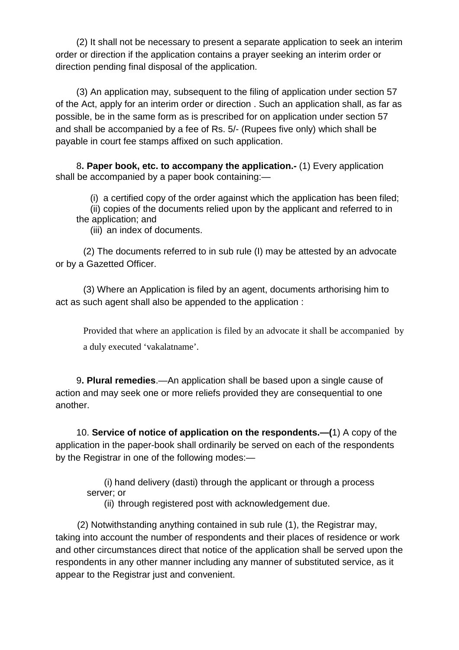(2) It shall not be necessary to present a separate application to seek an interim order or direction if the application contains a prayer seeking an interim order or direction pending final disposal of the application.

(3) An application may, subsequent to the filing of application under section 57 of the Act, apply for an interim order or direction . Such an application shall, as far as possible, be in the same form as is prescribed for on application under section 57 and shall be accompanied by a fee of Rs. 5/- (Rupees five only) which shall be payable in court fee stamps affixed on such application.

8**. Paper book, etc. to accompany the application.-** (1) Every application shall be accompanied by a paper book containing:—

(i) a certified copy of the order against which the application has been filed;

(ii) copies of the documents relied upon by the applicant and referred to in the application; and

(iii) an index of documents.

(2) The documents referred to in sub rule (I) may be attested by an advocate or by a Gazetted Officer.

(3) Where an Application is filed by an agent, documents arthorising him to act as such agent shall also be appended to the application :

Provided that where an application is filed by an advocate it shall be accompanied by a duly executed 'vakalatname'.

9**. Plural remedies**.—An application shall be based upon a single cause of action and may seek one or more reliefs provided they are consequential to one another.

10. **Service of notice of application on the respondents.—(**1) A copy of the application in the paper-book shall ordinarily be served on each of the respondents by the Registrar in one of the following modes:—

(i) hand delivery (dasti) through the applicant or through a process server; or

(ii) through registered post with acknowledgement due.

(2) Notwithstanding anything contained in sub rule (1), the Registrar may, taking into account the number of respondents and their places of residence or work and other circumstances direct that notice of the application shall be served upon the respondents in any other manner including any manner of substituted service, as it appear to the Registrar just and convenient.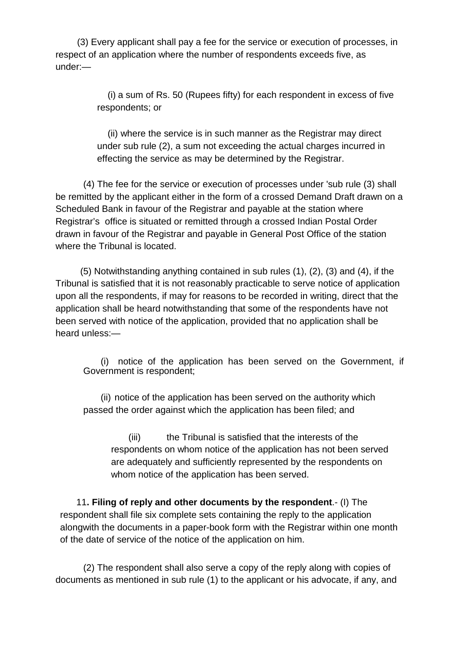(3) Every applicant shall pay a fee for the service or execution of processes, in respect of an application where the number of respondents exceeds five, as under:—

> (i) a sum of Rs. 50 (Rupees fifty) for each respondent in excess of five respondents; or

(ii) where the service is in such manner as the Registrar may direct under sub rule (2), a sum not exceeding the actual charges incurred in effecting the service as may be determined by the Registrar.

(4) The fee for the service or execution of processes under 'sub rule (3) shall be remitted by the applicant either in the form of a crossed Demand Draft drawn on a Scheduled Bank in favour of the Registrar and payable at the station where Registrar's office is situated or remitted through a crossed Indian Postal Order drawn in favour of the Registrar and payable in General Post Office of the station where the Tribunal is located.

(5) Notwithstanding anything contained in sub rules (1), (2), (3) and (4), if the Tribunal is satisfied that it is not reasonably practicable to serve notice of application upon all the respondents, if may for reasons to be recorded in writing, direct that the application shall be heard notwithstanding that some of the respondents have not been served with notice of the application, provided that no application shall be heard unless:—

(i) notice of the application has been served on the Government, if Government is respondent;

(ii) notice of the application has been served on the authority which passed the order against which the application has been filed; and

(iii) the Tribunal is satisfied that the interests of the respondents on whom notice of the application has not been served are adequately and sufficiently represented by the respondents on whom notice of the application has been served.

11**. Filing of reply and other documents by the respondent**.- (I) The respondent shall file six complete sets containing the reply to the application alongwith the documents in a paper-book form with the Registrar within one month of the date of service of the notice of the application on him.

(2) The respondent shall also serve a copy of the reply along with copies of documents as mentioned in sub rule (1) to the applicant or his advocate, if any, and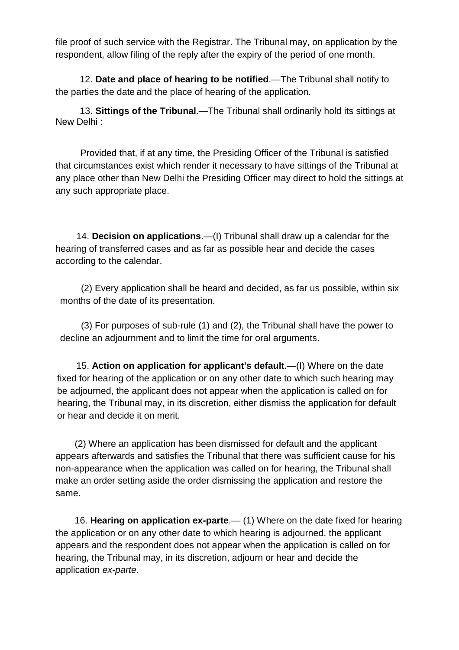file proof of such service with the Registrar. The Tribunal may, on application by the respondent, allow filing of the reply after the expiry of the period of one month.

12. **Date and place of hearing to be notified**.—The Tribunal shall notify to the parties the date and the place of hearing of the application.

13. **Sittings of the Tribunal**.—The Tribunal shall ordinarily hold its sittings at New Delhi :

Provided that, if at any time, the Presiding Officer of the Tribunal is satisfied that circumstances exist which render it necessary to have sittings of the Tribunal at any place other than New Delhi the Presiding Officer may direct to hold the sittings at any such appropriate place.

14. **Decision on applications**.—(I) Tribunal shall draw up a calendar for the hearing of transferred cases and as far as possible hear and decide the cases according to the calendar.

(2) Every application shall be heard and decided, as far us possible, within six months of the date of its presentation.

(3) For purposes of sub-rule (1) and (2), the Tribunal shall have the power to decline an adjournment and to limit the time for oral arguments.

15. **Action on application for applicant's default**.—(I) Where on the date fixed for hearing of the application or on any other date to which such hearing may be adjourned, the applicant does not appear when the application is called on for hearing, the Tribunal may, in its discretion, either dismiss the application for default or hear and decide it on merit.

(2) Where an application has been dismissed for default and the applicant appears afterwards and satisfies the Tribunal that there was sufficient cause for his non-appearance when the application was called on for hearing, the Tribunal shall make an order setting aside the order dismissing the application and restore the same.

16. **Hearing on application ex-parte**.— (1) Where on the date fixed for hearing the application or on any other date to which hearing is adjourned, the applicant appears and the respondent does not appear when the application is called on for hearing, the Tribunal may, in its discretion, adjourn or hear and decide the application *ex-parte*.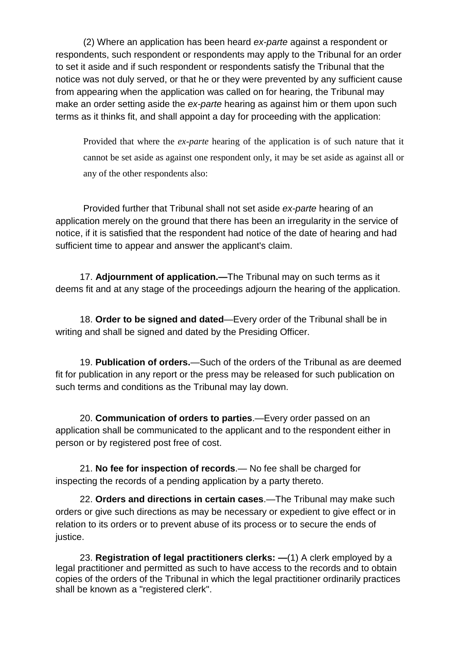(2) Where an application has been heard *ex-parte* against a respondent or respondents, such respondent or respondents may apply to the Tribunal for an order to set it aside and if such respondent or respondents satisfy the Tribunal that the notice was not duly served, or that he or they were prevented by any sufficient cause from appearing when the application was called on for hearing, the Tribunal may make an order setting aside the *ex-parte* hearing as against him or them upon such terms as it thinks fit, and shall appoint a day for proceeding with the application:

Provided that where the *ex-parte* hearing of the application is of such nature that it cannot be set aside as against one respondent only, it may be set aside as against all or any of the other respondents also:

Provided further that Tribunal shall not set aside *ex-parte* hearing of an application merely on the ground that there has been an irregularity in the service of notice, if it is satisfied that the respondent had notice of the date of hearing and had sufficient time to appear and answer the applicant's claim.

17. **Adjournment of application.—**The Tribunal may on such terms as it deems fit and at any stage of the proceedings adjourn the hearing of the application.

18. **Order to be signed and dated**—Every order of the Tribunal shall be in writing and shall be signed and dated by the Presiding Officer.

19. **Publication of orders.**—Such of the orders of the Tribunal as are deemed fit for publication in any report or the press may be released for such publication on such terms and conditions as the Tribunal may lay down.

20. **Communication of orders to parties**.—Every order passed on an application shall be communicated to the applicant and to the respondent either in person or by registered post free of cost.

21. **No fee for inspection of records**.— No fee shall be charged for inspecting the records of a pending application by a party thereto.

22. **Orders and directions in certain cases**.—The Tribunal may make such orders or give such directions as may be necessary or expedient to give effect or in relation to its orders or to prevent abuse of its process or to secure the ends of justice.

23. **Registration of legal practitioners clerks: —**(1) A clerk employed by a legal practitioner and permitted as such to have access to the records and to obtain copies of the orders of the Tribunal in which the legal practitioner ordinarily practices shall be known as a "registered clerk".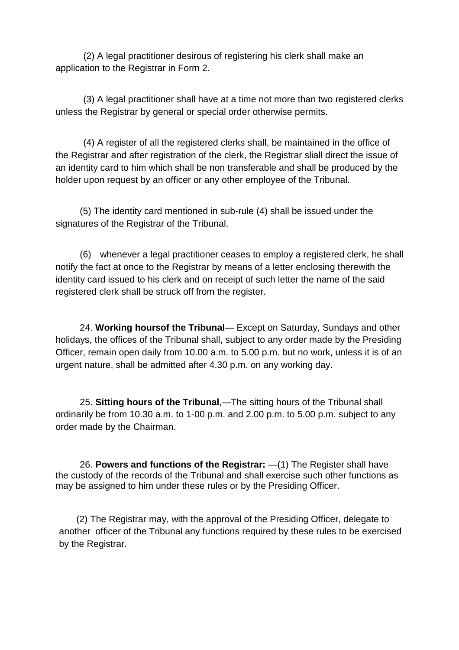(2) A legal practitioner desirous of registering his clerk shall make an application to the Registrar in Form 2.

(3) A legal practitioner shall have at a time not more than two registered clerks unless the Registrar by general or special order otherwise permits.

(4) A register of all the registered clerks shall, be maintained in the office of the Registrar and after registration of the clerk, the Registrar sliall direct the issue of an identity card to him which shall be non transferable and shall be produced by the holder upon request by an officer or any other employee of the Tribunal.

(5) The identity card mentioned in sub-rule (4) shall be issued under the signatures of the Registrar of the Tribunal.

(6) whenever a legal practitioner ceases to employ a registered clerk, he shall notify the fact at once to the Registrar by means of a letter enclosing therewith the identity card issued to his clerk and on receipt of such letter the name of the said registered clerk shall be struck off from the register.

24. **Working hoursof the Tribunal**— Except on Saturday, Sundays and other holidays, the offices of the Tribunal shall, subject to any order made by the Presiding Officer, remain open daily from 10.00 a.m. to 5.00 p.m. but no work, unless it is of an urgent nature, shall be admitted after 4.30 p.m. on any working day.

25. **Sitting hours of the Tribunal**,—The sitting hours of the Tribunal shall ordinarily be from 10.30 a.m. to 1-00 p.m. and 2.00 p.m. to 5.00 p.m. subject to any order made by the Chairman.

26. **Powers and functions of the Registrar:** —(1) The Register shall have the custody of the records of the Tribunal and shall exercise such other functions as may be assigned to him under these rules or by the Presiding Officer.

(2) The Registrar may, with the approval of the Presiding Officer, delegate to another officer of the Tribunal any functions required by these rules to be exercised by the Registrar.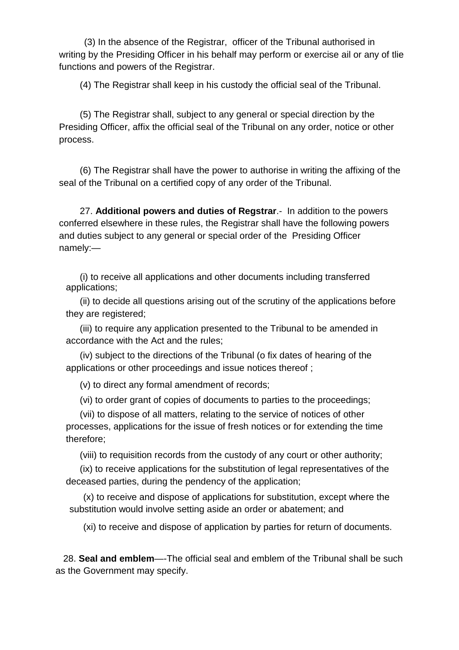(3) In the absence of the Registrar, officer of the Tribunal authorised in writing by the Presiding Officer in his behalf may perform or exercise ail or any of tlie functions and powers of the Registrar.

(4) The Registrar shall keep in his custody the official seal of the Tribunal.

(5) The Registrar shall, subject to any general or special direction by the Presiding Officer, affix the official seal of the Tribunal on any order, notice or other process.

(6) The Registrar shall have the power to authorise in writing the affixing of the seal of the Tribunal on a certified copy of any order of the Tribunal.

27. **Additional powers and duties of Regstrar**.- In addition to the powers conferred elsewhere in these rules, the Registrar shall have the following powers and duties subject to any general or special order of the Presiding Officer namely:—

(i) to receive all applications and other documents including transferred applications;

(ii) to decide all questions arising out of the scrutiny of the applications before they are registered;

(iii) to require any application presented to the Tribunal to be amended in accordance with the Act and the rules;

(iv) subject to the directions of the Tribunal (o fix dates of hearing of the applications or other proceedings and issue notices thereof ;

(v) to direct any formal amendment of records;

(vi) to order grant of copies of documents to parties to the proceedings;

(vii) to dispose of all matters, relating to the service of notices of other processes, applications for the issue of fresh notices or for extending the time therefore;

(viii) to requisition records from the custody of any court or other authority;

(ix) to receive applications for the substitution of legal representatives of the deceased parties, during the pendency of the application;

(x) to receive and dispose of applications for substitution, except where the substitution would involve setting aside an order or abatement; and

(xi) to receive and dispose of application by parties for return of documents.

28. **Seal and emblem**—-The official seal and emblem of the Tribunal shall be such as the Government may specify.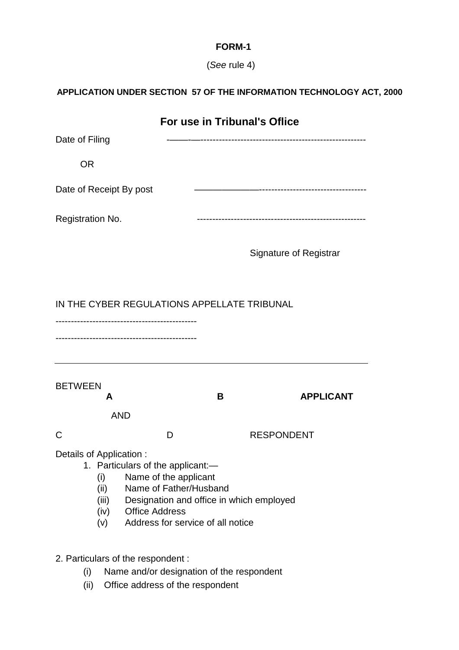## **FORM-1**

(*See* rule 4)

## **APPLICATION UNDER SECTION 57 OF THE INFORMATION TECHNOLOGY ACT, 2000**

| For use in Tribunal's Oflice                                                                                                                                                                                                                                     |   |   |                               |                  |
|------------------------------------------------------------------------------------------------------------------------------------------------------------------------------------------------------------------------------------------------------------------|---|---|-------------------------------|------------------|
| Date of Filing                                                                                                                                                                                                                                                   |   |   |                               |                  |
| <b>OR</b>                                                                                                                                                                                                                                                        |   |   |                               |                  |
| Date of Receipt By post                                                                                                                                                                                                                                          |   |   |                               |                  |
| Registration No.                                                                                                                                                                                                                                                 |   |   |                               |                  |
|                                                                                                                                                                                                                                                                  |   |   | <b>Signature of Registrar</b> |                  |
| IN THE CYBER REGULATIONS APPELLATE TRIBUNAL                                                                                                                                                                                                                      |   |   |                               |                  |
| <b>BETWEEN</b>                                                                                                                                                                                                                                                   |   |   |                               |                  |
| A                                                                                                                                                                                                                                                                |   | B |                               | <b>APPLICANT</b> |
| <b>AND</b><br>C                                                                                                                                                                                                                                                  | D |   | <b>RESPONDENT</b>             |                  |
| Details of Application:<br>1. Particulars of the applicant:-<br>Name of the applicant<br>(i)<br>Name of Father/Husband<br>(ii)<br>Designation and office in which employed<br>(iii)<br><b>Office Address</b><br>(iv)<br>Address for service of all notice<br>(v) |   |   |                               |                  |

# 2. Particulars of the respondent :

- (i) Name and/or designation of the respondent
- (ii) Office address of the respondent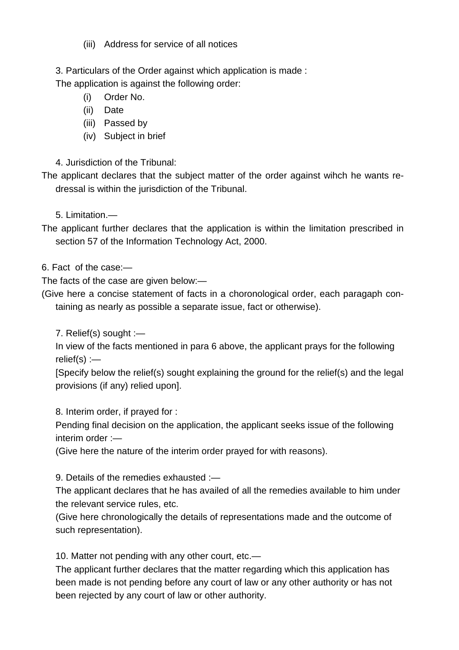(iii) Address for service of all notices

3. Particulars of the Order against which application is made :

The application is against the following order:

- (i) Order No.
- (ii) Date
- (iii) Passed by
- (iv) Subject in brief
- 4. Jurisdiction of the Tribunal:

The applicant declares that the subject matter of the order against wihch he wants redressal is within the jurisdiction of the Tribunal.

5. Limitation.—

The applicant further declares that the application is within the limitation prescribed in section 57 of the Information Technology Act, 2000.

6. Fact of the case:—

The facts of the case are given below:—

(Give here a concise statement of facts in a choronological order, each paragaph containing as nearly as possible a separate issue, fact or otherwise).

7. Relief(s) sought :—

In view of the facts mentioned in para 6 above, the applicant prays for the following relief(s) :—

[Specify below the relief(s) sought explaining the ground for the relief(s) and the legal provisions (if any) relied upon].

8. Interim order, if prayed for :

Pending final decision on the application, the applicant seeks issue of the following interim order :—

(Give here the nature of the interim order prayed for with reasons).

9. Details of the remedies exhausted :—

The applicant declares that he has availed of all the remedies available to him under the relevant service rules, etc.

(Give here chronologically the details of representations made and the outcome of such representation).

10. Matter not pending with any other court, etc.—

The applicant further declares that the matter regarding which this application has been made is not pending before any court of law or any other authority or has not been rejected by any court of law or other authority.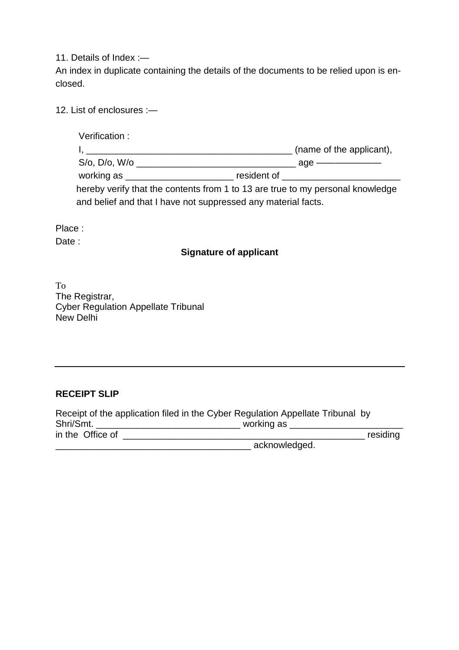11. Details of Index :—

An index in duplicate containing the details of the documents to be relied upon is enclosed.

12. List of enclosures :—

| Verification:                                                                                                                                                                                                                  |                          |
|--------------------------------------------------------------------------------------------------------------------------------------------------------------------------------------------------------------------------------|--------------------------|
|                                                                                                                                                                                                                                | (name of the applicant), |
| $S$ /o, $D$ /o, $W$ /o                                                                                                                                                                                                         | age $\longrightarrow$    |
| working as example and the resident of the contract of the contract of the contract of the contract of the contract of the contract of the contract of the contract of the contract of the contract of the contract of the con |                          |
| hereby verify that the contents from 1 to 13 are true to my personal knowledge                                                                                                                                                 |                          |
| and belief and that I have not suppressed any material facts.                                                                                                                                                                  |                          |

Place :

Date:

## **Signature of applicant**

To The Registrar, Cyber Regulation Appellate Tribunal New Delhi

## **RECEIPT SLIP**

|                  | Receipt of the application filed in the Cyber Regulation Appellate Tribunal by |  |
|------------------|--------------------------------------------------------------------------------|--|
| Shri/Smt.        | working as                                                                     |  |
| in the Office of | residing                                                                       |  |
|                  | acknowledged.                                                                  |  |